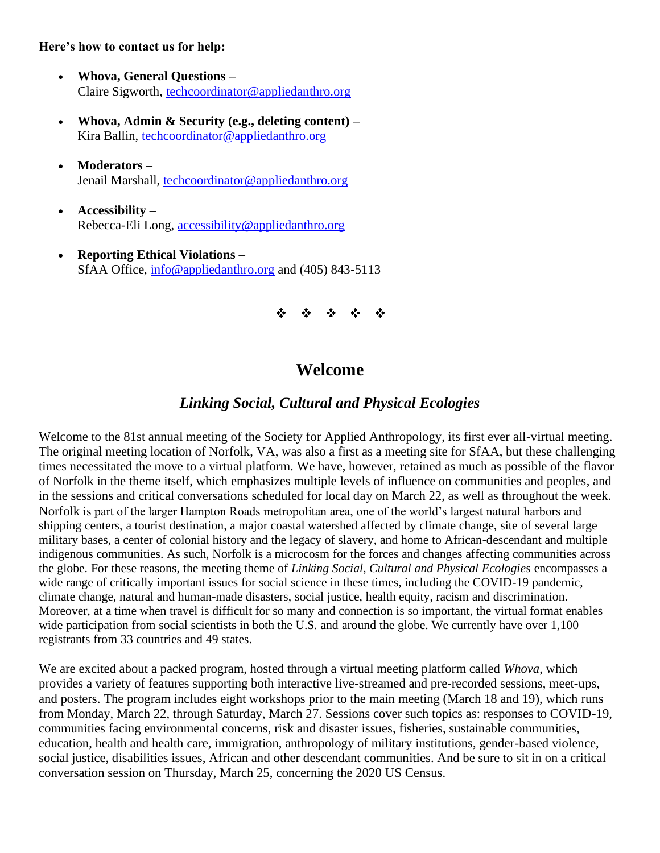# **Here's how to contact us for help:**

- **Whova, General Questions –** Claire Sigworth, [techcoordinator@appliedanthro.org](mailto:techcoordinator@appliedanthro.org)
- **Whova, Admin & Security (e.g., deleting content) –** Kira Ballin, [techcoordinator@appliedanthro.org](mailto:techcoordinator@appliedanthro.org)
- **Moderators –** Jenail Marshall, [techcoordinator@appliedanthro.org](mailto:techcoordinator@appliedanthro.org)
- **Accessibility –** Rebecca-Eli Long, [accessibility@appliedanthro.org](mailto:accessibility@appliedanthro.org)
- **Reporting Ethical Violations –** SfAA Office, [info@appliedanthro.org](mailto:info@appliedanthro.org) and (405) 843-5113

**一般的 - 数** ❖

# **Welcome**

# *Linking Social, Cultural and Physical Ecologies*

Welcome to the 81st annual meeting of the Society for Applied Anthropology, its first ever all-virtual meeting. The original meeting location of Norfolk, VA, was also a first as a meeting site for SfAA, but these challenging times necessitated the move to a virtual platform. We have, however, retained as much as possible of the flavor of Norfolk in the theme itself, which emphasizes multiple levels of influence on communities and peoples, and in the sessions and critical conversations scheduled for local day on March 22, as well as throughout the week. Norfolk is part of the larger Hampton Roads metropolitan area, one of the world's largest natural harbors and shipping centers, a tourist destination, a major coastal watershed affected by climate change, site of several large military bases, a center of colonial history and the legacy of slavery, and home to African-descendant and multiple indigenous communities. As such, Norfolk is a microcosm for the forces and changes affecting communities across the globe. For these reasons, the meeting theme of *Linking Social, Cultural and Physical Ecologies* encompasses a wide range of critically important issues for social science in these times, including the COVID-19 pandemic, climate change, natural and human-made disasters, social justice, health equity, racism and discrimination. Moreover, at a time when travel is difficult for so many and connection is so important, the virtual format enables wide participation from social scientists in both the U.S. and around the globe. We currently have over 1,100 registrants from 33 countries and 49 states.

We are excited about a packed program, hosted through a virtual meeting platform called *Whova*, which provides a variety of features supporting both interactive live-streamed and pre-recorded sessions, meet-ups, and posters. The program includes eight workshops prior to the main meeting (March 18 and 19), which runs from Monday, March 22, through Saturday, March 27. Sessions cover such topics as: responses to COVID-19, communities facing environmental concerns, risk and disaster issues, fisheries, sustainable communities, education, health and health care, immigration, anthropology of military institutions, gender-based violence, social justice, disabilities issues, African and other descendant communities. And be sure to sit in on a critical conversation session on Thursday, March 25, concerning the 2020 US Census.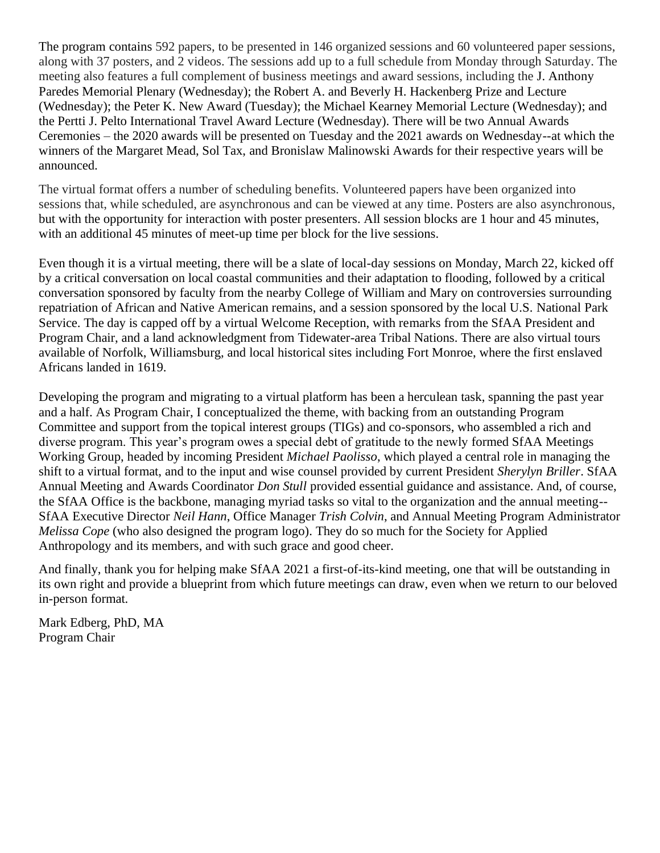The program contains 592 papers, to be presented in 146 organized sessions and 60 volunteered paper sessions, along with 37 posters, and 2 videos. The sessions add up to a full schedule from Monday through Saturday. The meeting also features a full complement of business meetings and award sessions, including the J. Anthony Paredes Memorial Plenary (Wednesday); the Robert A. and Beverly H. Hackenberg Prize and Lecture (Wednesday); the Peter K. New Award (Tuesday); the Michael Kearney Memorial Lecture (Wednesday); and the Pertti J. Pelto International Travel Award Lecture (Wednesday). There will be two Annual Awards Ceremonies – the 2020 awards will be presented on Tuesday and the 2021 awards on Wednesday--at which the winners of the Margaret Mead, Sol Tax, and Bronislaw Malinowski Awards for their respective years will be announced.

The virtual format offers a number of scheduling benefits. Volunteered papers have been organized into sessions that, while scheduled, are asynchronous and can be viewed at any time. Posters are also asynchronous, but with the opportunity for interaction with poster presenters. All session blocks are 1 hour and 45 minutes, with an additional 45 minutes of meet-up time per block for the live sessions.

Even though it is a virtual meeting, there will be a slate of local-day sessions on Monday, March 22, kicked off by a critical conversation on local coastal communities and their adaptation to flooding, followed by a critical conversation sponsored by faculty from the nearby College of William and Mary on controversies surrounding repatriation of African and Native American remains, and a session sponsored by the local U.S. National Park Service. The day is capped off by a virtual Welcome Reception, with remarks from the SfAA President and Program Chair, and a land acknowledgment from Tidewater-area Tribal Nations. There are also virtual tours available of Norfolk, Williamsburg, and local historical sites including Fort Monroe, where the first enslaved Africans landed in 1619.

Developing the program and migrating to a virtual platform has been a herculean task, spanning the past year and a half. As Program Chair, I conceptualized the theme, with backing from an outstanding Program Committee and support from the topical interest groups (TIGs) and co-sponsors, who assembled a rich and diverse program. This year's program owes a special debt of gratitude to the newly formed SfAA Meetings Working Group, headed by incoming President *Michael Paolisso*, which played a central role in managing the shift to a virtual format, and to the input and wise counsel provided by current President *Sherylyn Briller*. SfAA Annual Meeting and Awards Coordinator *Don Stull* provided essential guidance and assistance. And, of course, the SfAA Office is the backbone, managing myriad tasks so vital to the organization and the annual meeting-- SfAA Executive Director *Neil Hann*, Office Manager *Trish Colvin*, and Annual Meeting Program Administrator *Melissa Cope* (who also designed the program logo). They do so much for the Society for Applied Anthropology and its members, and with such grace and good cheer.

And finally, thank you for helping make SfAA 2021 a first-of-its-kind meeting, one that will be outstanding in its own right and provide a blueprint from which future meetings can draw, even when we return to our beloved in-person format.

Mark Edberg, PhD, MA Program Chair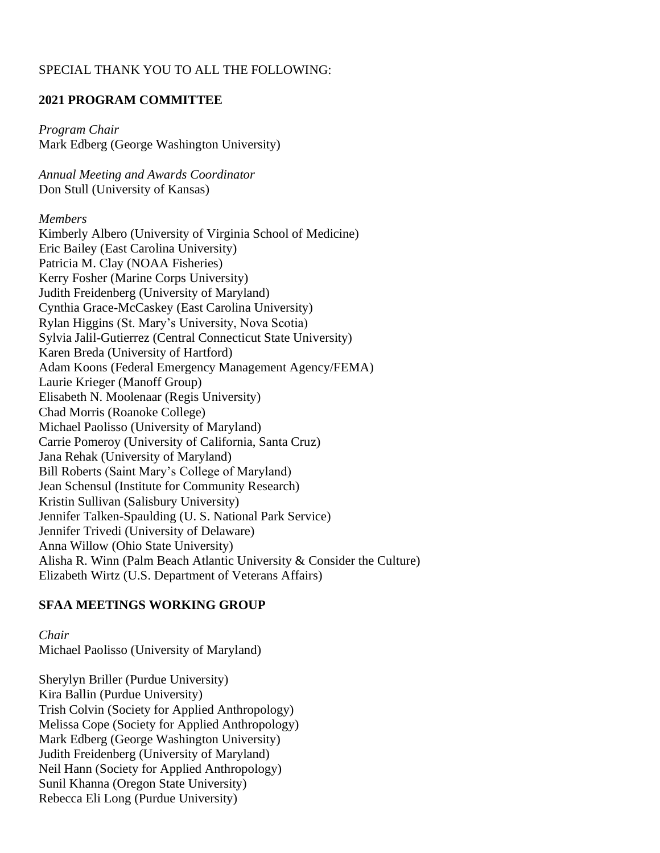# SPECIAL THANK YOU TO ALL THE FOLLOWING:

# **2021 PROGRAM COMMITTEE**

*Program Chair* Mark Edberg (George Washington University)

*Annual Meeting and Awards Coordinator*  Don Stull (University of Kansas)

#### *Members*

Kimberly Albero (University of Virginia School of Medicine) Eric Bailey (East Carolina University) Patricia M. Clay (NOAA Fisheries) Kerry Fosher (Marine Corps University) Judith Freidenberg (University of Maryland) Cynthia Grace-McCaskey (East Carolina University) Rylan Higgins (St. Mary's University, Nova Scotia) Sylvia Jalil-Gutierrez (Central Connecticut State University) Karen Breda (University of Hartford) Adam Koons (Federal Emergency Management Agency/FEMA) Laurie Krieger (Manoff Group) Elisabeth N. Moolenaar (Regis University) Chad Morris (Roanoke College) Michael Paolisso (University of Maryland) Carrie Pomeroy (University of California, Santa Cruz) Jana Rehak (University of Maryland) Bill Roberts (Saint Mary's College of Maryland) Jean Schensul (Institute for Community Research) Kristin Sullivan (Salisbury University) Jennifer Talken-Spaulding (U. S. National Park Service) Jennifer Trivedi (University of Delaware) Anna Willow (Ohio State University) Alisha R. Winn (Palm Beach Atlantic University & Consider the Culture) Elizabeth Wirtz (U.S. Department of Veterans Affairs)

## **SFAA MEETINGS WORKING GROUP**

*Chair* Michael Paolisso (University of Maryland)

Sherylyn Briller (Purdue University) Kira Ballin (Purdue University) Trish Colvin (Society for Applied Anthropology) Melissa Cope (Society for Applied Anthropology) Mark Edberg (George Washington University) Judith Freidenberg (University of Maryland) Neil Hann (Society for Applied Anthropology) Sunil Khanna (Oregon State University) Rebecca Eli Long (Purdue University)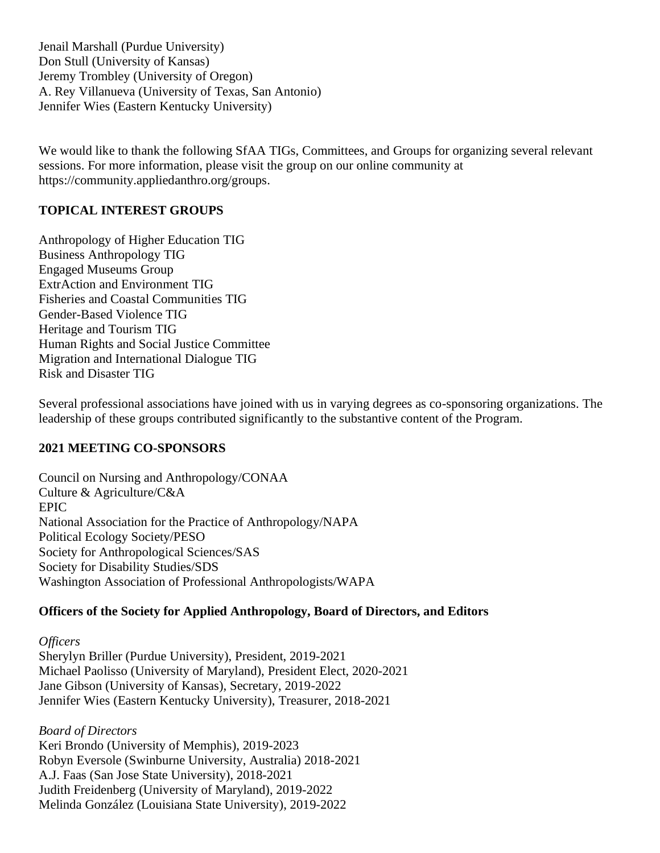Jenail Marshall (Purdue University) Don Stull (University of Kansas) Jeremy Trombley (University of Oregon) A. Rey Villanueva (University of Texas, San Antonio) Jennifer Wies (Eastern Kentucky University)

We would like to thank the following SfAA TIGs, Committees, and Groups for organizing several relevant sessions. For more information, please visit the group on our online community at https://community.appliedanthro.org/groups.

# **TOPICAL INTEREST GROUPS**

Anthropology of Higher Education TIG Business Anthropology TIG Engaged Museums Group ExtrAction and Environment TIG Fisheries and Coastal Communities TIG Gender-Based Violence TIG Heritage and Tourism TIG Human Rights and Social Justice Committee Migration and International Dialogue TIG Risk and Disaster TIG

Several professional associations have joined with us in varying degrees as co-sponsoring organizations. The leadership of these groups contributed significantly to the substantive content of the Program.

# **2021 MEETING CO-SPONSORS**

Council on Nursing and Anthropology/CONAA Culture & Agriculture/C&A EPIC National Association for the Practice of Anthropology/NAPA Political Ecology Society/PESO Society for Anthropological Sciences/SAS Society for Disability Studies/SDS Washington Association of Professional Anthropologists/WAPA

# **Officers of the Society for Applied Anthropology, Board of Directors, and Editors**

*Officers*  Sherylyn Briller (Purdue University), President, 2019-2021 Michael Paolisso (University of Maryland), President Elect, 2020-2021 Jane Gibson (University of Kansas), Secretary, 2019-2022 Jennifer Wies (Eastern Kentucky University), Treasurer, 2018-2021

*Board of Directors*  Keri Brondo (University of Memphis), 2019-2023 Robyn Eversole (Swinburne University, Australia) 2018-2021 A.J. Faas (San Jose State University), 2018-2021 Judith Freidenberg (University of Maryland), 2019-2022 Melinda González (Louisiana State University), 2019-2022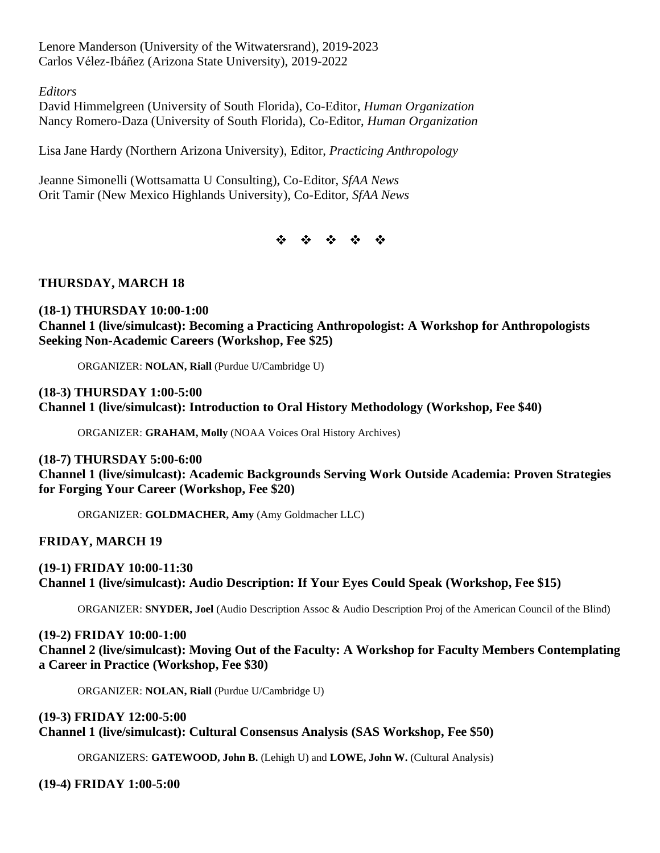Lenore Manderson (University of the Witwatersrand), 2019-2023 Carlos Vélez-Ibáñez (Arizona State University), 2019-2022

*Editors* 

David Himmelgreen (University of South Florida), Co-Editor, *Human Organization* Nancy Romero-Daza (University of South Florida), Co-Editor, *Human Organization*

Lisa Jane Hardy (Northern Arizona University), Editor, *Practicing Anthropology*

Jeanne Simonelli (Wottsamatta U Consulting), Co-Editor, *SfAA News*  Orit Tamir (New Mexico Highlands University), Co-Editor, *SfAA News* 

\* \* \* \* \*

## **THURSDAY, MARCH 18**

# **(18-1) THURSDAY 10:00-1:00 Channel 1 (live/simulcast): Becoming a Practicing Anthropologist: A Workshop for Anthropologists Seeking Non-Academic Careers (Workshop, Fee \$25)**

ORGANIZER: **NOLAN, Riall** (Purdue U/Cambridge U)

#### **(18-3) THURSDAY 1:00-5:00 Channel 1 (live/simulcast): Introduction to Oral History Methodology (Workshop, Fee \$40)**

ORGANIZER: **GRAHAM, Molly** (NOAA Voices Oral History Archives)

**(18-7) THURSDAY 5:00-6:00 Channel 1 (live/simulcast): Academic Backgrounds Serving Work Outside Academia: Proven Strategies for Forging Your Career (Workshop, Fee \$20)**

ORGANIZER: **GOLDMACHER, Amy** (Amy Goldmacher LLC)

**FRIDAY, MARCH 19**

**(19-1) FRIDAY 10:00-11:30 Channel 1 (live/simulcast): Audio Description: If Your Eyes Could Speak (Workshop, Fee \$15)**

ORGANIZER: **SNYDER, Joel** (Audio Description Assoc & Audio Description Proj of the American Council of the Blind)

**(19-2) FRIDAY 10:00-1:00 Channel 2 (live/simulcast): Moving Out of the Faculty: A Workshop for Faculty Members Contemplating a Career in Practice (Workshop, Fee \$30)**

ORGANIZER: **NOLAN, Riall** (Purdue U/Cambridge U)

# **(19-3) FRIDAY 12:00-5:00 Channel 1 (live/simulcast): Cultural Consensus Analysis (SAS Workshop, Fee \$50)**

ORGANIZERS: **GATEWOOD, John B.** (Lehigh U) and **LOWE, John W.** (Cultural Analysis)

**(19-4) FRIDAY 1:00-5:00**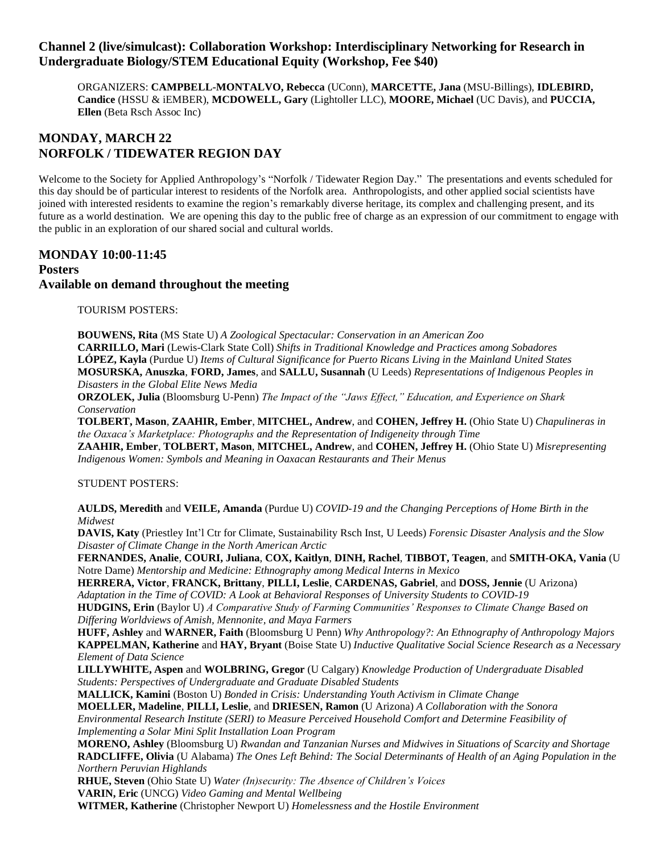## **Channel 2 (live/simulcast): Collaboration Workshop: Interdisciplinary Networking for Research in Undergraduate Biology/STEM Educational Equity (Workshop, Fee \$40)**

ORGANIZERS: **CAMPBELL-MONTALVO, Rebecca** (UConn), **MARCETTE, Jana** (MSU-Billings), **IDLEBIRD, Candice** (HSSU & iEMBER), **MCDOWELL, Gary** (Lightoller LLC), **MOORE, Michael** (UC Davis), and **PUCCIA, Ellen** (Beta Rsch Assoc Inc)

# **MONDAY, MARCH 22 NORFOLK / TIDEWATER REGION DAY**

Welcome to the Society for Applied Anthropology's "Norfolk / Tidewater Region Day." The presentations and events scheduled for this day should be of particular interest to residents of the Norfolk area. Anthropologists, and other applied social scientists have joined with interested residents to examine the region's remarkably diverse heritage, its complex and challenging present, and its future as a world destination. We are opening this day to the public free of charge as an expression of our commitment to engage with the public in an exploration of our shared social and cultural worlds.

# **MONDAY 10:00-11:45 Posters Available on demand throughout the meeting**

TOURISM POSTERS:

**BOUWENS, Rita** (MS State U) *A Zoological Spectacular: Conservation in an American Zoo* **CARRILLO, Mari** (Lewis-Clark State Coll) *Shifts in Traditional Knowledge and Practices among Sobadores* **LÓPEZ, Kayla** (Purdue U) *Items of Cultural Significance for Puerto Ricans Living in the Mainland United States* **MOSURSKA, Anuszka**, **FORD, James**, and **SALLU, Susannah** (U Leeds) *Representations of Indigenous Peoples in Disasters in the Global Elite News Media*

**ORZOLEK, Julia** (Bloomsburg U-Penn) *The Impact of the "Jaws Effect," Education, and Experience on Shark Conservation*

**TOLBERT, Mason**, **ZAAHIR, Ember**, **MITCHEL, Andrew**, and **COHEN, Jeffrey H.** (Ohio State U) *Chapulineras in the Oaxaca's Marketplace: Photographs and the Representation of Indigeneity through Time*

**ZAAHIR, Ember**, **TOLBERT, Mason**, **MITCHEL, Andrew**, and **COHEN, Jeffrey H.** (Ohio State U) *Misrepresenting Indigenous Women: Symbols and Meaning in Oaxacan Restaurants and Their Menus*

#### STUDENT POSTERS:

**AULDS, Meredith** and **VEILE, Amanda** (Purdue U) *COVID-19 and the Changing Perceptions of Home Birth in the Midwest*

**DAVIS, Katy** (Priestley Int'l Ctr for Climate, Sustainability Rsch Inst, U Leeds) *Forensic Disaster Analysis and the Slow Disaster of Climate Change in the North American Arctic*

**FERNANDES, Analie**, **COURI, Juliana**, **COX, Kaitlyn**, **DINH, Rachel**, **TIBBOT, Teagen**, and **SMITH-OKA, Vania** (U Notre Dame) *Mentorship and Medicine: Ethnography among Medical Interns in Mexico*

**HERRERA, Victor**, **FRANCK, Brittany**, **PILLI, Leslie**, **CARDENAS, Gabriel**, and **DOSS, Jennie** (U Arizona) *Adaptation in the Time of COVID: A Look at Behavioral Responses of University Students to COVID-19* **HUDGINS, Erin** (Baylor U) *A Comparative Study of Farming Communities' Responses to Climate Change Based on Differing Worldviews of Amish, Mennonite, and Maya Farmers*

**HUFF, Ashley** and **WARNER, Faith** (Bloomsburg U Penn) *Why Anthropology?: An Ethnography of Anthropology Majors* **KAPPELMAN, Katherine** and **HAY, Bryant** (Boise State U) *Inductive Qualitative Social Science Research as a Necessary Element of Data Science*

**LILLYWHITE, Aspen** and **WOLBRING, Gregor** (U Calgary) *Knowledge Production of Undergraduate Disabled Students: Perspectives of Undergraduate and Graduate Disabled Students*

**MALLICK, Kamini** (Boston U) *Bonded in Crisis: Understanding Youth Activism in Climate Change* **MOELLER, Madeline**, **PILLI, Leslie**, and **DRIESEN, Ramon** (U Arizona) *A Collaboration with the Sonora Environmental Research Institute (SERI) to Measure Perceived Household Comfort and Determine Feasibility of Implementing a Solar Mini Split Installation Loan Program*

**MORENO, Ashley** (Bloomsburg U) *Rwandan and Tanzanian Nurses and Midwives in Situations of Scarcity and Shortage* **RADCLIFFE, Olivia** (U Alabama) *The Ones Left Behind: The Social Determinants of Health of an Aging Population in the Northern Peruvian Highlands*

**RHUE, Steven** (Ohio State U) *Water (In)security: The Absence of Children's Voices*

**VARIN, Eric** (UNCG) *Video Gaming and Mental Wellbeing*

**WITMER, Katherine** (Christopher Newport U) *Homelessness and the Hostile Environment*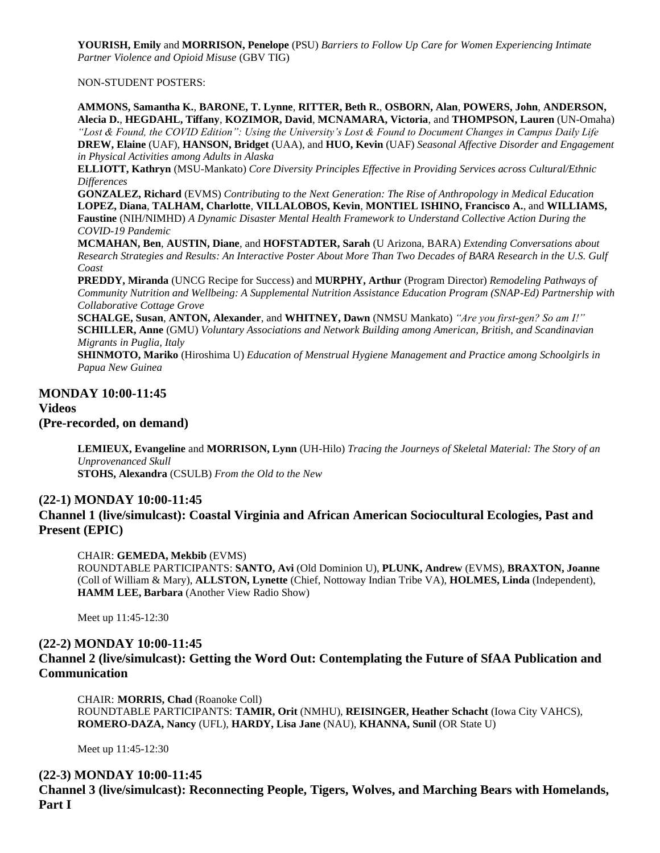**YOURISH, Emily** and **MORRISON, Penelope** (PSU) *Barriers to Follow Up Care for Women Experiencing Intimate Partner Violence and Opioid Misuse* (GBV TIG)

NON-STUDENT POSTERS:

**AMMONS, Samantha K.**, **BARONE, T. Lynne**, **RITTER, Beth R.**, **OSBORN, Alan**, **POWERS, John**, **ANDERSON, Alecia D.**, **HEGDAHL, Tiffany**, **KOZIMOR, David**, **MCNAMARA, Victoria**, and **THOMPSON, Lauren** (UN-Omaha) *"Lost & Found, the COVID Edition": Using the University's Lost & Found to Document Changes in Campus Daily Life* **DREW, Elaine** (UAF), **HANSON, Bridget** (UAA), and **HUO, Kevin** (UAF) *Seasonal Affective Disorder and Engagement in Physical Activities among Adults in Alaska*

**ELLIOTT, Kathryn** (MSU-Mankato) *Core Diversity Principles Effective in Providing Services across Cultural/Ethnic Differences*

**GONZALEZ, Richard** (EVMS) *Contributing to the Next Generation: The Rise of Anthropology in Medical Education* **LOPEZ, Diana**, **TALHAM, Charlotte**, **VILLALOBOS, Kevin**, **MONTIEL ISHINO, Francisco A.**, and **WILLIAMS, Faustine** (NIH/NIMHD) *A Dynamic Disaster Mental Health Framework to Understand Collective Action During the COVID-19 Pandemic*

**MCMAHAN, Ben**, **AUSTIN, Diane**, and **HOFSTADTER, Sarah** (U Arizona, BARA) *Extending Conversations about Research Strategies and Results: An Interactive Poster About More Than Two Decades of BARA Research in the U.S. Gulf Coast*

**PREDDY, Miranda** (UNCG Recipe for Success) and **MURPHY, Arthur** (Program Director) *Remodeling Pathways of Community Nutrition and Wellbeing: A Supplemental Nutrition Assistance Education Program (SNAP-Ed) Partnership with Collaborative Cottage Grove*

**SCHALGE, Susan**, **ANTON, Alexander**, and **WHITNEY, Dawn** (NMSU Mankato) *"Are you first-gen? So am I!"* **SCHILLER, Anne** (GMU) *Voluntary Associations and Network Building among American, British, and Scandinavian Migrants in Puglia, Italy*

**SHINMOTO, Mariko** (Hiroshima U) *Education of Menstrual Hygiene Management and Practice among Schoolgirls in Papua New Guinea*

**MONDAY 10:00-11:45 Videos**

**(Pre-recorded, on demand)**

**LEMIEUX, Evangeline** and **MORRISON, Lynn** (UH-Hilo) *Tracing the Journeys of Skeletal Material: The Story of an Unprovenanced Skull*

**STOHS, Alexandra** (CSULB) *From the Old to the New*

#### **(22-1) MONDAY 10:00-11:45**

**Channel 1 (live/simulcast): Coastal Virginia and African American Sociocultural Ecologies, Past and Present (EPIC)**

CHAIR: **GEMEDA, Mekbib** (EVMS)

ROUNDTABLE PARTICIPANTS: **SANTO, Avi** (Old Dominion U), **PLUNK, Andrew** (EVMS), **BRAXTON, Joanne** (Coll of William & Mary), **ALLSTON, Lynette** (Chief, Nottoway Indian Tribe VA), **HOLMES, Linda** (Independent), **HAMM LEE, Barbara** (Another View Radio Show)

Meet up 11:45-12:30

#### **(22-2) MONDAY 10:00-11:45**

**Channel 2 (live/simulcast): Getting the Word Out: Contemplating the Future of SfAA Publication and Communication**

CHAIR: **MORRIS, Chad** (Roanoke Coll) ROUNDTABLE PARTICIPANTS: **TAMIR, Orit** (NMHU), **REISINGER, Heather Schacht** (Iowa City VAHCS), **ROMERO-DAZA, Nancy** (UFL), **HARDY, Lisa Jane** (NAU), **KHANNA, Sunil** (OR State U)

Meet up 11:45-12:30

#### **(22-3) MONDAY 10:00-11:45 Channel 3 (live/simulcast): Reconnecting People, Tigers, Wolves, and Marching Bears with Homelands, Part I**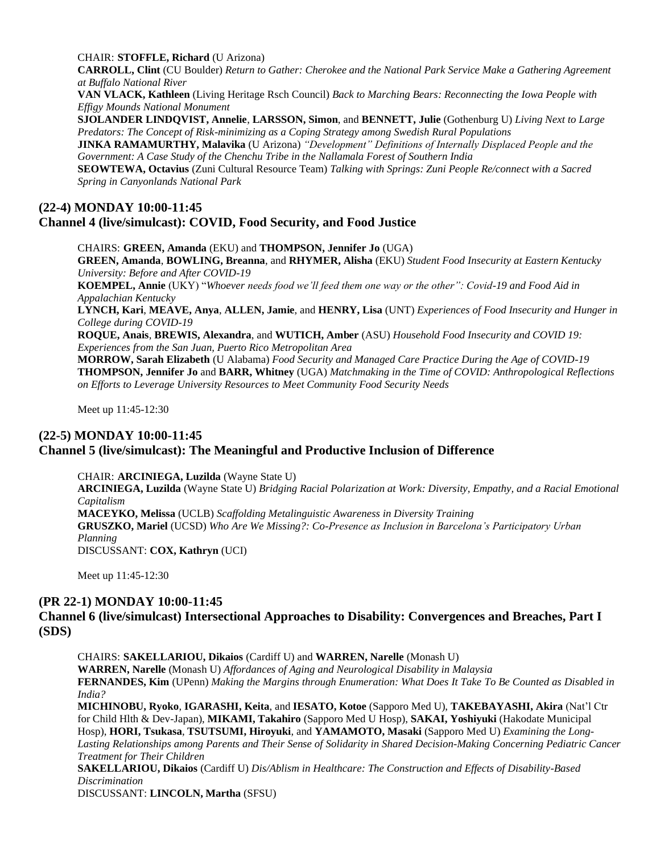#### CHAIR: **STOFFLE, Richard** (U Arizona)

**CARROLL, Clint** (CU Boulder) *Return to Gather: Cherokee and the National Park Service Make a Gathering Agreement at Buffalo National River*

**VAN VLACK, Kathleen** (Living Heritage Rsch Council) *Back to Marching Bears: Reconnecting the Iowa People with Effigy Mounds National Monument*

**SJOLANDER LINDQVIST, Annelie**, **LARSSON, Simon**, and **BENNETT, Julie** (Gothenburg U) *Living Next to Large Predators: The Concept of Risk-minimizing as a Coping Strategy among Swedish Rural Populations*

**JINKA RAMAMURTHY, Malavika** (U Arizona) *"Development" Definitions of Internally Displaced People and the Government: A Case Study of the Chenchu Tribe in the Nallamala Forest of Southern India*

**SEOWTEWA, Octavius** (Zuni Cultural Resource Team) *Talking with Springs: Zuni People Re/connect with a Sacred Spring in Canyonlands National Park*

#### **(22-4) MONDAY 10:00-11:45 Channel 4 (live/simulcast): COVID, Food Security, and Food Justice**

CHAIRS: **GREEN, Amanda** (EKU) and **THOMPSON, Jennifer Jo** (UGA) **GREEN, Amanda**, **BOWLING, Breanna**, and **RHYMER, Alisha** (EKU) *Student Food Insecurity at Eastern Kentucky University: Before and After COVID-19* **KOEMPEL, Annie** (UKY) "*Whoever needs food we'll feed them one way or the other": Covid-19 and Food Aid in* 

*Appalachian Kentucky*

**LYNCH, Kari**, **MEAVE, Anya**, **ALLEN, Jamie**, and **HENRY, Lisa** (UNT) *Experiences of Food Insecurity and Hunger in College during COVID-19*

**ROQUE, Anais**, **BREWIS, Alexandra**, and **WUTICH, Amber** (ASU) *Household Food Insecurity and COVID 19: Experiences from the San Juan, Puerto Rico Metropolitan Area*

**MORROW, Sarah Elizabeth** (U Alabama) *Food Security and Managed Care Practice During the Age of COVID-19* **THOMPSON, Jennifer Jo** and **BARR, Whitney** (UGA) *Matchmaking in the Time of COVID: Anthropological Reflections on Efforts to Leverage University Resources to Meet Community Food Security Needs*

Meet up 11:45-12:30

#### **(22-5) MONDAY 10:00-11:45**

## **Channel 5 (live/simulcast): The Meaningful and Productive Inclusion of Difference**

CHAIR: **ARCINIEGA, Luzilda** (Wayne State U) **ARCINIEGA, Luzilda** (Wayne State U) *Bridging Racial Polarization at Work: Diversity, Empathy, and a Racial Emotional Capitalism* **MACEYKO, Melissa** (UCLB) *Scaffolding Metalinguistic Awareness in Diversity Training* **GRUSZKO, Mariel** (UCSD) *Who Are We Missing?: Co-Presence as Inclusion in Barcelona's Participatory Urban Planning* DISCUSSANT: **COX, Kathryn** (UCI)

Meet up 11:45-12:30

#### **(PR 22-1) MONDAY 10:00-11:45**

#### **Channel 6 (live/simulcast) Intersectional Approaches to Disability: Convergences and Breaches, Part I (SDS)**

CHAIRS: **SAKELLARIOU, Dikaios** (Cardiff U) and **WARREN, Narelle** (Monash U)

**WARREN, Narelle** (Monash U) *Affordances of Aging and Neurological Disability in Malaysia*

**FERNANDES, Kim** (UPenn) *Making the Margins through Enumeration: What Does It Take To Be Counted as Disabled in India?*

**MICHINOBU, Ryoko**, **IGARASHI, Keita**, and **IESATO, Kotoe** (Sapporo Med U), **TAKEBAYASHI, Akira** (Nat'l Ctr for Child Hlth & Dev-Japan), **MIKAMI, Takahiro** (Sapporo Med U Hosp), **SAKAI, Yoshiyuki** (Hakodate Municipal Hosp), **HORI, Tsukasa**, **TSUTSUMI, Hiroyuki**, and **YAMAMOTO, Masaki** (Sapporo Med U) *Examining the Long-Lasting Relationships among Parents and Their Sense of Solidarity in Shared Decision-Making Concerning Pediatric Cancer Treatment for Their Children*

**SAKELLARIOU, Dikaios** (Cardiff U) *Dis/Ablism in Healthcare: The Construction and Effects of Disability-Based Discrimination*

DISCUSSANT: **LINCOLN, Martha** (SFSU)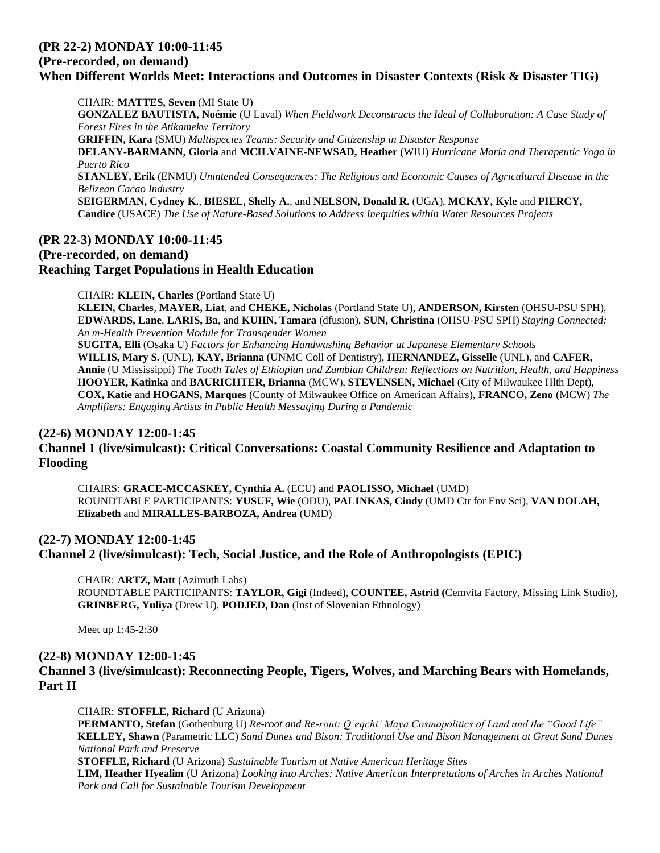# **(PR 22-2) MONDAY 10:00-11:45**

#### **(Pre-recorded, on demand)**

# **When Different Worlds Meet: Interactions and Outcomes in Disaster Contexts (Risk & Disaster TIG)**

CHAIR: **MATTES, Seven** (MI State U) **GONZALEZ BAUTISTA, Noémie** (U Laval) *When Fieldwork Deconstructs the Ideal of Collaboration: A Case Study of Forest Fires in the Atikamekw Territory* **GRIFFIN, Kara** (SMU) *Multispecies Teams: Security and Citizenship in Disaster Response* **DELANY-BARMANN, Gloria** and **MCILVAINE-NEWSAD, Heather** (WIU) *Hurricane María and Therapeutic Yoga in Puerto Rico*

**STANLEY, Erik** (ENMU) *Unintended Consequences: The Religious and Economic Causes of Agricultural Disease in the Belizean Cacao Industry*

**SEIGERMAN, Cydney K.**, **BIESEL, Shelly A.**, and **NELSON, Donald R.** (UGA), **MCKAY, Kyle** and **PIERCY, Candice** (USACE) *The Use of Nature-Based Solutions to Address Inequities within Water Resources Projects*

#### **(PR 22-3) MONDAY 10:00-11:45 (Pre-recorded, on demand) Reaching Target Populations in Health Education**

CHAIR: **KLEIN, Charles** (Portland State U)

**KLEIN, Charles**, **MAYER, Liat**, and **CHEKE, Nicholas** (Portland State U), **ANDERSON, Kirsten** (OHSU-PSU SPH), **EDWARDS, Lane**, **LARIS, Ba**, and **KUHN, Tamara** (dfusion), **SUN, Christina** (OHSU-PSU SPH) *Staying Connected: An m-Health Prevention Module for Transgender Women*

**SUGITA, Elli** (Osaka U) *Factors for Enhancing Handwashing Behavior at Japanese Elementary Schools* **WILLIS, Mary S.** (UNL), **KAY, Brianna** (UNMC Coll of Dentistry), **HERNANDEZ, Gisselle** (UNL), and **CAFER, Annie** (U Mississippi) *The Tooth Tales of Ethiopian and Zambian Children: Reflections on Nutrition, Health, and Happiness* **HOOYER, Katinka** and **BAURICHTER, Brianna** (MCW), **STEVENSEN, Michael** (City of Milwaukee Hlth Dept), **COX, Katie** and **HOGANS, Marques** (County of Milwaukee Office on American Affairs), **FRANCO, Zeno** (MCW) *The Amplifiers: Engaging Artists in Public Health Messaging During a Pandemic*

#### **(22-6) MONDAY 12:00-1:45**

**Channel 1 (live/simulcast): Critical Conversations: Coastal Community Resilience and Adaptation to Flooding**

CHAIRS: **GRACE-MCCASKEY, Cynthia A.** (ECU) and **PAOLISSO, Michael** (UMD) ROUNDTABLE PARTICIPANTS: **YUSUF, Wie** (ODU), **PALINKAS, Cindy** (UMD Ctr for Env Sci), **VAN DOLAH, Elizabeth** and **MIRALLES-BARBOZA, Andrea** (UMD)

# **(22-7) MONDAY 12:00-1:45 Channel 2 (live/simulcast): Tech, Social Justice, and the Role of Anthropologists (EPIC)**

CHAIR: **ARTZ, Matt** (Azimuth Labs)

ROUNDTABLE PARTICIPANTS: **TAYLOR, Gigi** (Indeed), **COUNTEE, Astrid (**Cemvita Factory, Missing Link Studio), **GRINBERG, Yuliya** (Drew U), **PODJED, Dan** (Inst of Slovenian Ethnology)

Meet up 1:45-2:30

#### **(22-8) MONDAY 12:00-1:45**

**Channel 3 (live/simulcast): Reconnecting People, Tigers, Wolves, and Marching Bears with Homelands, Part II**

CHAIR: **STOFFLE, Richard** (U Arizona) **PERMANTO, Stefan** (Gothenburg U) *Re-root and Re-rout: Q'eqchi' Maya Cosmopolitics of Land and the "Good Life"* **KELLEY, Shawn** (Parametric LLC) *Sand Dunes and Bison: Traditional Use and Bison Management at Great Sand Dunes National Park and Preserve* **STOFFLE, Richard** (U Arizona) *Sustainable Tourism at Native American Heritage Sites* **LIM, Heather Hyealim** (U Arizona) *Looking into Arches: Native American Interpretations of Arches in Arches National Park and Call for Sustainable Tourism Development*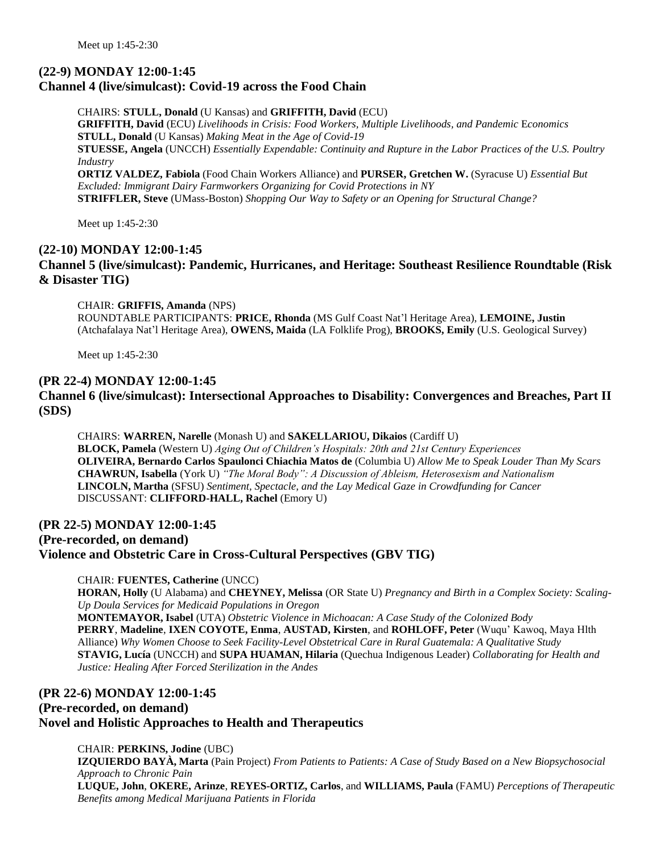# **(22-9) MONDAY 12:00-1:45 Channel 4 (live/simulcast): Covid-19 across the Food Chain**

CHAIRS: **STULL, Donald** (U Kansas) and **GRIFFITH, David** (ECU) **GRIFFITH, David** (ECU) *Livelihoods in Crisis: Food Workers, Multiple Livelihoods, and Pandemic* E*conomics* **STULL, Donald** (U Kansas) *Making Meat in the Age of Covid-19* **STUESSE, Angela** (UNCCH) *Essentially Expendable: Continuity and Rupture in the Labor Practices of the U.S. Poultry Industry* **ORTIZ VALDEZ, Fabiola** (Food Chain Workers Alliance) and **PURSER, Gretchen W.** (Syracuse U) *Essential But Excluded: Immigrant Dairy Farmworkers Organizing for Covid Protections in NY* **STRIFFLER, Steve** (UMass-Boston) *Shopping Our Way to Safety or an Opening for Structural Change?*

Meet up 1:45-2:30

#### **(22-10) MONDAY 12:00-1:45**

**Channel 5 (live/simulcast): Pandemic, Hurricanes, and Heritage: Southeast Resilience Roundtable (Risk & Disaster TIG)**

#### CHAIR: **GRIFFIS, Amanda** (NPS)

ROUNDTABLE PARTICIPANTS: **PRICE, Rhonda** (MS Gulf Coast Nat'l Heritage Area), **LEMOINE, Justin** (Atchafalaya Nat'l Heritage Area), **OWENS, Maida** (LA Folklife Prog), **BROOKS, Emily** (U.S. Geological Survey)

Meet up 1:45-2:30

#### **(PR 22-4) MONDAY 12:00-1:45 Channel 6 (live/simulcast): Intersectional Approaches to Disability: Convergences and Breaches, Part II (SDS)**

CHAIRS: **WARREN, Narelle** (Monash U) and **SAKELLARIOU, Dikaios** (Cardiff U) **BLOCK, Pamela** (Western U) *Aging Out of Children's Hospitals: 20th and 21st Century Experiences* **OLIVEIRA, Bernardo Carlos Spaulonci Chiachia Matos de** (Columbia U) *Allow Me to Speak Louder Than My Scars* **CHAWRUN, Isabella** (York U) *"The Moral Body": A Discussion of Ableism, Heterosexism and Nationalism* **LINCOLN, Martha** (SFSU) *Sentiment, Spectacle, and the Lay Medical Gaze in Crowdfunding for Cancer* DISCUSSANT: **CLIFFORD-HALL, Rachel** (Emory U)

#### **(PR 22-5) MONDAY 12:00-1:45**

**(Pre-recorded, on demand) Violence and Obstetric Care in Cross-Cultural Perspectives (GBV TIG)**

#### CHAIR: **FUENTES, Catherine** (UNCC)

**HORAN, Holly** (U Alabama) and **CHEYNEY, Melissa** (OR State U) *Pregnancy and Birth in a Complex Society: Scaling-Up Doula Services for Medicaid Populations in Oregon* **MONTEMAYOR, Isabel** (UTA) *Obstetric Violence in Michoacan: A Case Study of the Colonized Body* **PERRY**, **Madeline**, **IXEN COYOTE, Enma**, **AUSTAD, Kirsten**, and **ROHLOFF, Peter** (Wuqu' Kawoq, Maya Hlth Alliance) *Why Women Choose to Seek Facility-Level Obstetrical Care in Rural Guatemala: A Qualitative Study* **STAVIG, Lucía** (UNCCH) and **SUPA HUAMAN, Hilaria** (Quechua Indigenous Leader) *Collaborating for Health and Justice: Healing After Forced Sterilization in the Andes*

# **(PR 22-6) MONDAY 12:00-1:45 (Pre-recorded, on demand) Novel and Holistic Approaches to Health and Therapeutics**

#### CHAIR: **PERKINS, Jodine** (UBC)

**IZQUIERDO BAYÀ, Marta** (Pain Project) *From Patients to Patients: A Case of Study Based on a New Biopsychosocial Approach to Chronic Pain*

**LUQUE, John**, **OKERE, Arinze**, **REYES-ORTIZ, Carlos**, and **WILLIAMS, Paula** (FAMU) *Perceptions of Therapeutic Benefits among Medical Marijuana Patients in Florida*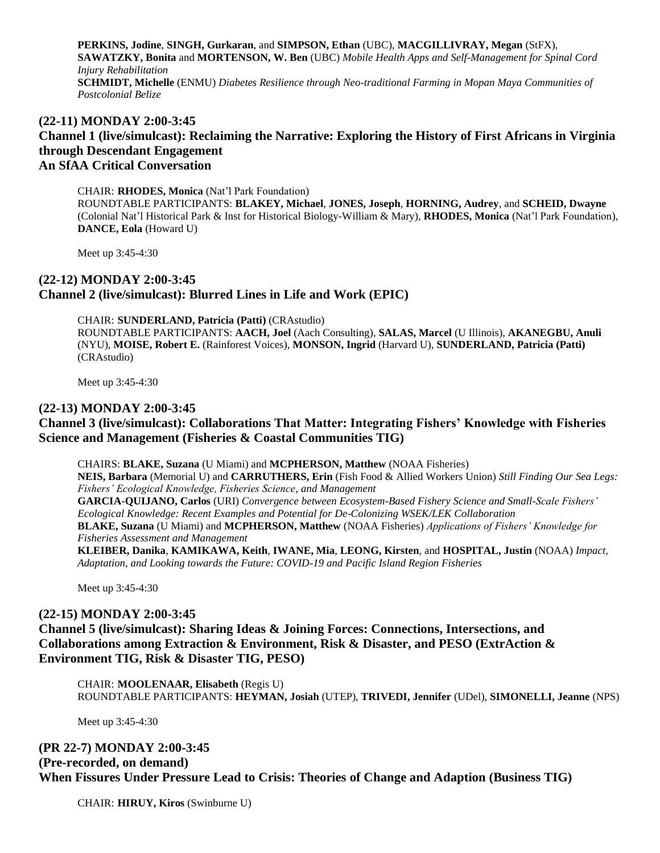**PERKINS, Jodine**, **SINGH, Gurkaran**, and **SIMPSON, Ethan** (UBC), **MACGILLIVRAY, Megan** (StFX), **SAWATZKY, Bonita** and **MORTENSON, W. Ben** (UBC) *Mobile Health Apps and Self-Management for Spinal Cord Injury Rehabilitation* **SCHMIDT, Michelle** (ENMU) *Diabetes Resilience through Neo-traditional Farming in Mopan Maya Communities of Postcolonial Belize*

# **(22-11) MONDAY 2:00-3:45 Channel 1 (live/simulcast): Reclaiming the Narrative: Exploring the History of First Africans in Virginia through Descendant Engagement An SfAA Critical Conversation**

CHAIR: **RHODES, Monica** (Nat'l Park Foundation) ROUNDTABLE PARTICIPANTS: **BLAKEY, Michael**, **JONES, Joseph**, **HORNING, Audrey**, and **SCHEID, Dwayne** (Colonial Nat'l Historical Park & Inst for Historical Biology-William & Mary), **RHODES, Monica** (Nat'l Park Foundation), **DANCE, Eola** (Howard U)

Meet up 3:45-4:30

# **(22-12) MONDAY 2:00-3:45 Channel 2 (live/simulcast): Blurred Lines in Life and Work (EPIC)**

CHAIR: **SUNDERLAND, Patricia (Patti)** (CRAstudio) ROUNDTABLE PARTICIPANTS: **AACH, Joel** (Aach Consulting), **SALAS, Marcel** (U Illinois), **AKANEGBU, Anuli** (NYU), **MOISE, Robert E.** (Rainforest Voices), **MONSON, Ingrid** (Harvard U), **SUNDERLAND, Patricia (Patti)** (CRAstudio)

Meet up 3:45-4:30

#### **(22-13) MONDAY 2:00-3:45**

# **Channel 3 (live/simulcast): Collaborations That Matter: Integrating Fishers' Knowledge with Fisheries Science and Management (Fisheries & Coastal Communities TIG)**

CHAIRS: **BLAKE, Suzana** (U Miami) and **MCPHERSON, Matthew** (NOAA Fisheries) **NEIS, Barbara** (Memorial U) and **CARRUTHERS, Erin** (Fish Food & Allied Workers Union) *Still Finding Our Sea Legs: Fishers' Ecological Knowledge, Fisheries Science, and Management* **GARCIA-QUIJANO, Carlos** (URI) *Convergence between Ecosystem-Based Fishery Science and Small-Scale Fishers' Ecological Knowledge: Recent Examples and Potential for De-Colonizing WSEK/LEK Collaboration* **BLAKE, Suzana** (U Miami) and **MCPHERSON, Matthew** (NOAA Fisheries) *Applications of Fishers' Knowledge for Fisheries Assessment and Management* **KLEIBER, Danika**, **KAMIKAWA, Keith**, **IWANE, Mia**, **LEONG, Kirsten**, and **HOSPITAL, Justin** (NOAA) *Impact, Adaptation, and Looking towards the Future: COVID-19 and Pacific Island Region Fisheries*

Meet up 3:45-4:30

#### **(22-15) MONDAY 2:00-3:45**

**Channel 5 (live/simulcast): Sharing Ideas & Joining Forces: Connections, Intersections, and Collaborations among Extraction & Environment, Risk & Disaster, and PESO (ExtrAction & Environment TIG, Risk & Disaster TIG, PESO)**

CHAIR: **MOOLENAAR, Elisabeth** (Regis U) ROUNDTABLE PARTICIPANTS: **HEYMAN, Josiah** (UTEP), **TRIVEDI, Jennifer** (UDel), **SIMONELLI, Jeanne** (NPS)

Meet up 3:45-4:30

## **(PR 22-7) MONDAY 2:00-3:45**

**(Pre-recorded, on demand) When Fissures Under Pressure Lead to Crisis: Theories of Change and Adaption (Business TIG)**

CHAIR: **HIRUY, Kiros** (Swinburne U)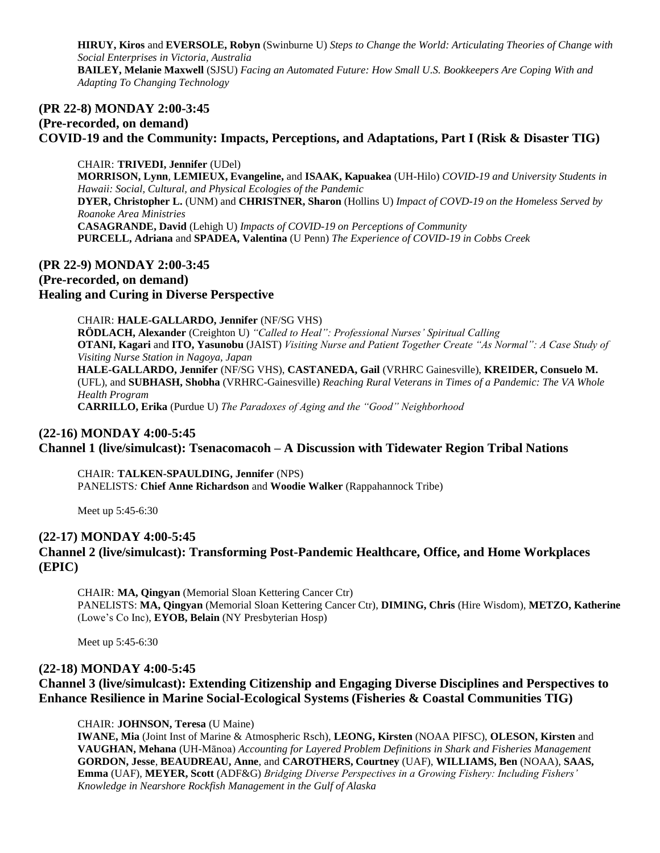**HIRUY, Kiros** and **EVERSOLE, Robyn** (Swinburne U) *Steps to Change the World: Articulating Theories of Change with Social Enterprises in Victoria, Australia* **BAILEY, Melanie Maxwell** (SJSU) *Facing an Automated Future: How Small U.S. Bookkeepers Are Coping With and Adapting To Changing Technology*

# **(PR 22-8) MONDAY 2:00-3:45 (Pre-recorded, on demand) COVID-19 and the Community: Impacts, Perceptions, and Adaptations, Part I (Risk & Disaster TIG)**

CHAIR: **TRIVEDI, Jennifer** (UDel) **MORRISON, Lynn**, **LEMIEUX, Evangeline,** and **ISAAK, Kapuakea** (UH-Hilo) *COVID-19 and University Students in Hawaii: Social, Cultural, and Physical Ecologies of the Pandemic* **DYER, Christopher L.** (UNM) and **CHRISTNER, Sharon** (Hollins U) *Impact of COVD-19 on the Homeless Served by Roanoke Area Ministries* **CASAGRANDE, David** (Lehigh U) *Impacts of COVID-19 on Perceptions of Community* **PURCELL, Adriana** and **SPADEA, Valentina** (U Penn) *The Experience of COVID-19 in Cobbs Creek*

## **(PR 22-9) MONDAY 2:00-3:45 (Pre-recorded, on demand) Healing and Curing in Diverse Perspective**

CHAIR: **HALE-GALLARDO, Jennifer** (NF/SG VHS) **RÖDLACH, Alexander** (Creighton U) *"Called to Heal": Professional Nurses' Spiritual Calling* **OTANI, Kagari** and **ITO, Yasunobu** (JAIST) *Visiting Nurse and Patient Together Create "As Normal": A Case Study of Visiting Nurse Station in Nagoya, Japan* **HALE-GALLARDO, Jennifer** (NF/SG VHS), **CASTANEDA, Gail** (VRHRC Gainesville), **KREIDER, Consuelo M.** (UFL), and **SUBHASH, Shobha** (VRHRC-Gainesville) *Reaching Rural Veterans in Times of a Pandemic: The VA Whole Health Program* **CARRILLO, Erika** (Purdue U) *The Paradoxes of Aging and the "Good" Neighborhood*

## **(22-16) MONDAY 4:00-5:45**

#### **Channel 1 (live/simulcast): Tsenacomacoh – A Discussion with Tidewater Region Tribal Nations**

CHAIR: **TALKEN-SPAULDING, Jennifer** (NPS) PANELISTS*:* **Chief Anne Richardson** and **Woodie Walker** (Rappahannock Tribe)

Meet up 5:45-6:30

#### **(22-17) MONDAY 4:00-5:45**

#### **Channel 2 (live/simulcast): Transforming Post-Pandemic Healthcare, Office, and Home Workplaces (EPIC)**

CHAIR: **MA, Qingyan** (Memorial Sloan Kettering Cancer Ctr) PANELISTS: **MA, Qingyan** (Memorial Sloan Kettering Cancer Ctr), **DIMING, Chris** (Hire Wisdom), **METZO, Katherine** (Lowe's Co Inc), **EYOB, Belain** (NY Presbyterian Hosp)

Meet up 5:45-6:30

#### **(22-18) MONDAY 4:00-5:45 Channel 3 (live/simulcast): Extending Citizenship and Engaging Diverse Disciplines and Perspectives to Enhance Resilience in Marine Social-Ecological Systems (Fisheries & Coastal Communities TIG)**

CHAIR: **JOHNSON, Teresa** (U Maine)

**IWANE, Mia** (Joint Inst of Marine & Atmospheric Rsch), **LEONG, Kirsten** (NOAA PIFSC), **OLESON, Kirsten** and **VAUGHAN, Mehana** (UH-Mānoa) *Accounting for Layered Problem Definitions in Shark and Fisheries Management* **GORDON, Jesse**, **BEAUDREAU, Anne**, and **CAROTHERS, Courtney** (UAF), **WILLIAMS, Ben** (NOAA), **SAAS, Emma** (UAF), **MEYER, Scott** (ADF&G) *Bridging Diverse Perspectives in a Growing Fishery: Including Fishers' Knowledge in Nearshore Rockfish Management in the Gulf of Alaska*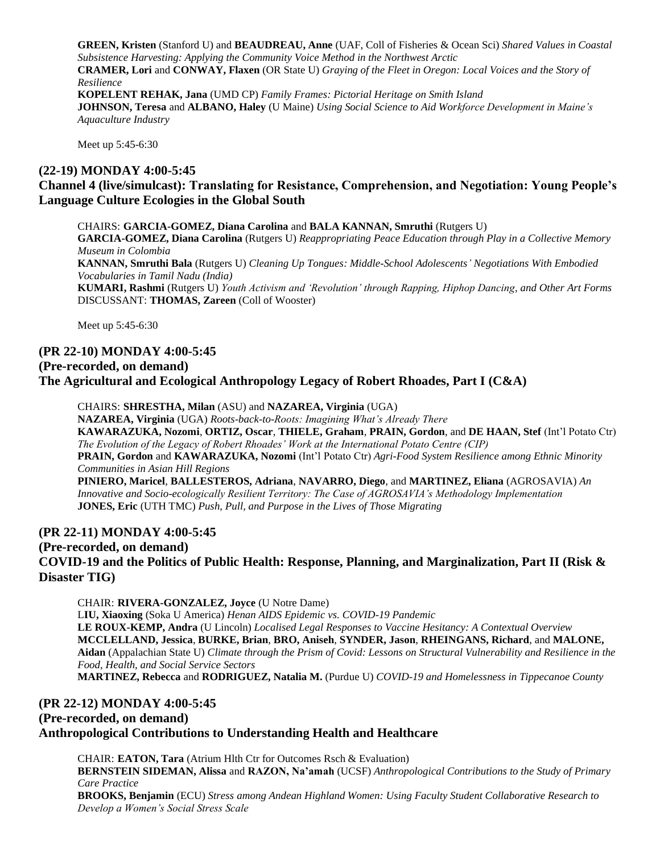**GREEN, Kristen** (Stanford U) and **BEAUDREAU, Anne** (UAF, Coll of Fisheries & Ocean Sci) *Shared Values in Coastal Subsistence Harvesting: Applying the Community Voice Method in the Northwest Arctic* **CRAMER, Lori** and **CONWAY, Flaxen** (OR State U) *Graying of the Fleet in Oregon: Local Voices and the Story of Resilience* **KOPELENT REHAK, Jana** (UMD CP) *Family Frames: Pictorial Heritage on Smith Island* **JOHNSON, Teresa** and **ALBANO, Haley** (U Maine) *Using Social Science to Aid Workforce Development in Maine's Aquaculture Industry*

Meet up 5:45-6:30

#### **(22-19) MONDAY 4:00-5:45**

# **Channel 4 (live/simulcast): Translating for Resistance, Comprehension, and Negotiation: Young People's Language Culture Ecologies in the Global South**

CHAIRS: **GARCIA-GOMEZ, Diana Carolina** and **BALA KANNAN, Smruthi** (Rutgers U) **GARCIA-GOMEZ, Diana Carolina** (Rutgers U) *Reappropriating Peace Education through Play in a Collective Memory Museum in Colombia* **KANNAN, Smruthi Bala** (Rutgers U) *Cleaning Up Tongues: Middle-School Adolescents' Negotiations With Embodied Vocabularies in Tamil Nadu (India)* **KUMARI, Rashmi** (Rutgers U) *Youth Activism and 'Revolution' through Rapping, Hiphop Dancing, and Other Art Forms* DISCUSSANT: **THOMAS, Zareen** (Coll of Wooster)

Meet up 5:45-6:30

#### **(PR 22-10) MONDAY 4:00-5:45**

#### **(Pre-recorded, on demand)**

#### **The Agricultural and Ecological Anthropology Legacy of Robert Rhoades, Part I (C&A)**

CHAIRS: **SHRESTHA, Milan** (ASU) and **NAZAREA, Virginia** (UGA) **NAZAREA, Virginia** (UGA) *Roots-back-to-Roots: Imagining What's Already There* **KAWARAZUKA, Nozomi**, **ORTIZ, Oscar**, **THIELE, Graham**, **PRAIN, Gordon**, and **DE HAAN, Stef** (Int'l Potato Ctr) *The Evolution of the Legacy of Robert Rhoades' Work at the International Potato Centre (CIP)* **PRAIN, Gordon** and **KAWARAZUKA, Nozomi** (Int'l Potato Ctr) *Agri-Food System Resilience among Ethnic Minority Communities in Asian Hill Regions* **PINIERO, Maricel**, **BALLESTEROS, Adriana**, **NAVARRO, Diego**, and **MARTINEZ, Eliana** (AGROSAVIA) *An Innovative and Socio-ecologically Resilient Territory: The Case of AGROSAVIA's Methodology Implementation* **JONES, Eric** (UTH TMC) *Push, Pull, and Purpose in the Lives of Those Migrating*

#### **(PR 22-11) MONDAY 4:00-5:45**

**(Pre-recorded, on demand) COVID-19 and the Politics of Public Health: Response, Planning, and Marginalization, Part II (Risk & Disaster TIG)**

CHAIR: **RIVERA-GONZALEZ, Joyce** (U Notre Dame) L**IU, Xiaoxing** (Soka U America) *Henan AIDS Epidemic vs. COVID-19 Pandemic* **LE ROUX-KEMP, Andra** (U Lincoln) *Localised Legal Responses to Vaccine Hesitancy: A Contextual Overview* **MCCLELLAND, Jessica**, **BURKE, Brian**, **BRO, Aniseh**, **SYNDER, Jason**, **RHEINGANS, Richard**, and **MALONE, Aidan** (Appalachian State U) *Climate through the Prism of Covid: Lessons on Structural Vulnerability and Resilience in the Food, Health, and Social Service Sectors* **MARTINEZ, Rebecca** and **RODRIGUEZ, Natalia M.** (Purdue U) *COVID-19 and Homelessness in Tippecanoe County*

#### **(PR 22-12) MONDAY 4:00-5:45**

**(Pre-recorded, on demand)**

#### **Anthropological Contributions to Understanding Health and Healthcare**

CHAIR: **EATON, Tara** (Atrium Hlth Ctr for Outcomes Rsch & Evaluation) **BERNSTEIN SIDEMAN, Alissa** and **RAZON, Na'amah** (UCSF) *Anthropological Contributions to the Study of Primary Care Practice* **BROOKS, Benjamin** (ECU) *Stress among Andean Highland Women: Using Faculty Student Collaborative Research to Develop a Women's Social Stress Scale*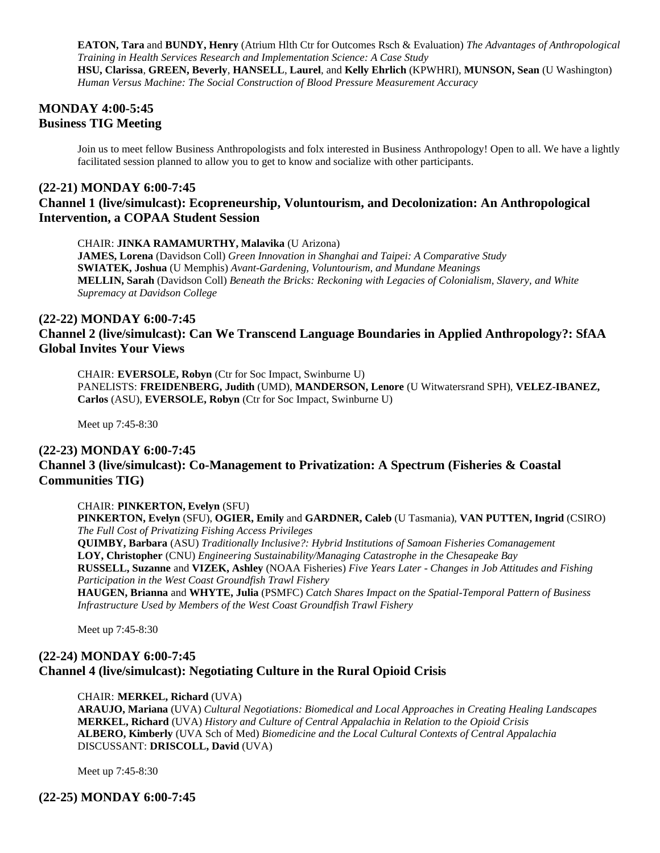**EATON, Tara** and **BUNDY, Henry** (Atrium Hlth Ctr for Outcomes Rsch & Evaluation) *The Advantages of Anthropological Training in Health Services Research and Implementation Science: A Case Study* **HSU, Clarissa**, **GREEN, Beverly**, **HANSELL**, **Laurel**, and **Kelly Ehrlich** (KPWHRI), **MUNSON, Sean** (U Washington) *Human Versus Machine: The Social Construction of Blood Pressure Measurement Accuracy*

## **MONDAY 4:00-5:45 Business TIG Meeting**

Join us to meet fellow Business Anthropologists and folx interested in Business Anthropology! Open to all. We have a lightly facilitated session planned to allow you to get to know and socialize with other participants.

#### **(22-21) MONDAY 6:00-7:45 Channel 1 (live/simulcast): Ecopreneurship, Voluntourism, and Decolonization: An Anthropological Intervention, a COPAA Student Session**

#### CHAIR: **JINKA RAMAMURTHY, Malavika** (U Arizona)

**JAMES, Lorena** (Davidson Coll) *Green Innovation in Shanghai and Taipei: A Comparative Study* **SWIATEK, Joshua** (U Memphis) *Avant-Gardening, Voluntourism, and Mundane Meanings* **MELLIN, Sarah** (Davidson Coll) *Beneath the Bricks: Reckoning with Legacies of Colonialism, Slavery, and White Supremacy at Davidson College*

#### **(22-22) MONDAY 6:00-7:45**

# **Channel 2 (live/simulcast): Can We Transcend Language Boundaries in Applied Anthropology?: SfAA Global Invites Your Views**

CHAIR: **EVERSOLE, Robyn** (Ctr for Soc Impact, Swinburne U) PANELISTS: **FREIDENBERG, Judith** (UMD), **MANDERSON, Lenore** (U Witwatersrand SPH), **VELEZ-IBANEZ, Carlos** (ASU), **EVERSOLE, Robyn** (Ctr for Soc Impact, Swinburne U)

Meet up 7:45-8:30

# **(22-23) MONDAY 6:00-7:45 Channel 3 (live/simulcast): Co-Management to Privatization: A Spectrum (Fisheries & Coastal Communities TIG)**

#### CHAIR: **PINKERTON, Evelyn** (SFU)

**PINKERTON, Evelyn** (SFU), **OGIER, Emily** and **GARDNER, Caleb** (U Tasmania), **VAN PUTTEN, Ingrid** (CSIRO) *The Full Cost of Privatizing Fishing Access Privileges*

**QUIMBY, Barbara** (ASU) *Traditionally Inclusive?: Hybrid Institutions of Samoan Fisheries Comanagement* **LOY, Christopher** (CNU) *Engineering Sustainability/Managing Catastrophe in the Chesapeake Bay* **RUSSELL, Suzanne** and **VIZEK, Ashley** (NOAA Fisheries) *Five Years Later - Changes in Job Attitudes and Fishing Participation in the West Coast Groundfish Trawl Fishery*

**HAUGEN, Brianna** and **WHYTE, Julia** (PSMFC) *Catch Shares Impact on the Spatial-Temporal Pattern of Business Infrastructure Used by Members of the West Coast Groundfish Trawl Fishery*

Meet up 7:45-8:30

# **(22-24) MONDAY 6:00-7:45 Channel 4 (live/simulcast): Negotiating Culture in the Rural Opioid Crisis**

#### CHAIR: **MERKEL, Richard** (UVA)

**ARAUJO, Mariana** (UVA) *Cultural Negotiations: Biomedical and Local Approaches in Creating Healing Landscapes* **MERKEL, Richard** (UVA) *History and Culture of Central Appalachia in Relation to the Opioid Crisis* **ALBERO, Kimberly** (UVA Sch of Med) *Biomedicine and the Local Cultural Contexts of Central Appalachia* DISCUSSANT: **DRISCOLL, David** (UVA)

Meet up 7:45-8:30

**(22-25) MONDAY 6:00-7:45**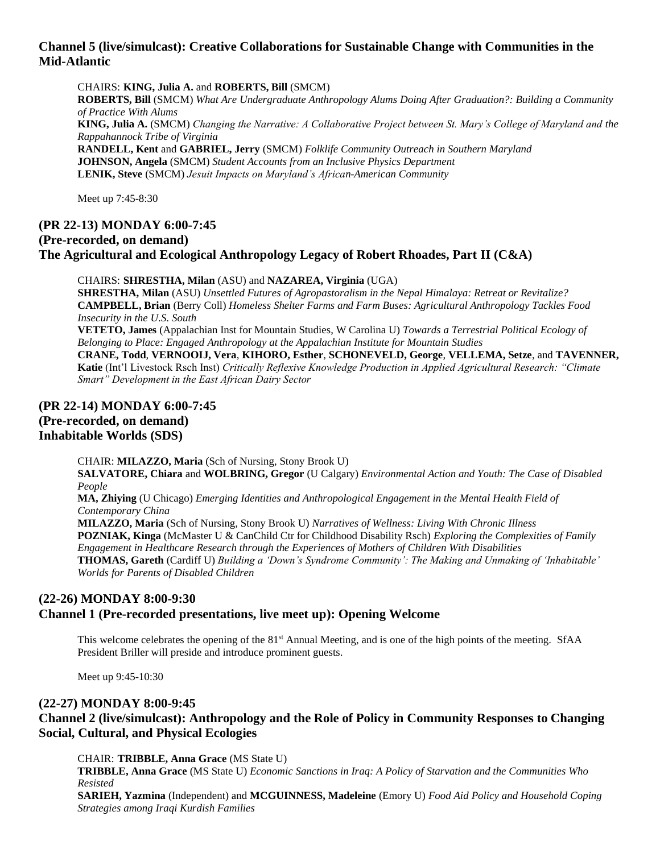## **Channel 5 (live/simulcast): Creative Collaborations for Sustainable Change with Communities in the Mid-Atlantic**

CHAIRS: **KING, Julia A.** and **ROBERTS, Bill** (SMCM) **ROBERTS, Bill** (SMCM) *What Are Undergraduate Anthropology Alums Doing After Graduation?: Building a Community of Practice With Alums* **KING, Julia A.** (SMCM) *Changing the Narrative: A Collaborative Project between St. Mary's College of Maryland and the Rappahannock Tribe of Virginia* **RANDELL, Kent** and **GABRIEL, Jerry** (SMCM) *Folklife Community Outreach in Southern Maryland* **JOHNSON, Angela** (SMCM) *Student Accounts from an Inclusive Physics Department*

**LENIK, Steve** (SMCM) *Jesuit Impacts on Maryland's African-American Community*

Meet up 7:45-8:30

# **(PR 22-13) MONDAY 6:00-7:45 (Pre-recorded, on demand) The Agricultural and Ecological Anthropology Legacy of Robert Rhoades, Part II (C&A)**

CHAIRS: **SHRESTHA, Milan** (ASU) and **NAZAREA, Virginia** (UGA) **SHRESTHA, Milan** (ASU) *Unsettled Futures of Agropastoralism in the Nepal Himalaya: Retreat or Revitalize?* **CAMPBELL, Brian** (Berry Coll) *Homeless Shelter Farms and Farm Buses: Agricultural Anthropology Tackles Food Insecurity in the U.S. South*

**VETETO, James** (Appalachian Inst for Mountain Studies, W Carolina U) *Towards a Terrestrial Political Ecology of Belonging to Place: Engaged Anthropology at the Appalachian Institute for Mountain Studies*

**CRANE, Todd**, **VERNOOIJ, Vera**, **KIHORO, Esther**, **SCHONEVELD, George**, **VELLEMA, Setze**, and **TAVENNER, Katie** (Int'l Livestock Rsch Inst) *Critically Reflexive Knowledge Production in Applied Agricultural Research: "Climate Smart" Development in the East African Dairy Sector*

# **(PR 22-14) MONDAY 6:00-7:45 (Pre-recorded, on demand) Inhabitable Worlds (SDS)**

CHAIR: **MILAZZO, Maria** (Sch of Nursing, Stony Brook U)

**SALVATORE, Chiara** and **WOLBRING, Gregor** (U Calgary) *Environmental Action and Youth: The Case of Disabled People*

**MA, Zhiying** (U Chicago) *Emerging Identities and Anthropological Engagement in the Mental Health Field of Contemporary China*

**MILAZZO, Maria** (Sch of Nursing, Stony Brook U) *Narratives of Wellness: Living With Chronic Illness* **POZNIAK, Kinga** (McMaster U & CanChild Ctr for Childhood Disability Rsch) *Exploring the Complexities of Family Engagement in Healthcare Research through the Experiences of Mothers of Children With Disabilities* **THOMAS, Gareth** (Cardiff U) *Building a 'Down's Syndrome Community': The Making and Unmaking of 'Inhabitable' Worlds for Parents of Disabled Children*

# **(22-26) MONDAY 8:00-9:30**

## **Channel 1 (Pre-recorded presentations, live meet up): Opening Welcome**

This welcome celebrates the opening of the 81<sup>st</sup> Annual Meeting, and is one of the high points of the meeting. SfAA President Briller will preside and introduce prominent guests.

Meet up 9:45-10:30

## **(22-27) MONDAY 8:00-9:45**

# **Channel 2 (live/simulcast): Anthropology and the Role of Policy in Community Responses to Changing Social, Cultural, and Physical Ecologies**

CHAIR: **TRIBBLE, Anna Grace** (MS State U)

**TRIBBLE, Anna Grace** (MS State U) *Economic Sanctions in Iraq: A Policy of Starvation and the Communities Who Resisted*

**SARIEH, Yazmina** (Independent) and **MCGUINNESS, Madeleine** (Emory U) *Food Aid Policy and Household Coping Strategies among Iraqi Kurdish Families*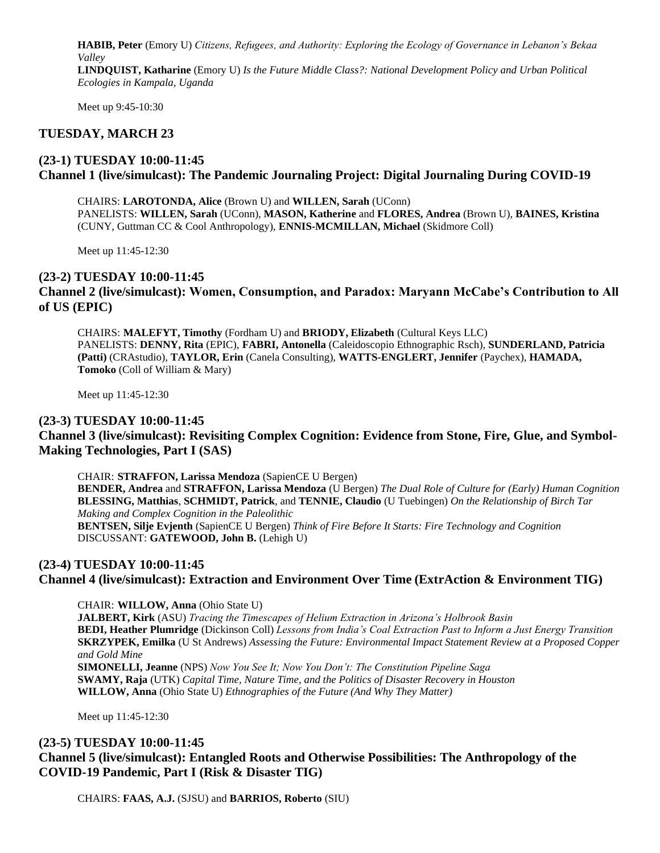**HABIB, Peter** (Emory U) *Citizens, Refugees, and Authority: Exploring the Ecology of Governance in Lebanon's Bekaa Valley* **LINDQUIST, Katharine** (Emory U) *Is the Future Middle Class?: National Development Policy and Urban Political* 

*Ecologies in Kampala, Uganda*

Meet up 9:45-10:30

# **TUESDAY, MARCH 23**

#### **(23-1) TUESDAY 10:00-11:45 Channel 1 (live/simulcast): The Pandemic Journaling Project: Digital Journaling During COVID-19**

CHAIRS: **LAROTONDA, Alice** (Brown U) and **WILLEN, Sarah** (UConn) PANELISTS: **WILLEN, Sarah** (UConn), **MASON, Katherine** and **FLORES, Andrea** (Brown U), **BAINES, Kristina** (CUNY, Guttman CC & Cool Anthropology), **ENNIS-MCMILLAN, Michael** (Skidmore Coll)

Meet up 11:45-12:30

#### **(23-2) TUESDAY 10:00-11:45**

#### **Channel 2 (live/simulcast): Women, Consumption, and Paradox: Maryann McCabe's Contribution to All of US (EPIC)**

CHAIRS: **MALEFYT, Timothy** (Fordham U) and **BRIODY, Elizabeth** (Cultural Keys LLC) PANELISTS: **DENNY, Rita** (EPIC), **FABRI, Antonella** (Caleidoscopio Ethnographic Rsch), **SUNDERLAND, Patricia (Patti)** (CRAstudio), **TAYLOR, Erin** (Canela Consulting), **WATTS-ENGLERT, Jennifer** (Paychex), **HAMADA, Tomoko** (Coll of William & Mary)

Meet up 11:45-12:30

#### **(23-3) TUESDAY 10:00-11:45**

**Channel 3 (live/simulcast): Revisiting Complex Cognition: Evidence from Stone, Fire, Glue, and Symbol-Making Technologies, Part I (SAS)**

CHAIR: **STRAFFON, Larissa Mendoza** (SapienCE U Bergen) **BENDER, Andrea** and **STRAFFON, Larissa Mendoza** (U Bergen) *The Dual Role of Culture for (Early) Human Cognition* **BLESSING, Matthias**, **SCHMIDT, Patrick**, and **TENNIE, Claudio** (U Tuebingen) *On the Relationship of Birch Tar Making and Complex Cognition in the Paleolithic* **BENTSEN, Silje Evjenth** (SapienCE U Bergen) *Think of Fire Before It Starts: Fire Technology and Cognition* DISCUSSANT: **GATEWOOD, John B.** (Lehigh U)

#### **(23-4) TUESDAY 10:00-11:45**

**Channel 4 (live/simulcast): Extraction and Environment Over Time (ExtrAction & Environment TIG)**

CHAIR: **WILLOW, Anna** (Ohio State U)

**JALBERT, Kirk** (ASU) *Tracing the Timescapes of Helium Extraction in Arizona's Holbrook Basin* **BEDI, Heather Plumridge** (Dickinson Coll) *Lessons from India's Coal Extraction Past to Inform a Just Energy Transition* **SKRZYPEK, Emilka** (U St Andrews) *Assessing the Future: Environmental Impact Statement Review at a Proposed Copper and Gold Mine* **SIMONELLI, Jeanne** (NPS) *Now You See It; Now You Don't: The Constitution Pipeline Saga* **SWAMY, Raja** (UTK) *Capital Time, Nature Time, and the Politics of Disaster Recovery in Houston*

Meet up 11:45-12:30

# **(23-5) TUESDAY 10:00-11:45 Channel 5 (live/simulcast): Entangled Roots and Otherwise Possibilities: The Anthropology of the COVID-19 Pandemic, Part I (Risk & Disaster TIG)**

**WILLOW, Anna** (Ohio State U) *Ethnographies of the Future (And Why They Matter)*

CHAIRS: **FAAS, A.J.** (SJSU) and **BARRIOS, Roberto** (SIU)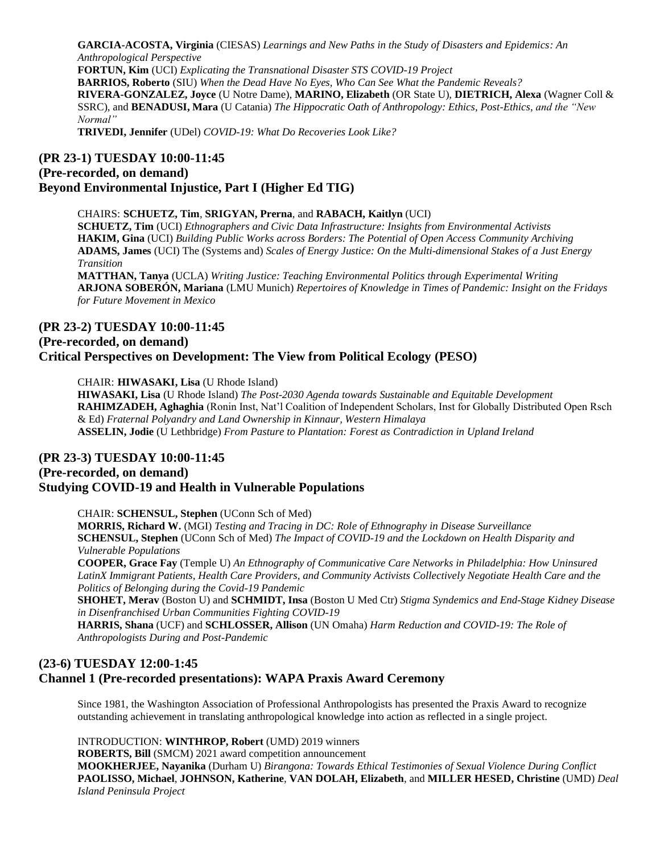**GARCIA-ACOSTA, Virginia** (CIESAS) *Learnings and New Paths in the Study of Disasters and Epidemics: An Anthropological Perspective*

**FORTUN, Kim** (UCI) *Explicating the Transnational Disaster STS COVID-19 Project*

**BARRIOS, Roberto** (SIU) *When the Dead Have No Eyes, Who Can See What the Pandemic Reveals?* **RIVERA-GONZALEZ, Joyce** (U Notre Dame), **MARINO, Elizabeth** (OR State U), **DIETRICH, Alexa** (Wagner Coll & SSRC), and **BENADUSI, Mara** (U Catania) *The Hippocratic Oath of Anthropology: Ethics, Post-Ethics, and the "New Normal"*

**TRIVEDI, Jennifer** (UDel) *COVID-19: What Do Recoveries Look Like?*

# **(PR 23-1) TUESDAY 10:00-11:45 (Pre-recorded, on demand) Beyond Environmental Injustice, Part I (Higher Ed TIG)**

CHAIRS: **SCHUETZ, Tim**, **SRIGYAN, Prerna**, and **RABACH, Kaitlyn** (UCI) **SCHUETZ, Tim** (UCI) *Ethnographers and Civic Data Infrastructure: Insights from Environmental Activists* **HAKIM, Gina** (UCI) *Building Public Works across Borders: The Potential of Open Access Community Archiving* **ADAMS, James** (UCI) The (Systems and) *Scales of Energy Justice: On the Multi-dimensional Stakes of a Just Energy Transition* **MATTHAN, Tanya** (UCLA) *Writing Justice: Teaching Environmental Politics through Experimental Writing*

**ARJONA SOBERÓN, Mariana** (LMU Munich) *Repertoires of Knowledge in Times of Pandemic: Insight on the Fridays for Future Movement in Mexico*

# **(PR 23-2) TUESDAY 10:00-11:45**

#### **(Pre-recorded, on demand) Critical Perspectives on Development: The View from Political Ecology (PESO)**

CHAIR: **HIWASAKI, Lisa** (U Rhode Island)

**HIWASAKI, Lisa** (U Rhode Island) *The Post-2030 Agenda towards Sustainable and Equitable Development* **RAHIMZADEH, Aghaghia** (Ronin Inst, Nat'l Coalition of Independent Scholars, Inst for Globally Distributed Open Rsch & Ed) *Fraternal Polyandry and Land Ownership in Kinnaur, Western Himalaya* **ASSELIN, Jodie** (U Lethbridge) *From Pasture to Plantation: Forest as Contradiction in Upland Ireland*

## **(PR 23-3) TUESDAY 10:00-11:45**

# **(Pre-recorded, on demand) Studying COVID-19 and Health in Vulnerable Populations**

CHAIR: **SCHENSUL, Stephen** (UConn Sch of Med)

**MORRIS, Richard W.** (MGI) *Testing and Tracing in DC: Role of Ethnography in Disease Surveillance* **SCHENSUL, Stephen** (UConn Sch of Med) *The Impact of COVID-19 and the Lockdown on Health Disparity and Vulnerable Populations*

**COOPER, Grace Fay** (Temple U) *An Ethnography of Communicative Care Networks in Philadelphia: How Uninsured LatinX Immigrant Patients, Health Care Providers, and Community Activists Collectively Negotiate Health Care and the Politics of Belonging during the Covid-19 Pandemic*

**SHOHET, Merav** (Boston U) and **SCHMIDT, Insa** (Boston U Med Ctr) *Stigma Syndemics and End-Stage Kidney Disease in Disenfranchised Urban Communities Fighting COVID-19*

**HARRIS, Shana** (UCF) and **SCHLOSSER, Allison** (UN Omaha) *Harm Reduction and COVID-19: The Role of Anthropologists During and Post-Pandemic*

# **(23-6) TUESDAY 12:00-1:45 Channel 1 (Pre-recorded presentations): WAPA Praxis Award Ceremony**

Since 1981, the Washington Association of Professional Anthropologists has presented the Praxis Award to recognize outstanding achievement in translating anthropological knowledge into action as reflected in a single project.

INTRODUCTION: **WINTHROP, Robert** (UMD) 2019 winners

**ROBERTS, Bill** (SMCM) 2021 award competition announcement

**MOOKHERJEE, Nayanika** (Durham U) *Birangona: Towards Ethical Testimonies of Sexual Violence During Conflict* **PAOLISSO, Michael**, **JOHNSON, Katherine**, **VAN DOLAH, Elizabeth**, and **MILLER HESED, Christine** (UMD) *Deal Island Peninsula Project*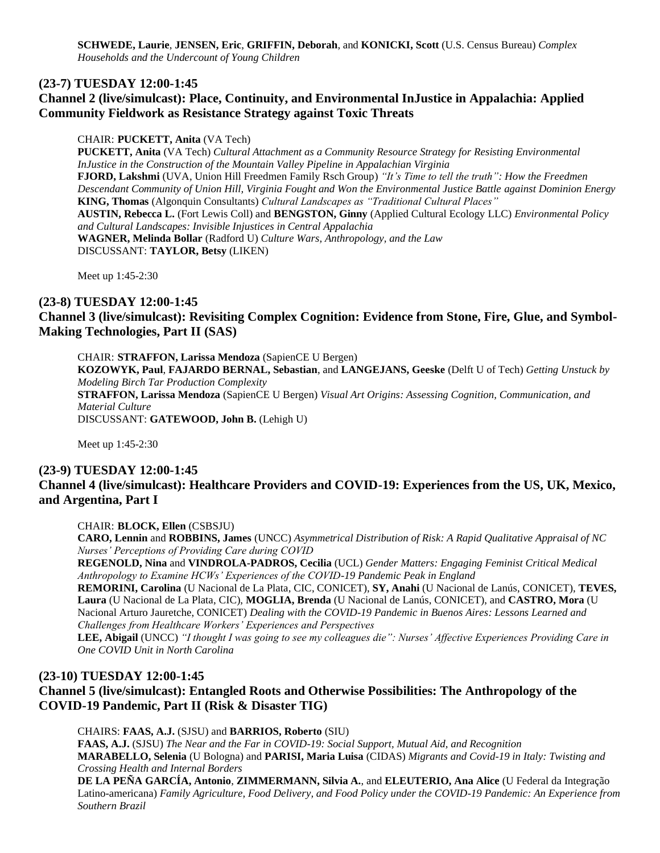**SCHWEDE, Laurie**, **JENSEN, Eric**, **GRIFFIN, Deborah**, and **KONICKI, Scott** (U.S. Census Bureau) *Complex Households and the Undercount of Young Children*

#### **(23-7) TUESDAY 12:00-1:45**

# **Channel 2 (live/simulcast): Place, Continuity, and Environmental InJustice in Appalachia: Applied Community Fieldwork as Resistance Strategy against Toxic Threats**

#### CHAIR: **PUCKETT, Anita** (VA Tech)

**PUCKETT, Anita** (VA Tech) *Cultural Attachment as a Community Resource Strategy for Resisting Environmental InJustice in the Construction of the Mountain Valley Pipeline in Appalachian Virginia* **FJORD, Lakshmi** (UVA, Union Hill Freedmen Family Rsch Group) *"It's Time to tell the truth": How the Freedmen Descendant Community of Union Hill, Virginia Fought and Won the Environmental Justice Battle against Dominion Energy* **KING, Thomas** (Algonquin Consultants) *Cultural Landscapes as "Traditional Cultural Places"* **AUSTIN, Rebecca L.** (Fort Lewis Coll) and **BENGSTON, Ginny** (Applied Cultural Ecology LLC) *Environmental Policy and Cultural Landscapes: Invisible Injustices in Central Appalachia* **WAGNER, Melinda Bollar** (Radford U) *Culture Wars, Anthropology, and the Law* DISCUSSANT: **TAYLOR, Betsy** (LIKEN)

Meet up 1:45-2:30

# **(23-8) TUESDAY 12:00-1:45 Channel 3 (live/simulcast): Revisiting Complex Cognition: Evidence from Stone, Fire, Glue, and Symbol-Making Technologies, Part II (SAS)**

CHAIR: **STRAFFON, Larissa Mendoza** (SapienCE U Bergen)

**KOZOWYK, Paul**, **FAJARDO BERNAL, Sebastian**, and **LANGEJANS, Geeske** (Delft U of Tech) *Getting Unstuck by Modeling Birch Tar Production Complexity*

**STRAFFON, Larissa Mendoza** (SapienCE U Bergen) *Visual Art Origins: Assessing Cognition, Communication, and Material Culture*

DISCUSSANT: **GATEWOOD, John B.** (Lehigh U)

Meet up 1:45-2:30

#### **(23-9) TUESDAY 12:00-1:45**

#### **Channel 4 (live/simulcast): Healthcare Providers and COVID-19: Experiences from the US, UK, Mexico, and Argentina, Part I**

CHAIR: **BLOCK, Ellen** (CSBSJU)

**CARO, Lennin** and **ROBBINS, James** (UNCC) *Asymmetrical Distribution of Risk: A Rapid Qualitative Appraisal of NC Nurses' Perceptions of Providing Care during COVID*

**REGENOLD, Nina** and **VINDROLA-PADROS, Cecilia** (UCL) *Gender Matters: Engaging Feminist Critical Medical Anthropology to Examine HCWs' Experiences of the COVID-19 Pandemic Peak in England*

**REMORINI, Carolina** (U Nacional de La Plata, CIC, CONICET), **SY, Anahi** (U Nacional de Lanús, CONICET), **TEVES, Laura** (U Nacional de La Plata, CIC), **MOGLIA, Brenda** (U Nacional de Lanús, CONICET), and **CASTRO, Mora** (U Nacional Arturo Jauretche, CONICET) *Dealing with the COVID-19 Pandemic in Buenos Aires: Lessons Learned and Challenges from Healthcare Workers' Experiences and Perspectives*

**LEE, Abigail** (UNCC) *"I thought I was going to see my colleagues die": Nurses' Affective Experiences Providing Care in One COVID Unit in North Carolina*

#### **(23-10) TUESDAY 12:00-1:45**

**Channel 5 (live/simulcast): Entangled Roots and Otherwise Possibilities: The Anthropology of the COVID-19 Pandemic, Part II (Risk & Disaster TIG)**

CHAIRS: **FAAS, A.J.** (SJSU) and **BARRIOS, Roberto** (SIU)

**FAAS, A.J.** (SJSU) *The Near and the Far in COVID-19: Social Support, Mutual Aid, and Recognition* **MARABELLO, Selenia** (U Bologna) and **PARISI, Maria Luisa** (CIDAS) *Migrants and Covid-19 in Italy: Twisting and Crossing Health and Internal Borders*

**DE LA PEÑA GARCÍA, Antonio**, **ZIMMERMANN, Silvia A.**, and **ELEUTERIO, Ana Alice** (U Federal da Integração Latino-americana) *Family Agriculture, Food Delivery, and Food Policy under the COVID-19 Pandemic: An Experience from Southern Brazil*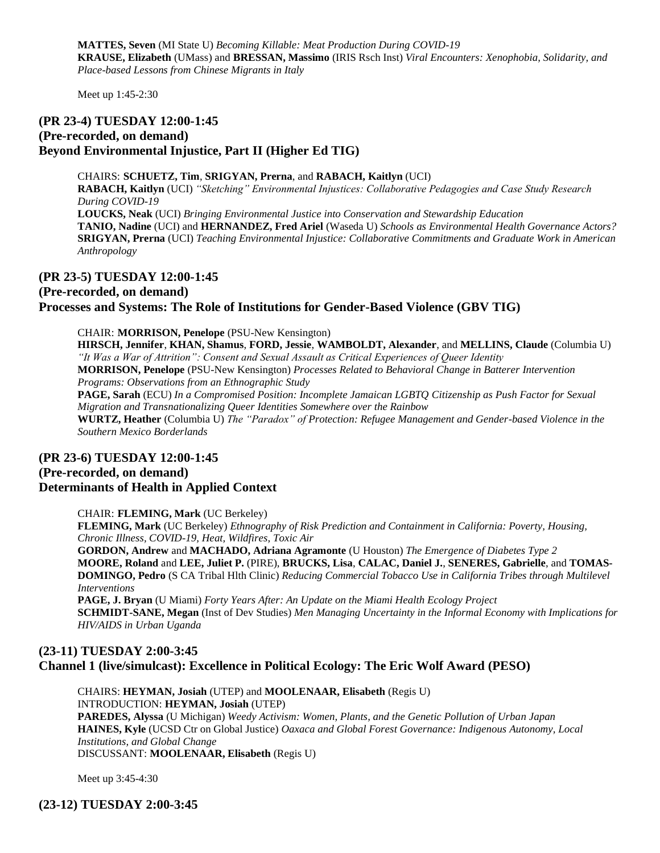**MATTES, Seven** (MI State U) *Becoming Killable: Meat Production During COVID-19* **KRAUSE, Elizabeth** (UMass) and **BRESSAN, Massimo** (IRIS Rsch Inst) *Viral Encounters: Xenophobia, Solidarity, and Place-based Lessons from Chinese Migrants in Italy*

Meet up 1:45-2:30

# **(PR 23-4) TUESDAY 12:00-1:45 (Pre-recorded, on demand) Beyond Environmental Injustice, Part II (Higher Ed TIG)**

CHAIRS: **SCHUETZ, Tim**, **SRIGYAN, Prerna**, and **RABACH, Kaitlyn** (UCI) **RABACH, Kaitlyn** (UCI) *"Sketching" Environmental Injustices: Collaborative Pedagogies and Case Study Research During COVID-19* **LOUCKS, Neak** (UCI) *Bringing Environmental Justice into Conservation and Stewardship Education* **TANIO, Nadine** (UCI) and **HERNANDEZ, Fred Ariel** (Waseda U) *Schools as Environmental Health Governance Actors?* **SRIGYAN, Prerna** (UCI) *Teaching Environmental Injustice: Collaborative Commitments and Graduate Work in American Anthropology*

#### **(PR 23-5) TUESDAY 12:00-1:45**

**(Pre-recorded, on demand)**

**Processes and Systems: The Role of Institutions for Gender-Based Violence (GBV TIG)**

CHAIR: **MORRISON, Penelope** (PSU-New Kensington) **HIRSCH, Jennifer**, **KHAN, Shamus**, **FORD, Jessie**, **WAMBOLDT, Alexander**, and **MELLINS, Claude** (Columbia U) *"It Was a War of Attrition": Consent and Sexual Assault as Critical Experiences of Queer Identity* **MORRISON, Penelope** (PSU-New Kensington) *Processes Related to Behavioral Change in Batterer Intervention Programs: Observations from an Ethnographic Study* **PAGE, Sarah** (ECU) *In a Compromised Position: Incomplete Jamaican LGBTQ Citizenship as Push Factor for Sexual Migration and Transnationalizing Queer Identities Somewhere over the Rainbow* **WURTZ, Heather** (Columbia U) *The "Paradox" of Protection: Refugee Management and Gender-based Violence in the Southern Mexico Borderlands*

#### **(PR 23-6) TUESDAY 12:00-1:45 (Pre-recorded, on demand) Determinants of Health in Applied Context**

CHAIR: **FLEMING, Mark** (UC Berkeley)

**FLEMING, Mark** (UC Berkeley) *Ethnography of Risk Prediction and Containment in California: Poverty, Housing, Chronic Illness, COVID-19, Heat, Wildfires, Toxic Air*

**GORDON, Andrew** and **MACHADO, Adriana Agramonte** (U Houston) *The Emergence of Diabetes Type 2* **MOORE, Roland** and **LEE, Juliet P.** (PIRE), **BRUCKS, Lisa**, **CALAC, Daniel J.**, **SENERES, Gabrielle**, and **TOMAS-DOMINGO, Pedro** (S CA Tribal Hlth Clinic) *Reducing Commercial Tobacco Use in California Tribes through Multilevel Interventions*

**PAGE, J. Bryan** (U Miami) *Forty Years After: An Update on the Miami Health Ecology Project* **SCHMIDT-SANE, Megan** (Inst of Dev Studies) *Men Managing Uncertainty in the Informal Economy with Implications for HIV/AIDS in Urban Uganda*

## **(23-11) TUESDAY 2:00-3:45 Channel 1 (live/simulcast): Excellence in Political Ecology: The Eric Wolf Award (PESO)**

CHAIRS: **HEYMAN, Josiah** (UTEP) and **MOOLENAAR, Elisabeth** (Regis U) INTRODUCTION: **HEYMAN, Josiah** (UTEP) **PAREDES, Alyssa** (U Michigan) *Weedy Activism: Women, Plants, and the Genetic Pollution of Urban Japan* **HAINES, Kyle** (UCSD Ctr on Global Justice) *Oaxaca and Global Forest Governance: Indigenous Autonomy, Local Institutions, and Global Change* DISCUSSANT: **MOOLENAAR, Elisabeth** (Regis U)

Meet up 3:45-4:30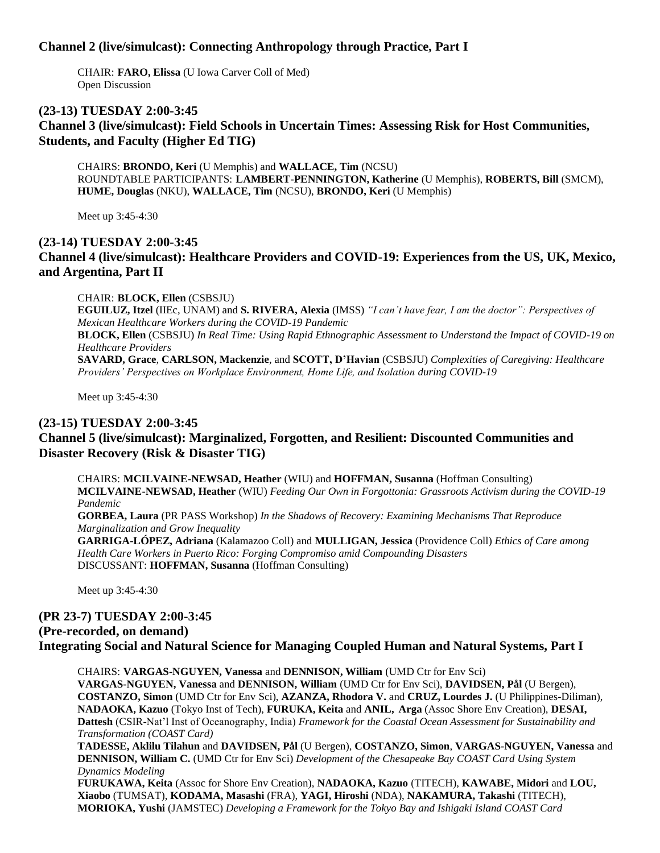# **Channel 2 (live/simulcast): Connecting Anthropology through Practice, Part I**

CHAIR: **FARO, Elissa** (U Iowa Carver Coll of Med) Open Discussion

#### **(23-13) TUESDAY 2:00-3:45**

**Channel 3 (live/simulcast): Field Schools in Uncertain Times: Assessing Risk for Host Communities, Students, and Faculty (Higher Ed TIG)**

CHAIRS: **BRONDO, Keri** (U Memphis) and **WALLACE, Tim** (NCSU) ROUNDTABLE PARTICIPANTS: **LAMBERT-PENNINGTON, Katherine** (U Memphis), **ROBERTS, Bill** (SMCM), **HUME, Douglas** (NKU), **WALLACE, Tim** (NCSU), **BRONDO, Keri** (U Memphis)

Meet up 3:45-4:30

# **(23-14) TUESDAY 2:00-3:45 Channel 4 (live/simulcast): Healthcare Providers and COVID-19: Experiences from the US, UK, Mexico, and Argentina, Part II**

CHAIR: **BLOCK, Ellen** (CSBSJU)

**EGUILUZ, Itzel** (IIEc, UNAM) and **S. RIVERA, Alexia** (IMSS) *"I can't have fear, I am the doctor": Perspectives of Mexican Healthcare Workers during the COVID-19 Pandemic*

**BLOCK, Ellen** (CSBSJU) *In Real Time: Using Rapid Ethnographic Assessment to Understand the Impact of COVID-19 on Healthcare Providers*

**SAVARD, Grace**, **CARLSON, Mackenzie**, and **SCOTT, D'Havian** (CSBSJU) *Complexities of Caregiving: Healthcare Providers' Perspectives on Workplace Environment, Home Life, and Isolation during COVID-19*

Meet up 3:45-4:30

#### **(23-15) TUESDAY 2:00-3:45**

# **Channel 5 (live/simulcast): Marginalized, Forgotten, and Resilient: Discounted Communities and Disaster Recovery (Risk & Disaster TIG)**

CHAIRS: **MCILVAINE-NEWSAD, Heather** (WIU) and **HOFFMAN, Susanna** (Hoffman Consulting) **MCILVAINE-NEWSAD, Heather** (WIU) *Feeding Our Own in Forgottonia: Grassroots Activism during the COVID-19 Pandemic*

**GORBEA, Laura** (PR PASS Workshop) *In the Shadows of Recovery: Examining Mechanisms That Reproduce Marginalization and Grow Inequality*

**GARRIGA-LÓPEZ, Adriana** (Kalamazoo Coll) and **MULLIGAN, Jessica** (Providence Coll) *Ethics of Care among Health Care Workers in Puerto Rico: Forging Compromiso amid Compounding Disasters* DISCUSSANT: **HOFFMAN, Susanna** (Hoffman Consulting)

Meet up 3:45-4:30

# **(PR 23-7) TUESDAY 2:00-3:45**

#### **(Pre-recorded, on demand) Integrating Social and Natural Science for Managing Coupled Human and Natural Systems, Part I**

CHAIRS: **VARGAS-NGUYEN, Vanessa** and **DENNISON, William** (UMD Ctr for Env Sci) **VARGAS-NGUYEN, Vanessa** and **DENNISON, William** (UMD Ctr for Env Sci), **DAVIDSEN, Pål** (U Bergen), **COSTANZO, Simon** (UMD Ctr for Env Sci), **AZANZA, Rhodora V.** and **CRUZ, Lourdes J.** (U Philippines-Diliman), **NADAOKA, Kazuo** (Tokyo Inst of Tech), **FURUKA, Keita** and **ANIL, Arga** (Assoc Shore Env Creation), **DESAI, Dattesh** (CSIR-Nat'l Inst of Oceanography, India) *Framework for the Coastal Ocean Assessment for Sustainability and Transformation (COAST Card)*

**TADESSE, Aklilu Tilahun** and **DAVIDSEN, Pål** (U Bergen), **COSTANZO, Simon**, **VARGAS-NGUYEN, Vanessa** and **DENNISON, William C.** (UMD Ctr for Env Sci) *Development of the Chesapeake Bay COAST Card Using System Dynamics Modeling*

**FURUKAWA, Keita** (Assoc for Shore Env Creation), **NADAOKA, Kazuo** (TITECH), **KAWABE, Midori** and **LOU, Xiaobo** (TUMSAT), **KODAMA, Masashi** (FRA), **YAGI, Hiroshi** (NDA), **NAKAMURA, Takashi** (TITECH), **MORIOKA, Yushi** (JAMSTEC) *Developing a Framework for the Tokyo Bay and Ishigaki Island COAST Card*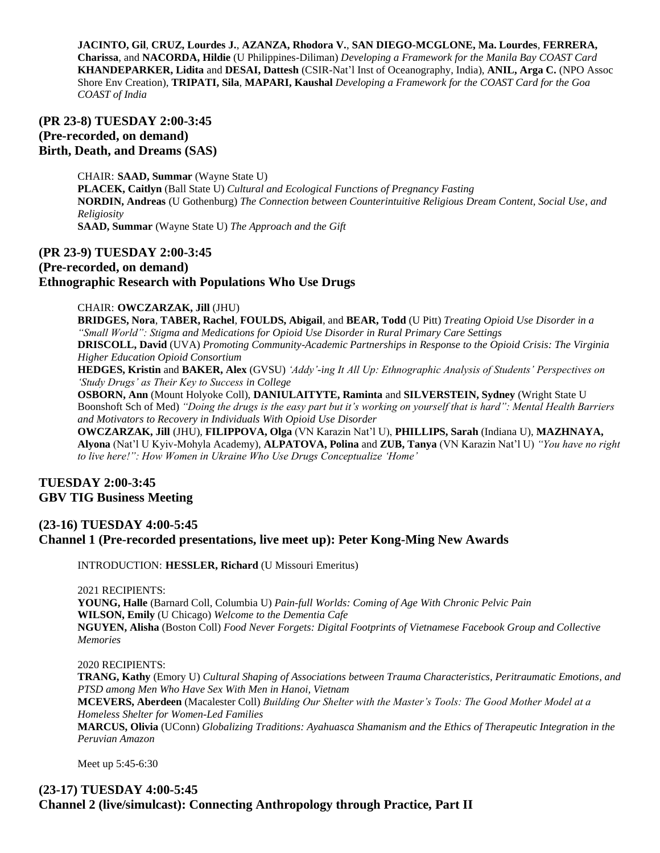**JACINTO, Gil**, **CRUZ, Lourdes J.**, **AZANZA, Rhodora V.**, **SAN DIEGO-MCGLONE, Ma. Lourdes**, **FERRERA, Charissa**, and **NACORDA, Hildie** (U Philippines-Diliman) *Developing a Framework for the Manila Bay COAST Card* **KHANDEPARKER, Lidita** and **DESAI, Dattesh** (CSIR-Nat'l Inst of Oceanography, India), **ANIL, Arga C.** (NPO Assoc Shore Env Creation), **TRIPATI, Sila**, **MAPARI, Kaushal** *Developing a Framework for the COAST Card for the Goa COAST of India*

# **(PR 23-8) TUESDAY 2:00-3:45 (Pre-recorded, on demand) Birth, Death, and Dreams (SAS)**

CHAIR: **SAAD, Summar** (Wayne State U) **PLACEK, Caitlyn** (Ball State U) *Cultural and Ecological Functions of Pregnancy Fasting* **NORDIN, Andreas** (U Gothenburg) *The Connection between Counterintuitive Religious Dream Content, Social Use, and Religiosity* **SAAD, Summar** (Wayne State U) *The Approach and the Gift*

# **(PR 23-9) TUESDAY 2:00-3:45 (Pre-recorded, on demand) Ethnographic Research with Populations Who Use Drugs**

#### CHAIR: **OWCZARZAK, Jill** (JHU)

**BRIDGES, Nora**, **TABER, Rachel**, **FOULDS, Abigail**, and **BEAR, Todd** (U Pitt) *Treating Opioid Use Disorder in a "Small World": Stigma and Medications for Opioid Use Disorder in Rural Primary Care Settings* **DRISCOLL, David** (UVA) *Promoting Community-Academic Partnerships in Response to the Opioid Crisis: The Virginia Higher Education Opioid Consortium*

**HEDGES, Kristin** and **BAKER, Alex** (GVSU) *'Addy'-ing It All Up: Ethnographic Analysis of Students' Perspectives on 'Study Drugs' as Their Key to Success in College*

**OSBORN, Ann** (Mount Holyoke Coll), **DANIULAITYTE, Raminta** and **SILVERSTEIN, Sydney** (Wright State U Boonshoft Sch of Med) *"Doing the drugs is the easy part but it's working on yourself that is hard": Mental Health Barriers and Motivators to Recovery in Individuals With Opioid Use Disorder*

**OWCZARZAK, Jill** (JHU), **FILIPPOVA, Olga** (VN Karazin Nat'l U), **PHILLIPS, Sarah** (Indiana U), **MAZHNAYA, Alyona** (Nat'l U Kyiv-Mohyla Academy), **ALPATOVA, Polina** and **ZUB, Tanya** (VN Karazin Nat'l U) *"You have no right to live here!": How Women in Ukraine Who Use Drugs Conceptualize 'Home'*

## **TUESDAY 2:00-3:45 GBV TIG Business Meeting**

# **(23-16) TUESDAY 4:00-5:45 Channel 1 (Pre-recorded presentations, live meet up): Peter Kong-Ming New Awards**

INTRODUCTION: **HESSLER, Richard** (U Missouri Emeritus)

2021 RECIPIENTS:

**YOUNG, Halle** (Barnard Coll, Columbia U) *Pain-full Worlds: Coming of Age With Chronic Pelvic Pain* **WILSON, Emily** (U Chicago) *Welcome to the Dementia Cafe* **NGUYEN, Alisha** (Boston Coll) *Food Never Forgets: Digital Footprints of Vietnamese Facebook Group and Collective Memories*

2020 RECIPIENTS:

**TRANG, Kathy** (Emory U) *Cultural Shaping of Associations between Trauma Characteristics, Peritraumatic Emotions, and PTSD among Men Who Have Sex With Men in Hanoi, Vietnam* 

**MCEVERS, Aberdeen** (Macalester Coll) *Building Our Shelter with the Master's Tools: The Good Mother Model at a Homeless Shelter for Women-Led Families* 

**MARCUS, Olivia** (UConn) *Globalizing Traditions: Ayahuasca Shamanism and the Ethics of Therapeutic Integration in the Peruvian Amazon*

Meet up 5:45-6:30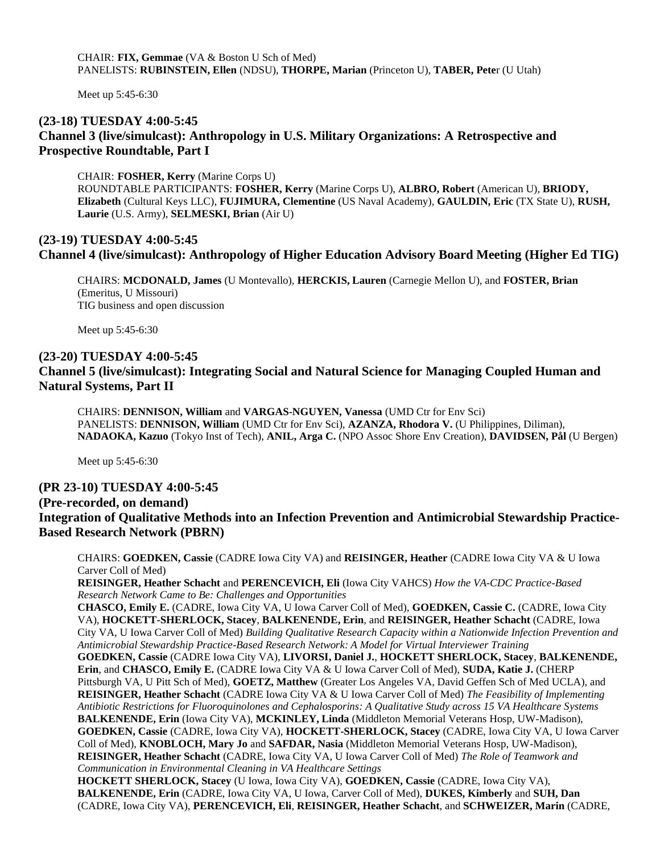CHAIR: **FIX, Gemmae** (VA & Boston U Sch of Med) PANELISTS: **RUBINSTEIN, Ellen** (NDSU), **THORPE, Marian** (Princeton U), **TABER, Pete**r (U Utah)

Meet up 5:45-6:30

# **(23-18) TUESDAY 4:00-5:45 Channel 3 (live/simulcast): Anthropology in U.S. Military Organizations: A Retrospective and Prospective Roundtable, Part I**

CHAIR: **FOSHER, Kerry** (Marine Corps U) ROUNDTABLE PARTICIPANTS: **FOSHER, Kerry** (Marine Corps U), **ALBRO, Robert** (American U), **BRIODY, Elizabeth** (Cultural Keys LLC), **FUJIMURA, Clementine** (US Naval Academy), **GAULDIN, Eric** (TX State U), **RUSH, Laurie** (U.S. Army), **SELMESKI, Brian** (Air U)

# **(23-19) TUESDAY 4:00-5:45 Channel 4 (live/simulcast): Anthropology of Higher Education Advisory Board Meeting (Higher Ed TIG)**

CHAIRS: **MCDONALD, James** (U Montevallo), **HERCKIS, Lauren** (Carnegie Mellon U), and **FOSTER, Brian** (Emeritus, U Missouri) TIG business and open discussion

Meet up 5:45-6:30

#### **(23-20) TUESDAY 4:00-5:45**

# **Channel 5 (live/simulcast): Integrating Social and Natural Science for Managing Coupled Human and Natural Systems, Part II**

CHAIRS: **DENNISON, William** and **VARGAS-NGUYEN, Vanessa** (UMD Ctr for Env Sci) PANELISTS: **DENNISON, William** (UMD Ctr for Env Sci), **AZANZA, Rhodora V.** (U Philippines, Diliman), **NADAOKA, Kazuo** (Tokyo Inst of Tech), **ANIL, Arga C.** (NPO Assoc Shore Env Creation), **DAVIDSEN, Pål** (U Bergen)

Meet up 5:45-6:30

#### **(PR 23-10) TUESDAY 4:00-5:45**

# **(Pre-recorded, on demand) Integration of Qualitative Methods into an Infection Prevention and Antimicrobial Stewardship Practice-Based Research Network (PBRN)**

CHAIRS: **GOEDKEN, Cassie** (CADRE Iowa City VA) and **REISINGER, Heather** (CADRE Iowa City VA & U Iowa Carver Coll of Med)

**REISINGER, Heather Schacht** and **PERENCEVICH, Eli** (Iowa City VAHCS) *How the VA-CDC Practice-Based Research Network Came to Be: Challenges and Opportunities*

**CHASCO, Emily E.** (CADRE, Iowa City VA, U Iowa Carver Coll of Med), **GOEDKEN, Cassie C.** (CADRE, Iowa City VA), **HOCKETT-SHERLOCK, Stacey**, **BALKENENDE, Erin**, and **REISINGER, Heather Schacht** (CADRE, Iowa City VA, U Iowa Carver Coll of Med) *Building Qualitative Research Capacity within a Nationwide Infection Prevention and Antimicrobial Stewardship Practice-Based Research Network: A Model for Virtual Interviewer Training*

**GOEDKEN, Cassie** (CADRE Iowa City VA), **LIVORSI, Daniel J.**, **HOCKETT SHERLOCK, Stacey**, **BALKENENDE, Erin**, and **CHASCO, Emily E.** (CADRE Iowa City VA & U Iowa Carver Coll of Med), **SUDA, Katie J.** (CHERP Pittsburgh VA, U Pitt Sch of Med), **GOETZ, Matthew** (Greater Los Angeles VA, David Geffen Sch of Med UCLA), and **REISINGER, Heather Schacht** (CADRE Iowa City VA & U Iowa Carver Coll of Med) *The Feasibility of Implementing Antibiotic Restrictions for Fluoroquinolones and Cephalosporins: A Qualitative Study across 15 VA Healthcare Systems* **BALKENENDE, Erin** (Iowa City VA), **MCKINLEY, Linda** (Middleton Memorial Veterans Hosp, UW-Madison), **GOEDKEN, Cassie** (CADRE, Iowa City VA), **HOCKETT-SHERLOCK, Stacey** (CADRE, Iowa City VA, U Iowa Carver Coll of Med), **KNOBLOCH, Mary Jo** and **SAFDAR, Nasia** (Middleton Memorial Veterans Hosp, UW-Madison), **REISINGER, Heather Schacht** (CADRE, Iowa City VA, U Iowa Carver Coll of Med) *The Role of Teamwork and Communication in Environmental Cleaning in VA Healthcare Settings*

**HOCKETT SHERLOCK, Stacey** (U Iowa, Iowa City VA), **GOEDKEN, Cassie** (CADRE, Iowa City VA), **BALKENENDE, Erin** (CADRE, Iowa City VA, U Iowa, Carver Coll of Med), **DUKES, Kimberly** and **SUH, Dan** (CADRE, Iowa City VA), **PERENCEVICH, Eli**, **REISINGER, Heather Schacht**, and **SCHWEIZER, Marin** (CADRE,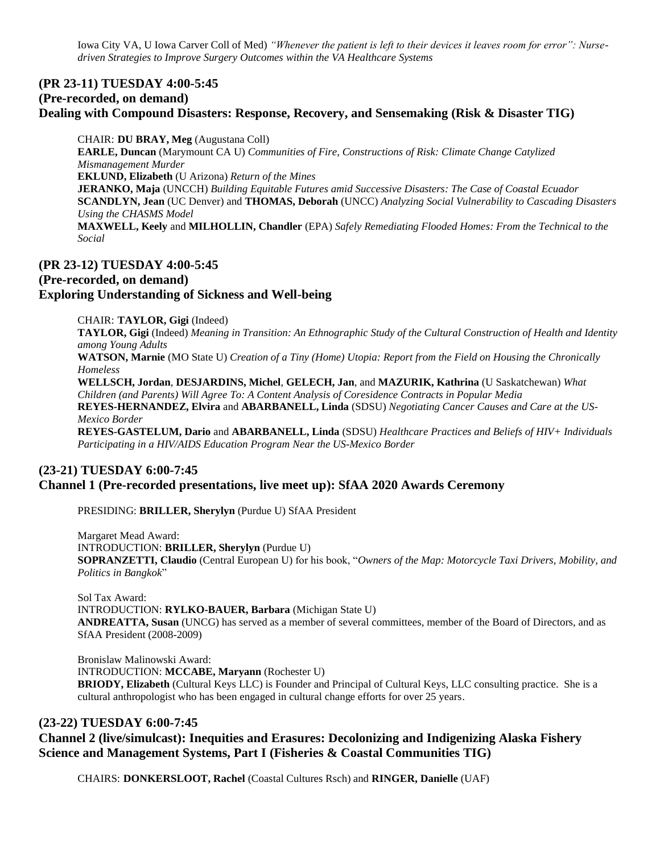Iowa City VA, U Iowa Carver Coll of Med) *"Whenever the patient is left to their devices it leaves room for error": Nursedriven Strategies to Improve Surgery Outcomes within the VA Healthcare Systems*

# **(PR 23-11) TUESDAY 4:00-5:45 (Pre-recorded, on demand)**

#### **Dealing with Compound Disasters: Response, Recovery, and Sensemaking (Risk & Disaster TIG)**

CHAIR: **DU BRAY, Meg** (Augustana Coll) **EARLE, Duncan** (Marymount CA U) *Communities of Fire, Constructions of Risk: Climate Change Catylized Mismanagement Murder* **EKLUND, Elizabeth** (U Arizona) *Return of the Mines* **JERANKO, Maja** (UNCCH) *Building Equitable Futures amid Successive Disasters: The Case of Coastal Ecuador* **SCANDLYN, Jean** (UC Denver) and **THOMAS, Deborah** (UNCC) *Analyzing Social Vulnerability to Cascading Disasters Using the CHASMS Model* **MAXWELL, Keely** and **MILHOLLIN, Chandler** (EPA) *Safely Remediating Flooded Homes: From the Technical to the Social*

# **(PR 23-12) TUESDAY 4:00-5:45 (Pre-recorded, on demand) Exploring Understanding of Sickness and Well-being**

CHAIR: **TAYLOR, Gigi** (Indeed)

**TAYLOR, Gigi** (Indeed) *Meaning in Transition: An Ethnographic Study of the Cultural Construction of Health and Identity among Young Adults*

**WATSON, Marnie** (MO State U) *Creation of a Tiny (Home) Utopia: Report from the Field on Housing the Chronically Homeless*

**WELLSCH, Jordan**, **DESJARDINS, Michel**, **GELECH, Jan**, and **MAZURIK, Kathrina** (U Saskatchewan) *What Children (and Parents) Will Agree To: A Content Analysis of Coresidence Contracts in Popular Media* **REYES-HERNANDEZ, Elvira** and **ABARBANELL, Linda** (SDSU) *Negotiating Cancer Causes and Care at the US-Mexico Border*

**REYES-GASTELUM, Dario** and **ABARBANELL, Linda** (SDSU) *Healthcare Practices and Beliefs of HIV+ Individuals Participating in a HIV/AIDS Education Program Near the US-Mexico Border*

# **(23-21) TUESDAY 6:00-7:45 Channel 1 (Pre-recorded presentations, live meet up): SfAA 2020 Awards Ceremony**

PRESIDING: **BRILLER, Sherylyn** (Purdue U) SfAA President

Margaret Mead Award: INTRODUCTION: **BRILLER, Sherylyn** (Purdue U) **SOPRANZETTI, Claudio** (Central European U) for his book, "*Owners of the Map: Motorcycle Taxi Drivers, Mobility, and Politics in Bangkok*"

Sol Tax Award: INTRODUCTION: **RYLKO-BAUER, Barbara** (Michigan State U) **ANDREATTA, Susan** (UNCG) has served as a member of several committees, member of the Board of Directors, and as SfAA President (2008-2009)

Bronislaw Malinowski Award: INTRODUCTION: **MCCABE, Maryann** (Rochester U) **BRIODY, Elizabeth** (Cultural Keys LLC) is Founder and Principal of Cultural Keys, LLC consulting practice. She is a cultural anthropologist who has been engaged in cultural change efforts for over 25 years.

#### **(23-22) TUESDAY 6:00-7:45**

## **Channel 2 (live/simulcast): Inequities and Erasures: Decolonizing and Indigenizing Alaska Fishery Science and Management Systems, Part I (Fisheries & Coastal Communities TIG)**

CHAIRS: **DONKERSLOOT, Rachel** (Coastal Cultures Rsch) and **RINGER, Danielle** (UAF)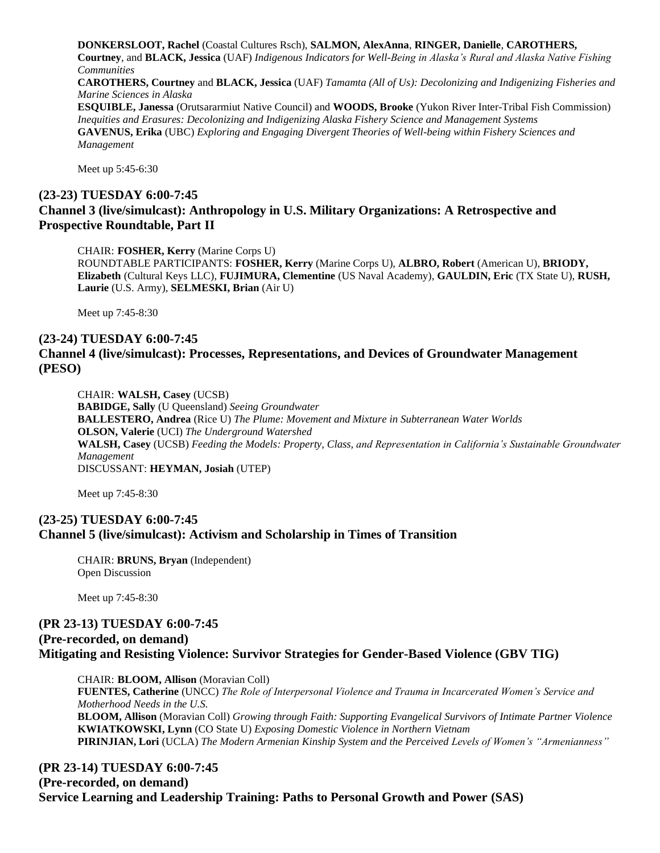**DONKERSLOOT, Rachel** (Coastal Cultures Rsch), **SALMON, AlexAnna**, **RINGER, Danielle**, **CAROTHERS, Courtney**, and **BLACK, Jessica** (UAF) *Indigenous Indicators for Well-Being in Alaska's Rural and Alaska Native Fishing Communities* **CAROTHERS, Courtney** and **BLACK, Jessica** (UAF) *Tamamta (All of Us): Decolonizing and Indigenizing Fisheries and Marine Sciences in Alaska* **ESQUIBLE, Janessa** (Orutsararmiut Native Council) and **WOODS, Brooke** (Yukon River Inter-Tribal Fish Commission) *Inequities and Erasures: Decolonizing and Indigenizing Alaska Fishery Science and Management Systems* **GAVENUS, Erika** (UBC) *Exploring and Engaging Divergent Theories of Well-being within Fishery Sciences and Management*

Meet up 5:45-6:30

# **(23-23) TUESDAY 6:00-7:45 Channel 3 (live/simulcast): Anthropology in U.S. Military Organizations: A Retrospective and Prospective Roundtable, Part II**

CHAIR: **FOSHER, Kerry** (Marine Corps U) ROUNDTABLE PARTICIPANTS: **FOSHER, Kerry** (Marine Corps U), **ALBRO, Robert** (American U), **BRIODY, Elizabeth** (Cultural Keys LLC), **FUJIMURA, Clementine** (US Naval Academy), **GAULDIN, Eric** (TX State U), **RUSH, Laurie** (U.S. Army), **SELMESKI, Brian** (Air U)

Meet up 7:45-8:30

## **(23-24) TUESDAY 6:00-7:45 Channel 4 (live/simulcast): Processes, Representations, and Devices of Groundwater Management (PESO)**

CHAIR: **WALSH, Casey** (UCSB) **BABIDGE, Sally** (U Queensland) *Seeing Groundwater* **BALLESTERO, Andrea** (Rice U) *The Plume: Movement and Mixture in Subterranean Water Worlds* **OLSON, Valerie** (UCI) *The Underground Watershed* **WALSH, Casey** (UCSB) *Feeding the Models: Property, Class, and Representation in California's Sustainable Groundwater Management* DISCUSSANT: **HEYMAN, Josiah** (UTEP)

Meet up 7:45-8:30

#### **(23-25) TUESDAY 6:00-7:45 Channel 5 (live/simulcast): Activism and Scholarship in Times of Transition**

CHAIR: **BRUNS, Bryan** (Independent) Open Discussion

Meet up 7:45-8:30

# **(PR 23-13) TUESDAY 6:00-7:45 (Pre-recorded, on demand) Mitigating and Resisting Violence: Survivor Strategies for Gender-Based Violence (GBV TIG)**

CHAIR: **BLOOM, Allison** (Moravian Coll) **FUENTES, Catherine** (UNCC) *The Role of Interpersonal Violence and Trauma in Incarcerated Women's Service and Motherhood Needs in the U.S.* **BLOOM, Allison** (Moravian Coll) *Growing through Faith: Supporting Evangelical Survivors of Intimate Partner Violence* **KWIATKOWSKI, Lynn** (CO State U) *Exposing Domestic Violence in Northern Vietnam* **PIRINJIAN, Lori** (UCLA) *The Modern Armenian Kinship System and the Perceived Levels of Women's "Armenianness"*

## **(PR 23-14) TUESDAY 6:00-7:45 (Pre-recorded, on demand) Service Learning and Leadership Training: Paths to Personal Growth and Power (SAS)**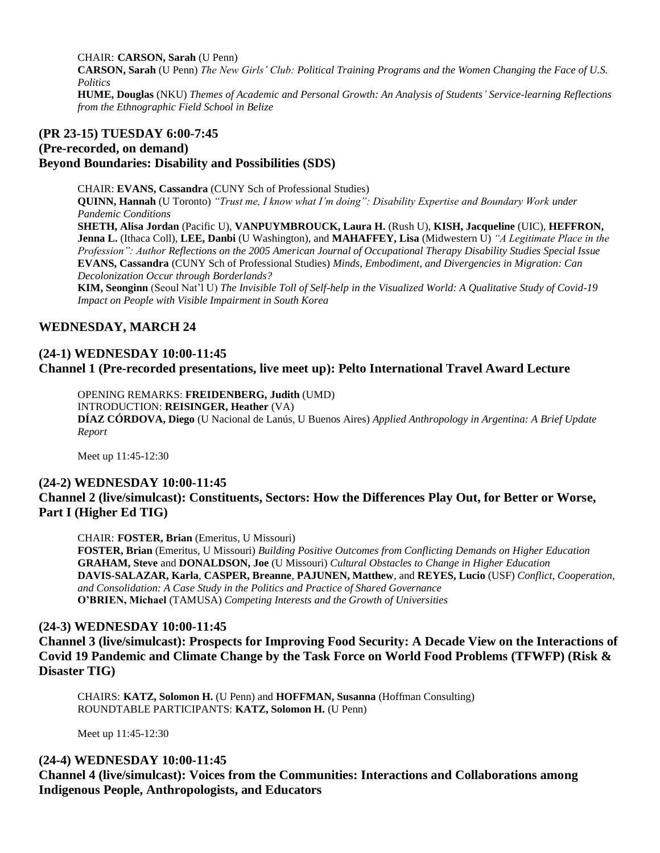CHAIR: **CARSON, Sarah** (U Penn)

**CARSON, Sarah** (U Penn) *The New Girls' Club: Political Training Programs and the Women Changing the Face of U.S. Politics*

**HUME, Douglas** (NKU) *Themes of Academic and Personal Growth: An Analysis of Students' Service-learning Reflections from the Ethnographic Field School in Belize*

#### **(PR 23-15) TUESDAY 6:00-7:45**

# **(Pre-recorded, on demand) Beyond Boundaries: Disability and Possibilities (SDS)**

CHAIR: **EVANS, Cassandra** (CUNY Sch of Professional Studies) **QUINN, Hannah** (U Toronto) *"Trust me, I know what I'm doing": Disability Expertise and Boundary Work under Pandemic Conditions* **SHETH, Alisa Jordan** (Pacific U), **VANPUYMBROUCK, Laura H.** (Rush U), **KISH, Jacqueline** (UIC), **HEFFRON, Jenna L.** (Ithaca Coll), **LEE, Danbi** (U Washington), and **MAHAFFEY, Lisa** (Midwestern U) *"A Legitimate Place in the Profession": Author Reflections on the 2005 American Journal of Occupational Therapy Disability Studies Special Issue* **EVANS, Cassandra** (CUNY Sch of Professional Studies) *Minds, Embodiment, and Divergencies in Migration: Can Decolonization Occur through Borderlands?*

**KIM, Seonginn** (Seoul Nat'l U) *The Invisible Toll of Self-help in the Visualized World: A Qualitative Study of Covid-19 Impact on People with Visible Impairment in South Korea*

# **WEDNESDAY, MARCH 24**

# **(24-1) WEDNESDAY 10:00-11:45 Channel 1 (Pre-recorded presentations, live meet up): Pelto International Travel Award Lecture**

OPENING REMARKS: **FREIDENBERG, Judith** (UMD) INTRODUCTION: **REISINGER, Heather** (VA) **DÍAZ CÓRDOVA, Diego** (U Nacional de Lanús, U Buenos Aires) *Applied Anthropology in Argentina: A Brief Update Report*

Meet up 11:45-12:30

# **(24-2) WEDNESDAY 10:00-11:45 Channel 2 (live/simulcast): Constituents, Sectors: How the Differences Play Out, for Better or Worse, Part I (Higher Ed TIG)**

CHAIR: **FOSTER, Brian** (Emeritus, U Missouri)

**FOSTER, Brian** (Emeritus, U Missouri) *Building Positive Outcomes from Conflicting Demands on Higher Education* **GRAHAM, Steve** and **DONALDSON, Joe** (U Missouri) *Cultural Obstacles to Change in Higher Education* **DAVIS-SALAZAR, Karla**, **CASPER, Breanne**, **PAJUNEN, Matthew**, and **REYES, Lucio** (USF) *Conflict, Cooperation, and Consolidation: A Case Study in the Politics and Practice of Shared Governance* **O'BRIEN, Michael** (TAMUSA) *Competing Interests and the Growth of Universities*

## **(24-3) WEDNESDAY 10:00-11:45**

**Channel 3 (live/simulcast): Prospects for Improving Food Security: A Decade View on the Interactions of Covid 19 Pandemic and Climate Change by the Task Force on World Food Problems (TFWFP) (Risk & Disaster TIG)**

CHAIRS: **KATZ, Solomon H.** (U Penn) and **HOFFMAN, Susanna** (Hoffman Consulting) ROUNDTABLE PARTICIPANTS: **KATZ, Solomon H.** (U Penn)

Meet up 11:45-12:30

## **(24-4) WEDNESDAY 10:00-11:45**

**Channel 4 (live/simulcast): Voices from the Communities: Interactions and Collaborations among Indigenous People, Anthropologists, and Educators**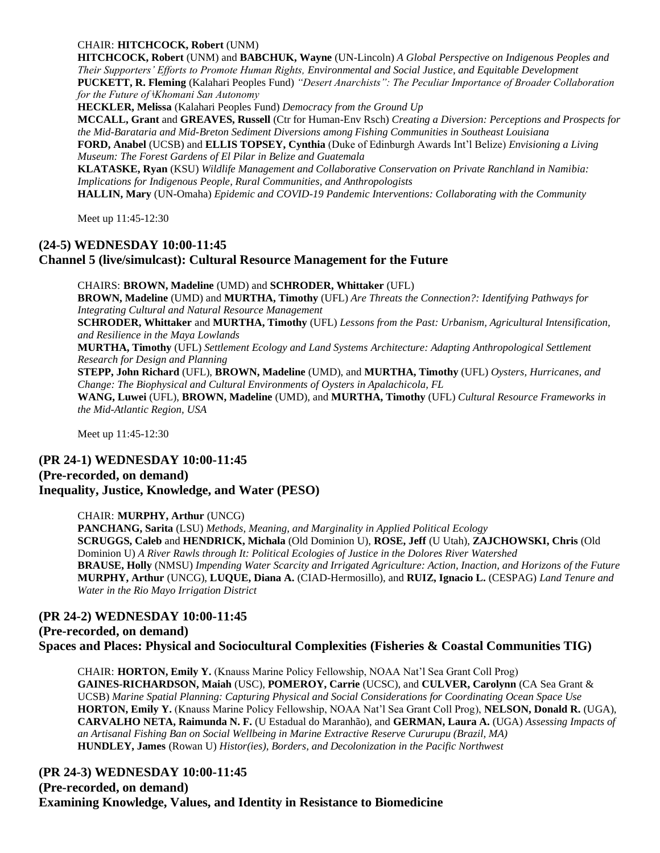#### CHAIR: **HITCHCOCK, Robert** (UNM)

**HITCHCOCK, Robert** (UNM) and **BABCHUK, Wayne** (UN-Lincoln) *A Global Perspective on Indigenous Peoples and Their Supporters' Efforts to Promote Human Rights, Environmental and Social Justice, and Equitable Development* **PUCKETT, R. Fleming** (Kalahari Peoples Fund) *"Desert Anarchists": The Peculiar Importance of Broader Collaboration for the Future of ǂKhomani San Autonomy*

**HECKLER, Melissa** (Kalahari Peoples Fund) *Democracy from the Ground Up*

**MCCALL, Grant** and **GREAVES, Russell** (Ctr for Human-Env Rsch) *Creating a Diversion: Perceptions and Prospects for the Mid-Barataria and Mid-Breton Sediment Diversions among Fishing Communities in Southeast Louisiana*

**FORD, Anabel** (UCSB) and **ELLIS TOPSEY, Cynthia** (Duke of Edinburgh Awards Int'l Belize) *Envisioning a Living Museum: The Forest Gardens of El Pilar in Belize and Guatemala*

**KLATASKE, Ryan** (KSU) *Wildlife Management and Collaborative Conservation on Private Ranchland in Namibia: Implications for Indigenous People, Rural Communities, and Anthropologists*

**HALLIN, Mary** (UN-Omaha) *Epidemic and COVID-19 Pandemic Interventions: Collaborating with the Community*

Meet up 11:45-12:30

## **(24-5) WEDNESDAY 10:00-11:45 Channel 5 (live/simulcast): Cultural Resource Management for the Future**

CHAIRS: **BROWN, Madeline** (UMD) and **SCHRODER, Whittaker** (UFL) **BROWN, Madeline** (UMD) and **MURTHA, Timothy** (UFL) *Are Threats the Connection?: Identifying Pathways for Integrating Cultural and Natural Resource Management* **SCHRODER, Whittaker** and **MURTHA, Timothy** (UFL) *Lessons from the Past: Urbanism, Agricultural Intensification, and Resilience in the Maya Lowlands* **MURTHA, Timothy** (UFL) *Settlement Ecology and Land Systems Architecture: Adapting Anthropological Settlement Research for Design and Planning* **STEPP, John Richard** (UFL), **BROWN, Madeline** (UMD), and **MURTHA, Timothy** (UFL) *Oysters, Hurricanes, and Change: The Biophysical and Cultural Environments of Oysters in Apalachicola, FL* **WANG, Luwei** (UFL), **BROWN, Madeline** (UMD), and **MURTHA, Timothy** (UFL) *Cultural Resource Frameworks in the Mid-Atlantic Region, USA*

Meet up 11:45-12:30

#### **(PR 24-1) WEDNESDAY 10:00-11:45 (Pre-recorded, on demand) Inequality, Justice, Knowledge, and Water (PESO)**

#### CHAIR: **MURPHY, Arthur** (UNCG)

**PANCHANG, Sarita** (LSU) *Methods, Meaning, and Marginality in Applied Political Ecology* **SCRUGGS, Caleb** and **HENDRICK, Michala** (Old Dominion U), **ROSE, Jeff** (U Utah), **ZAJCHOWSKI, Chris** (Old Dominion U) *A River Rawls through It: Political Ecologies of Justice in the Dolores River Watershed* **BRAUSE, Holly** (NMSU) *Impending Water Scarcity and Irrigated Agriculture: Action, Inaction, and Horizons of the Future* **MURPHY, Arthur** (UNCG), **LUQUE, Diana A.** (CIAD-Hermosillo), and **RUIZ, Ignacio L.** (CESPAG) *Land Tenure and Water in the Rio Mayo Irrigation District*

#### **(PR 24-2) WEDNESDAY 10:00-11:45 (Pre-recorded, on demand) Spaces and Places: Physical and Sociocultural Complexities (Fisheries & Coastal Communities TIG)**

CHAIR: **HORTON, Emily Y.** (Knauss Marine Policy Fellowship, NOAA Nat'l Sea Grant Coll Prog) **GAINES-RICHARDSON, Maiah** (USC), **POMEROY, Carrie** (UCSC), and **CULVER, Carolynn** (CA Sea Grant & UCSB) *Marine Spatial Planning: Capturing Physical and Social Considerations for Coordinating Ocean Space Use* **HORTON, Emily Y.** (Knauss Marine Policy Fellowship, NOAA Nat'l Sea Grant Coll Prog), **NELSON, Donald R.** (UGA), **CARVALHO NETA, Raimunda N. F.** (U Estadual do Maranhão), and **GERMAN, Laura A.** (UGA) *Assessing Impacts of an Artisanal Fishing Ban on Social Wellbeing in Marine Extractive Reserve Cururupu (Brazil, MA)* **HUNDLEY, James** (Rowan U) *Histor(ies), Borders, and Decolonization in the Pacific Northwest*

# **(PR 24-3) WEDNESDAY 10:00-11:45 (Pre-recorded, on demand) Examining Knowledge, Values, and Identity in Resistance to Biomedicine**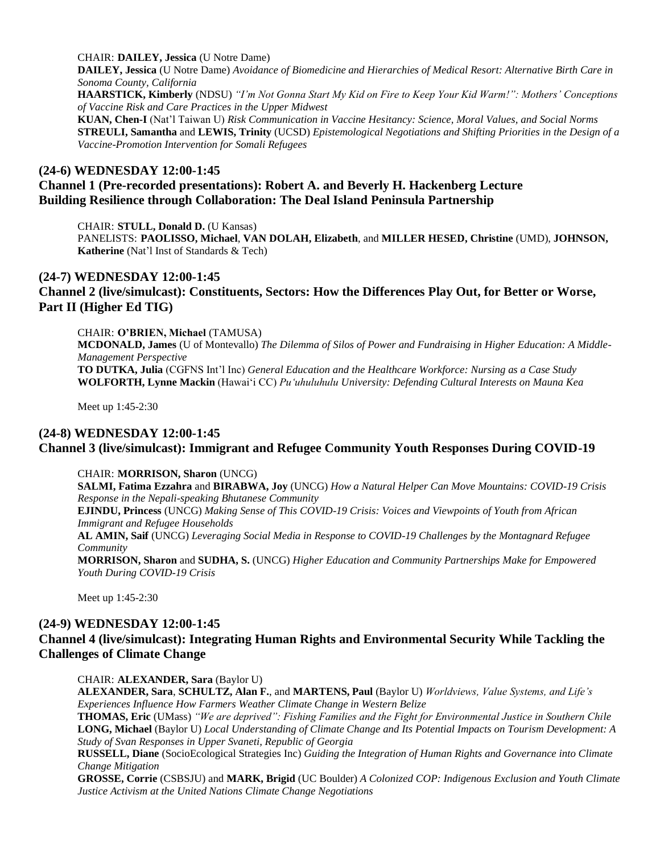CHAIR: **DAILEY, Jessica** (U Notre Dame)

**DAILEY, Jessica** (U Notre Dame) *Avoidance of Biomedicine and Hierarchies of Medical Resort: Alternative Birth Care in Sonoma County, California*

**HAARSTICK, Kimberly** (NDSU) *"I'm Not Gonna Start My Kid on Fire to Keep Your Kid Warm!": Mothers' Conceptions of Vaccine Risk and Care Practices in the Upper Midwest*

**KUAN, Chen-I** (Nat'l Taiwan U) *Risk Communication in Vaccine Hesitancy: Science, Moral Values, and Social Norms* **STREULI, Samantha** and **LEWIS, Trinity** (UCSD) *Epistemological Negotiations and Shifting Priorities in the Design of a Vaccine-Promotion Intervention for Somali Refugees*

#### **(24-6) WEDNESDAY 12:00-1:45**

# **Channel 1 (Pre-recorded presentations): Robert A. and Beverly H. Hackenberg Lecture Building Resilience through Collaboration: The Deal Island Peninsula Partnership**

CHAIR: **STULL, Donald D.** (U Kansas)

PANELISTS: **PAOLISSO, Michael**, **VAN DOLAH, Elizabeth**, and **MILLER HESED, Christine** (UMD), **JOHNSON, Katherine** (Nat'l Inst of Standards & Tech)

#### **(24-7) WEDNESDAY 12:00-1:45**

**Channel 2 (live/simulcast): Constituents, Sectors: How the Differences Play Out, for Better or Worse, Part II (Higher Ed TIG)**

CHAIR: **O'BRIEN, Michael** (TAMUSA)

**MCDONALD, James** (U of Montevallo) *The Dilemma of Silos of Power and Fundraising in Higher Education: A Middle-Management Perspective* **TO DUTKA, Julia** (CGFNS Int'l Inc) *General Education and the Healthcare Workforce: Nursing as a Case Study* **WOLFORTH, Lynne Mackin** (Hawaiʻi CC) *Puʻuhuluhulu University: Defending Cultural Interests on Mauna Kea*

Meet up 1:45-2:30

#### **(24-8) WEDNESDAY 12:00-1:45**

## **Channel 3 (live/simulcast): Immigrant and Refugee Community Youth Responses During COVID-19**

CHAIR: **MORRISON, Sharon** (UNCG)

**SALMI, Fatima Ezzahra** and **BIRABWA, Joy** (UNCG) *How a Natural Helper Can Move Mountains: COVID-19 Crisis Response in the Nepali-speaking Bhutanese Community*

**EJINDU, Princess** (UNCG) *Making Sense of This COVID-19 Crisis: Voices and Viewpoints of Youth from African Immigrant and Refugee Households*

**AL AMIN, Saif** (UNCG) *Leveraging Social Media in Response to COVID-19 Challenges by the Montagnard Refugee Community*

**MORRISON, Sharon** and **SUDHA, S.** (UNCG) *Higher Education and Community Partnerships Make for Empowered Youth During COVID-19 Crisis*

Meet up 1:45-2:30

# **(24-9) WEDNESDAY 12:00-1:45 Channel 4 (live/simulcast): Integrating Human Rights and Environmental Security While Tackling the Challenges of Climate Change**

CHAIR: **ALEXANDER, Sara** (Baylor U)

**ALEXANDER, Sara**, **SCHULTZ, Alan F.**, and **MARTENS, Paul** (Baylor U) *Worldviews, Value Systems, and Life's Experiences Influence How Farmers Weather Climate Change in Western Belize*

**THOMAS, Eric** (UMass) *"We are deprived": Fishing Families and the Fight for Environmental Justice in Southern Chile* **LONG, Michael** (Baylor U) *Local Understanding of Climate Change and Its Potential Impacts on Tourism Development: A Study of Svan Responses in Upper Svaneti, Republic of Georgia*

**RUSSELL, Diane** (SocioEcological Strategies Inc) *Guiding the Integration of Human Rights and Governance into Climate Change Mitigation*

**GROSSE, Corrie** (CSBSJU) and **MARK, Brigid** (UC Boulder) *A Colonized COP: Indigenous Exclusion and Youth Climate Justice Activism at the United Nations Climate Change Negotiations*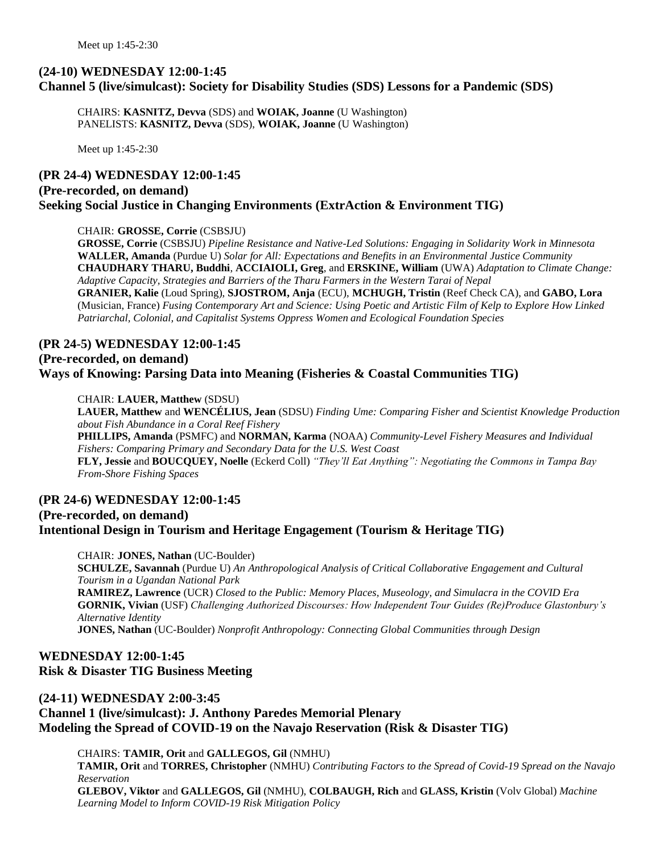# **(24-10) WEDNESDAY 12:00-1:45 Channel 5 (live/simulcast): Society for Disability Studies (SDS) Lessons for a Pandemic (SDS)**

CHAIRS: **KASNITZ, Devva** (SDS) and **WOIAK, Joanne** (U Washington) PANELISTS: **KASNITZ, Devva** (SDS), **WOIAK, Joanne** (U Washington)

Meet up 1:45-2:30

# **(PR 24-4) WEDNESDAY 12:00-1:45 (Pre-recorded, on demand) Seeking Social Justice in Changing Environments (ExtrAction & Environment TIG)**

#### CHAIR: **GROSSE, Corrie** (CSBSJU)

**GROSSE, Corrie** (CSBSJU) *Pipeline Resistance and Native-Led Solutions: Engaging in Solidarity Work in Minnesota* **WALLER, Amanda** (Purdue U) *Solar for All: Expectations and Benefits in an Environmental Justice Community* **CHAUDHARY THARU, Buddhi**, **ACCIAIOLI, Greg**, and **ERSKINE, William** (UWA) *Adaptation to Climate Change: Adaptive Capacity, Strategies and Barriers of the Tharu Farmers in the Western Tarai of Nepal* **GRANIER, Kalie** (Loud Spring), **SJOSTROM, Anja** (ECU), **MCHUGH, Tristin** (Reef Check CA), and **GABO, Lora** (Musician, France) *Fusing Contemporary Art and Science: Using Poetic and Artistic Film of Kelp to Explore How Linked Patriarchal, Colonial, and Capitalist Systems Oppress Women and Ecological Foundation Species*

# **(PR 24-5) WEDNESDAY 12:00-1:45 (Pre-recorded, on demand) Ways of Knowing: Parsing Data into Meaning (Fisheries & Coastal Communities TIG)**

#### CHAIR: **LAUER, Matthew** (SDSU)

**LAUER, Matthew** and **WENCÉLIUS, Jean** (SDSU) *Finding Ume: Comparing Fisher and Scientist Knowledge Production about Fish Abundance in a Coral Reef Fishery*

**PHILLIPS, Amanda** (PSMFC) and **NORMAN, Karma** (NOAA) *Community-Level Fishery Measures and Individual Fishers: Comparing Primary and Secondary Data for the U.S. West Coast* **FLY, Jessie** and **BOUCQUEY, Noelle** (Eckerd Coll) *"They'll Eat Anything": Negotiating the Commons in Tampa Bay From-Shore Fishing Spaces*

# **(PR 24-6) WEDNESDAY 12:00-1:45**

# **(Pre-recorded, on demand) Intentional Design in Tourism and Heritage Engagement (Tourism & Heritage TIG)**

CHAIR: **JONES, Nathan** (UC-Boulder) **SCHULZE, Savannah** (Purdue U) *An Anthropological Analysis of Critical Collaborative Engagement and Cultural Tourism in a Ugandan National Park* **RAMIREZ, Lawrence** (UCR) *Closed to the Public: Memory Places, Museology, and Simulacra in the COVID Era* **GORNIK, Vivian** (USF) *Challenging Authorized Discourses: How Independent Tour Guides (Re)Produce Glastonbury's Alternative Identity* **JONES, Nathan** (UC-Boulder) *Nonprofit Anthropology: Connecting Global Communities through Design*

# **WEDNESDAY 12:00-1:45 Risk & Disaster TIG Business Meeting**

# **(24-11) WEDNESDAY 2:00-3:45 Channel 1 (live/simulcast): J. Anthony Paredes Memorial Plenary Modeling the Spread of COVID-19 on the Navajo Reservation (Risk & Disaster TIG)**

CHAIRS: **TAMIR, Orit** and **GALLEGOS, Gil** (NMHU) **TAMIR, Orit** and **TORRES, Christopher** (NMHU) *Contributing Factors to the Spread of Covid-19 Spread on the Navajo Reservation* **GLEBOV, Viktor** and **GALLEGOS, Gil** (NMHU), **COLBAUGH, Rich** and **GLASS, Kristin** (Volv Global) *Machine Learning Model to Inform COVID-19 Risk Mitigation Policy*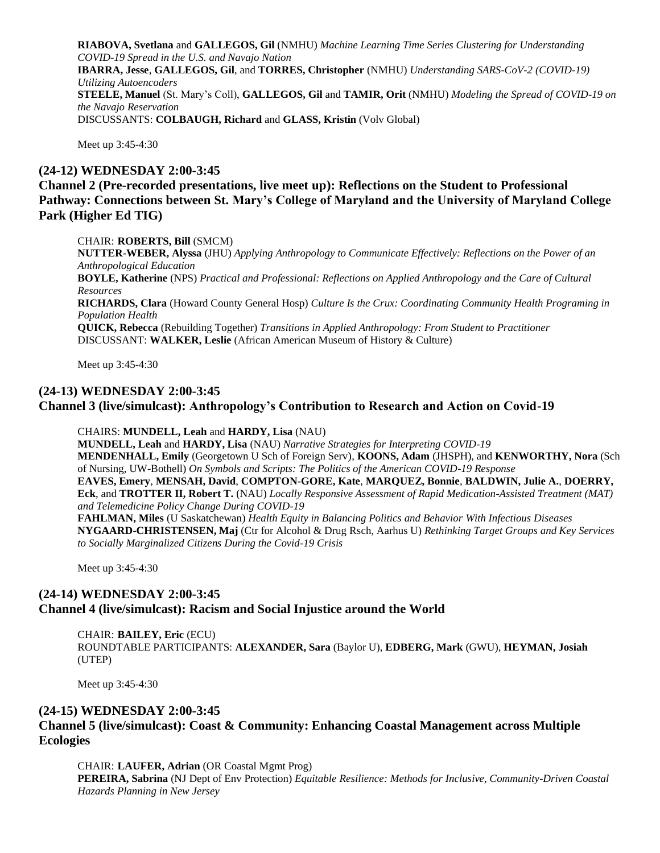**RIABOVA, Svetlana** and **GALLEGOS, Gil** (NMHU) *Machine Learning Time Series Clustering for Understanding COVID-19 Spread in the U.S. and Navajo Nation* **IBARRA, Jesse**, **GALLEGOS, Gil**, and **TORRES, Christopher** (NMHU) *Understanding SARS-CoV-2 (COVID-19) Utilizing Autoencoders* **STEELE, Manuel** (St. Mary's Coll), **GALLEGOS, Gil** and **TAMIR, Orit** (NMHU) *Modeling the Spread of COVID-19 on the Navajo Reservation* DISCUSSANTS: **COLBAUGH, Richard** and **GLASS, Kristin** (Volv Global)

Meet up 3:45-4:30

#### **(24-12) WEDNESDAY 2:00-3:45**

**Channel 2 (Pre-recorded presentations, live meet up): Reflections on the Student to Professional Pathway: Connections between St. Mary's College of Maryland and the University of Maryland College Park (Higher Ed TIG)**

CHAIR: **ROBERTS, Bill** (SMCM)

**NUTTER-WEBER, Alyssa** (JHU) *Applying Anthropology to Communicate Effectively: Reflections on the Power of an Anthropological Education* **BOYLE, Katherine** (NPS) *Practical and Professional: Reflections on Applied Anthropology and the Care of Cultural Resources* **RICHARDS, Clara** (Howard County General Hosp) *Culture Is the Crux: Coordinating Community Health Programing in Population Health* **QUICK, Rebecca** (Rebuilding Together) *Transitions in Applied Anthropology: From Student to Practitioner* DISCUSSANT: **WALKER, Leslie** (African American Museum of History & Culture)

Meet up 3:45-4:30

#### **(24-13) WEDNESDAY 2:00-3:45 Channel 3 (live/simulcast): Anthropology's Contribution to Research and Action on Covid-19**

CHAIRS: **MUNDELL, Leah** and **HARDY, Lisa** (NAU)

*to Socially Marginalized Citizens During the Covid-19 Crisis*

**MUNDELL, Leah** and **HARDY, Lisa** (NAU) *Narrative Strategies for Interpreting COVID-19* **MENDENHALL, Emily** (Georgetown U Sch of Foreign Serv), **KOONS, Adam** (JHSPH), and **KENWORTHY, Nora** (Sch of Nursing, UW-Bothell) *On Symbols and Scripts: The Politics of the American COVID-19 Response* **EAVES, Emery**, **MENSAH, David**, **COMPTON-GORE, Kate**, **MARQUEZ, Bonnie**, **BALDWIN, Julie A.**, **DOERRY, Eck**, and **TROTTER II, Robert T.** (NAU) *Locally Responsive Assessment of Rapid Medication-Assisted Treatment (MAT) and Telemedicine Policy Change During COVID-19* **FAHLMAN, Miles** (U Saskatchewan) *Health Equity in Balancing Politics and Behavior With Infectious Diseases* **NYGAARD-CHRISTENSEN, Maj** (Ctr for Alcohol & Drug Rsch, Aarhus U) *Rethinking Target Groups and Key Services* 

Meet up 3:45-4:30

# **(24-14) WEDNESDAY 2:00-3:45 Channel 4 (live/simulcast): Racism and Social Injustice around the World**

CHAIR: **BAILEY, Eric** (ECU) ROUNDTABLE PARTICIPANTS: **ALEXANDER, Sara** (Baylor U), **EDBERG, Mark** (GWU), **HEYMAN, Josiah** (UTEP)

Meet up 3:45-4:30

## **(24-15) WEDNESDAY 2:00-3:45**

# **Channel 5 (live/simulcast): Coast & Community: Enhancing Coastal Management across Multiple Ecologies**

CHAIR: **LAUFER, Adrian** (OR Coastal Mgmt Prog) **PEREIRA, Sabrina** (NJ Dept of Env Protection) *Equitable Resilience: Methods for Inclusive, Community-Driven Coastal Hazards Planning in New Jersey*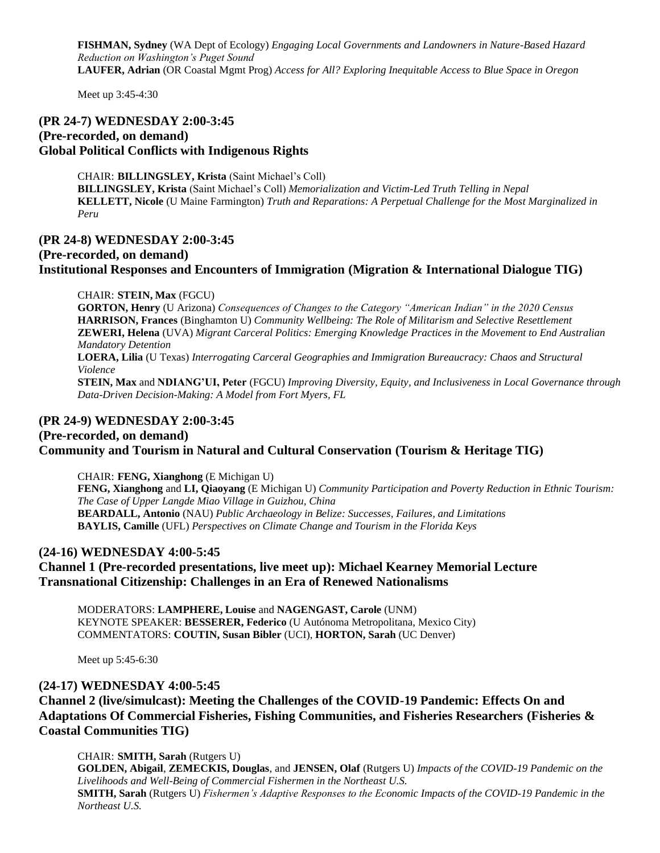**FISHMAN, Sydney** (WA Dept of Ecology) *Engaging Local Governments and Landowners in Nature-Based Hazard Reduction on Washington's Puget Sound* **LAUFER, Adrian** (OR Coastal Mgmt Prog) *Access for All? Exploring Inequitable Access to Blue Space in Oregon*

Meet up 3:45-4:30

# **(PR 24-7) WEDNESDAY 2:00-3:45 (Pre-recorded, on demand) Global Political Conflicts with Indigenous Rights**

CHAIR: **BILLINGSLEY, Krista** (Saint Michael's Coll) **BILLINGSLEY, Krista** (Saint Michael's Coll) *Memorialization and Victim-Led Truth Telling in Nepal* **KELLETT, Nicole** (U Maine Farmington) *Truth and Reparations: A Perpetual Challenge for the Most Marginalized in Peru*

#### **(PR 24-8) WEDNESDAY 2:00-3:45**

**(Pre-recorded, on demand) Institutional Responses and Encounters of Immigration (Migration & International Dialogue TIG)**

CHAIR: **STEIN, Max** (FGCU)

**GORTON, Henry** (U Arizona) *Consequences of Changes to the Category "American Indian" in the 2020 Census* **HARRISON, Frances** (Binghamton U) *Community Wellbeing: The Role of Militarism and Selective Resettlement* **ZEWERI, Helena** (UVA) *Migrant Carceral Politics: Emerging Knowledge Practices in the Movement to End Australian Mandatory Detention* **LOERA, Lilia** (U Texas) *Interrogating Carceral Geographies and Immigration Bureaucracy: Chaos and Structural Violence*

**STEIN, Max** and **NDIANG'UI, Peter** (FGCU) *Improving Diversity, Equity, and Inclusiveness in Local Governance through Data-Driven Decision-Making: A Model from Fort Myers, FL*

## **(PR 24-9) WEDNESDAY 2:00-3:45**

**(Pre-recorded, on demand)**

## **Community and Tourism in Natural and Cultural Conservation (Tourism & Heritage TIG)**

CHAIR: **FENG, Xianghong** (E Michigan U) **FENG, Xianghong** and **LI, Qiaoyang** (E Michigan U) *Community Participation and Poverty Reduction in Ethnic Tourism: The Case of Upper Langde Miao Village in Guizhou, China* **BEARDALL, Antonio** (NAU) *Public Archaeology in Belize: Successes, Failures, and Limitations* **BAYLIS, Camille** (UFL) *Perspectives on Climate Change and Tourism in the Florida Keys*

## **(24-16) WEDNESDAY 4:00-5:45**

## **Channel 1 (Pre-recorded presentations, live meet up): Michael Kearney Memorial Lecture Transnational Citizenship: Challenges in an Era of Renewed Nationalisms**

MODERATORS: **LAMPHERE, Louise** and **NAGENGAST, Carole** (UNM) KEYNOTE SPEAKER: **BESSERER, Federico** (U Autónoma Metropolitana, Mexico City) COMMENTATORS: **COUTIN, Susan Bibler** (UCI), **HORTON, Sarah** (UC Denver)

Meet up 5:45-6:30

#### **(24-17) WEDNESDAY 4:00-5:45**

**Channel 2 (live/simulcast): Meeting the Challenges of the COVID-19 Pandemic: Effects On and Adaptations Of Commercial Fisheries, Fishing Communities, and Fisheries Researchers (Fisheries & Coastal Communities TIG)**

CHAIR: **SMITH, Sarah** (Rutgers U)

**GOLDEN, Abigail**, **ZEMECKIS, Douglas**, and **JENSEN, Olaf** (Rutgers U) *Impacts of the COVID-19 Pandemic on the Livelihoods and Well-Being of Commercial Fishermen in the Northeast U.S.* **SMITH, Sarah** (Rutgers U) *Fishermen's Adaptive Responses to the Economic Impacts of the COVID-19 Pandemic in the Northeast U.S.*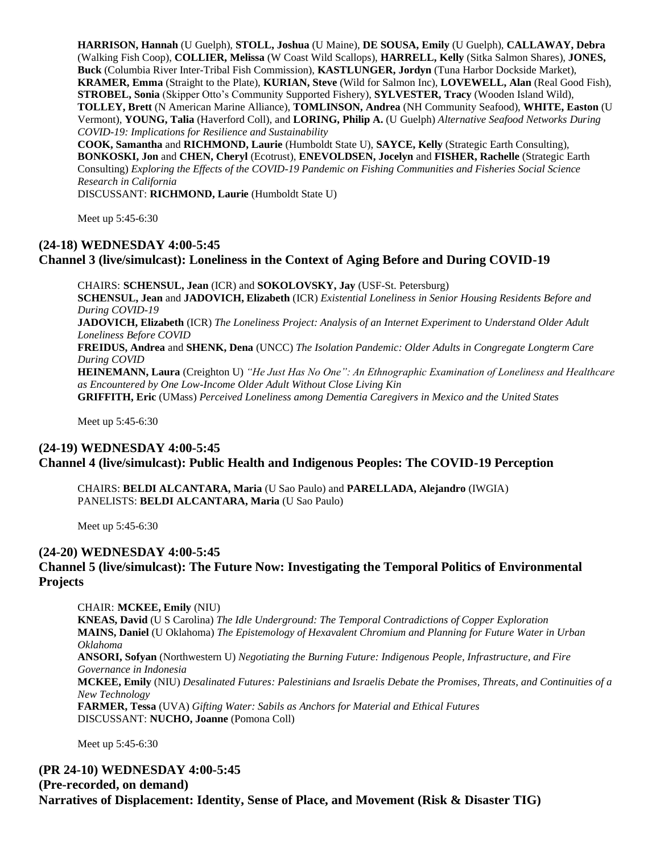**HARRISON, Hannah** (U Guelph), **STOLL, Joshua** (U Maine), **DE SOUSA, Emily** (U Guelph), **CALLAWAY, Debra**  (Walking Fish Coop), **COLLIER, Melissa** (W Coast Wild Scallops), **HARRELL, Kelly** (Sitka Salmon Shares), **JONES, Buck** (Columbia River Inter-Tribal Fish Commission), **KASTLUNGER, Jordyn** (Tuna Harbor Dockside Market), **KRAMER, Emma** (Straight to the Plate), **KURIAN, Steve** (Wild for Salmon Inc), **LOVEWELL, Alan** (Real Good Fish), **STROBEL, Sonia** (Skipper Otto's Community Supported Fishery), **SYLVESTER, Tracy** (Wooden Island Wild), **TOLLEY, Brett** (N American Marine Alliance), **TOMLINSON, Andrea** (NH Community Seafood), **WHITE, Easton** (U Vermont), **YOUNG, Talia** (Haverford Coll), and **LORING, Philip A.** (U Guelph) *Alternative Seafood Networks During COVID-19: Implications for Resilience and Sustainability*

**COOK, Samantha** and **RICHMOND, Laurie** (Humboldt State U), **SAYCE, Kelly** (Strategic Earth Consulting), **BONKOSKI, Jon** and **CHEN, Cheryl** (Ecotrust), **ENEVOLDSEN, Jocelyn** and **FISHER, Rachelle** (Strategic Earth Consulting) *Exploring the Effects of the COVID-19 Pandemic on Fishing Communities and Fisheries Social Science Research in California*

DISCUSSANT: **RICHMOND, Laurie** (Humboldt State U)

Meet up 5:45-6:30

#### **(24-18) WEDNESDAY 4:00-5:45**

#### **Channel 3 (live/simulcast): Loneliness in the Context of Aging Before and During COVID-19**

CHAIRS: **SCHENSUL, Jean** (ICR) and **SOKOLOVSKY, Jay** (USF-St. Petersburg) **SCHENSUL, Jean** and **JADOVICH, Elizabeth** (ICR) *Existential Loneliness in Senior Housing Residents Before and During COVID-19* **JADOVICH, Elizabeth** (ICR) *The Loneliness Project: Analysis of an Internet Experiment to Understand Older Adult Loneliness Before COVID* **FREIDUS, Andrea** and **SHENK, Dena** (UNCC) *The Isolation Pandemic: Older Adults in Congregate Longterm Care During COVID* **HEINEMANN, Laura** (Creighton U) *"He Just Has No One": An Ethnographic Examination of Loneliness and Healthcare as Encountered by One Low-Income Older Adult Without Close Living Kin*

**GRIFFITH, Eric** (UMass) *Perceived Loneliness among Dementia Caregivers in Mexico and the United States*

Meet up 5:45-6:30

## **(24-19) WEDNESDAY 4:00-5:45 Channel 4 (live/simulcast): Public Health and Indigenous Peoples: The COVID-19 Perception**

CHAIRS: **BELDI ALCANTARA, Maria** (U Sao Paulo) and **PARELLADA, Alejandro** (IWGIA) PANELISTS: **BELDI ALCANTARA, Maria** (U Sao Paulo)

Meet up 5:45-6:30

## **(24-20) WEDNESDAY 4:00-5:45 Channel 5 (live/simulcast): The Future Now: Investigating the Temporal Politics of Environmental Projects**

CHAIR: **MCKEE, Emily** (NIU) **KNEAS, David** (U S Carolina) *The Idle Underground: The Temporal Contradictions of Copper Exploration* **MAINS, Daniel** (U Oklahoma) *The Epistemology of Hexavalent Chromium and Planning for Future Water in Urban Oklahoma* **ANSORI, Sofyan** (Northwestern U) *Negotiating the Burning Future: Indigenous People, Infrastructure, and Fire Governance in Indonesia* **MCKEE, Emily** (NIU) *Desalinated Futures: Palestinians and Israelis Debate the Promises, Threats, and Continuities of a New Technology* **FARMER, Tessa** (UVA) *Gifting Water: Sabils as Anchors for Material and Ethical Futures* DISCUSSANT: **NUCHO, Joanne** (Pomona Coll)

Meet up 5:45-6:30

**(PR 24-10) WEDNESDAY 4:00-5:45 (Pre-recorded, on demand) Narratives of Displacement: Identity, Sense of Place, and Movement (Risk & Disaster TIG)**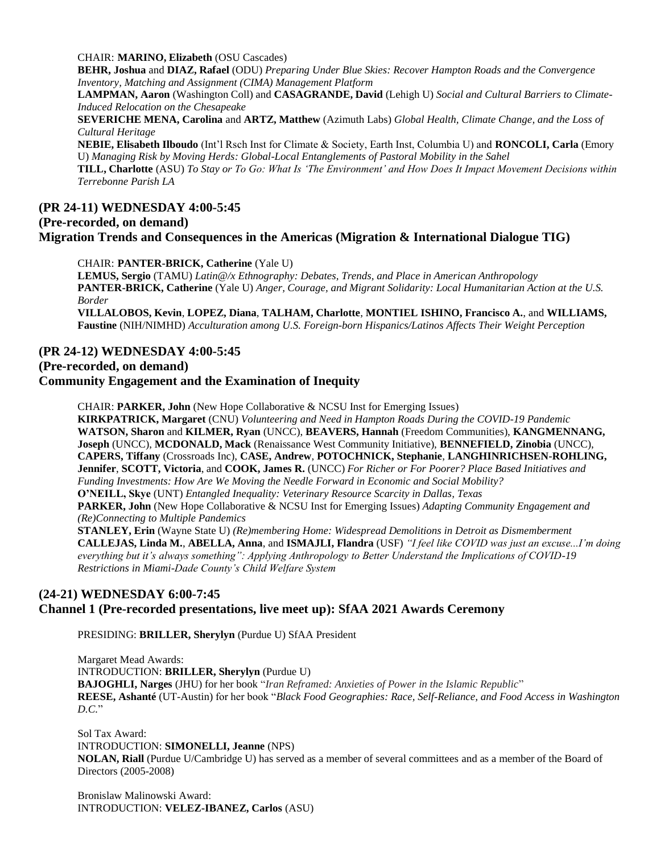CHAIR: **MARINO, Elizabeth** (OSU Cascades)

**BEHR, Joshua** and **DIAZ, Rafael** (ODU) *Preparing Under Blue Skies: Recover Hampton Roads and the Convergence Inventory, Matching and Assignment (CIMA) Management Platform*

**LAMPMAN, Aaron** (Washington Coll) and **CASAGRANDE, David** (Lehigh U) *Social and Cultural Barriers to Climate-Induced Relocation on the Chesapeake*

**SEVERICHE MENA, Carolina** and **ARTZ, Matthew** (Azimuth Labs) *Global Health, Climate Change, and the Loss of Cultural Heritage*

**NEBIE, Elisabeth Ilboudo** (Int'l Rsch Inst for Climate & Society, Earth Inst, Columbia U) and **RONCOLI, Carla** (Emory U) *Managing Risk by Moving Herds: Global-Local Entanglements of Pastoral Mobility in the Sahel*

**TILL, Charlotte** (ASU) *To Stay or To Go: What Is 'The Environment' and How Does It Impact Movement Decisions within Terrebonne Parish LA*

# **(PR 24-11) WEDNESDAY 4:00-5:45**

## **(Pre-recorded, on demand)**

**Migration Trends and Consequences in the Americas (Migration & International Dialogue TIG)**

CHAIR: **PANTER-BRICK, Catherine** (Yale U)

**LEMUS, Sergio** (TAMU) *Latin@/x Ethnography: Debates, Trends, and Place in American Anthropology* **PANTER-BRICK, Catherine** (Yale U) *Anger, Courage, and Migrant Solidarity: Local Humanitarian Action at the U.S. Border*

**VILLALOBOS, Kevin**, **LOPEZ, Diana**, **TALHAM, Charlotte**, **MONTIEL ISHINO, Francisco A.**, and **WILLIAMS, Faustine** (NIH/NIMHD) *Acculturation among U.S. Foreign-born Hispanics/Latinos Affects Their Weight Perception*

# **(PR 24-12) WEDNESDAY 4:00-5:45**

**(Pre-recorded, on demand)**

#### **Community Engagement and the Examination of Inequity**

CHAIR: **PARKER, John** (New Hope Collaborative & NCSU Inst for Emerging Issues) **KIRKPATRICK, Margaret** (CNU) *Volunteering and Need in Hampton Roads During the COVID-19 Pandemic* **WATSON, Sharon** and **KILMER, Ryan** (UNCC), **BEAVERS, Hannah** (Freedom Communities), **KANGMENNANG, Joseph** (UNCC), **MCDONALD, Mack** (Renaissance West Community Initiative), **BENNEFIELD, Zinobia** (UNCC), **CAPERS, Tiffany** (Crossroads Inc), **CASE, Andrew**, **POTOCHNICK, Stephanie**, **LANGHINRICHSEN-ROHLING, Jennifer**, **SCOTT, Victoria**, and **COOK, James R.** (UNCC) *For Richer or For Poorer? Place Based Initiatives and Funding Investments: How Are We Moving the Needle Forward in Economic and Social Mobility?* **O'NEILL, Skye** (UNT) *Entangled Inequality: Veterinary Resource Scarcity in Dallas, Texas* **PARKER, John** (New Hope Collaborative & NCSU Inst for Emerging Issues) *Adapting Community Engagement and (Re)Connecting to Multiple Pandemics* **STANLEY, Erin** (Wayne State U) *(Re)membering Home: Widespread Demolitions in Detroit as Dismemberment* **CALLEJAS, Linda M.**, **ABELLA, Anna**, and **ISMAJLI, Flandra** (USF) *"I feel like COVID was just an excuse...I'm doing everything but it's always something": Applying Anthropology to Better Understand the Implications of COVID-19 Restrictions in Miami-Dade County's Child Welfare System*

#### **(24-21) WEDNESDAY 6:00-7:45 Channel 1 (Pre-recorded presentations, live meet up): SfAA 2021 Awards Ceremony**

PRESIDING: **BRILLER, Sherylyn** (Purdue U) SfAA President

Margaret Mead Awards: INTRODUCTION: **BRILLER, Sherylyn** (Purdue U) **BAJOGHLI, Narges** (JHU) for her book "*Iran Reframed: Anxieties of Power in the Islamic Republic*" **REESE, Ashanté** (UT-Austin) for her book "*Black Food Geographies: Race, Self-Reliance, and Food Access in Washington D.C.*"

Sol Tax Award: INTRODUCTION: **SIMONELLI, Jeanne** (NPS) **NOLAN, Riall** (Purdue U/Cambridge U) has served as a member of several committees and as a member of the Board of Directors (2005-2008)

Bronislaw Malinowski Award: INTRODUCTION: **VELEZ-IBANEZ, Carlos** (ASU)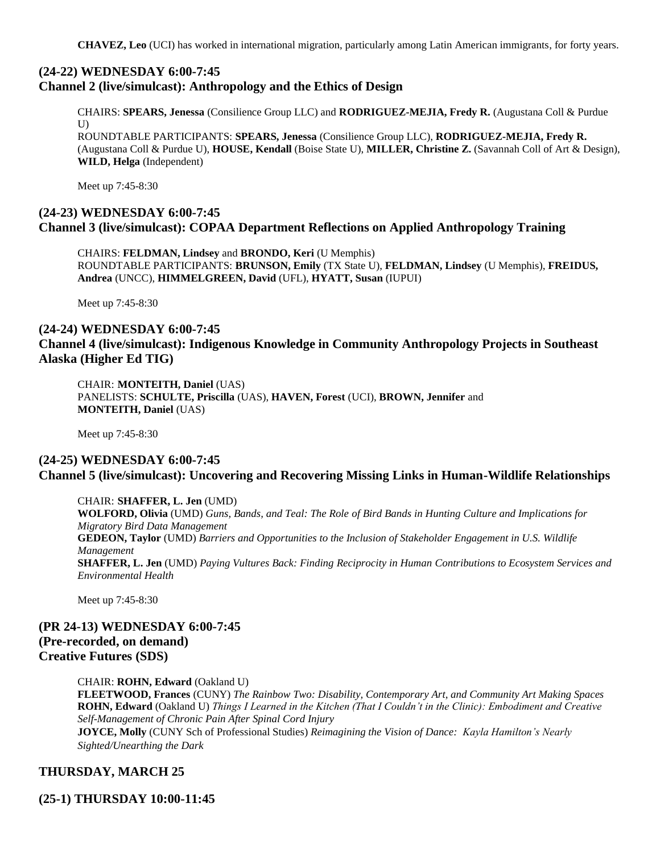**CHAVEZ, Leo** (UCI) has worked in international migration, particularly among Latin American immigrants, for forty years.

#### **(24-22) WEDNESDAY 6:00-7:45 Channel 2 (live/simulcast): Anthropology and the Ethics of Design**

CHAIRS: **SPEARS, Jenessa** (Consilience Group LLC) and **RODRIGUEZ-MEJIA, Fredy R.** (Augustana Coll & Purdue  $U$ )

ROUNDTABLE PARTICIPANTS: **SPEARS, Jenessa** (Consilience Group LLC), **RODRIGUEZ-MEJIA, Fredy R.** (Augustana Coll & Purdue U), **HOUSE, Kendall** (Boise State U), **MILLER, Christine Z.** (Savannah Coll of Art & Design), **WILD, Helga** (Independent)

Meet up 7:45-8:30

# **(24-23) WEDNESDAY 6:00-7:45 Channel 3 (live/simulcast): COPAA Department Reflections on Applied Anthropology Training**

CHAIRS: **FELDMAN, Lindsey** and **BRONDO, Keri** (U Memphis) ROUNDTABLE PARTICIPANTS: **BRUNSON, Emily** (TX State U), **FELDMAN, Lindsey** (U Memphis), **FREIDUS, Andrea** (UNCC), **HIMMELGREEN, David** (UFL), **HYATT, Susan** (IUPUI)

Meet up 7:45-8:30

#### **(24-24) WEDNESDAY 6:00-7:45**

# **Channel 4 (live/simulcast): Indigenous Knowledge in Community Anthropology Projects in Southeast Alaska (Higher Ed TIG)**

CHAIR: **MONTEITH, Daniel** (UAS) PANELISTS: **SCHULTE, Priscilla** (UAS), **HAVEN, Forest** (UCI), **BROWN, Jennifer** and **MONTEITH, Daniel** (UAS)

Meet up 7:45-8:30

## **(24-25) WEDNESDAY 6:00-7:45 Channel 5 (live/simulcast): Uncovering and Recovering Missing Links in Human-Wildlife Relationships**

CHAIR: **SHAFFER, L. Jen** (UMD) **WOLFORD, Olivia** (UMD) *Guns, Bands, and Teal: The Role of Bird Bands in Hunting Culture and Implications for Migratory Bird Data Management* **GEDEON, Taylor** (UMD) *Barriers and Opportunities to the Inclusion of Stakeholder Engagement in U.S. Wildlife Management* **SHAFFER, L. Jen** (UMD) *Paying Vultures Back: Finding Reciprocity in Human Contributions to Ecosystem Services and Environmental Health*

Meet up 7:45-8:30

**(PR 24-13) WEDNESDAY 6:00-7:45 (Pre-recorded, on demand) Creative Futures (SDS)**

CHAIR: **ROHN, Edward** (Oakland U)

**FLEETWOOD, Frances** (CUNY) *The Rainbow Two: Disability, Contemporary Art, and Community Art Making Spaces* **ROHN, Edward** (Oakland U) *Things I Learned in the Kitchen (That I Couldn't in the Clinic): Embodiment and Creative Self-Management of Chronic Pain After Spinal Cord Injury*

**JOYCE, Molly** (CUNY Sch of Professional Studies) *Reimagining the Vision of Dance: Kayla Hamilton's Nearly Sighted/Unearthing the Dark*

## **THURSDAY, MARCH 25**

**(25-1) THURSDAY 10:00-11:45**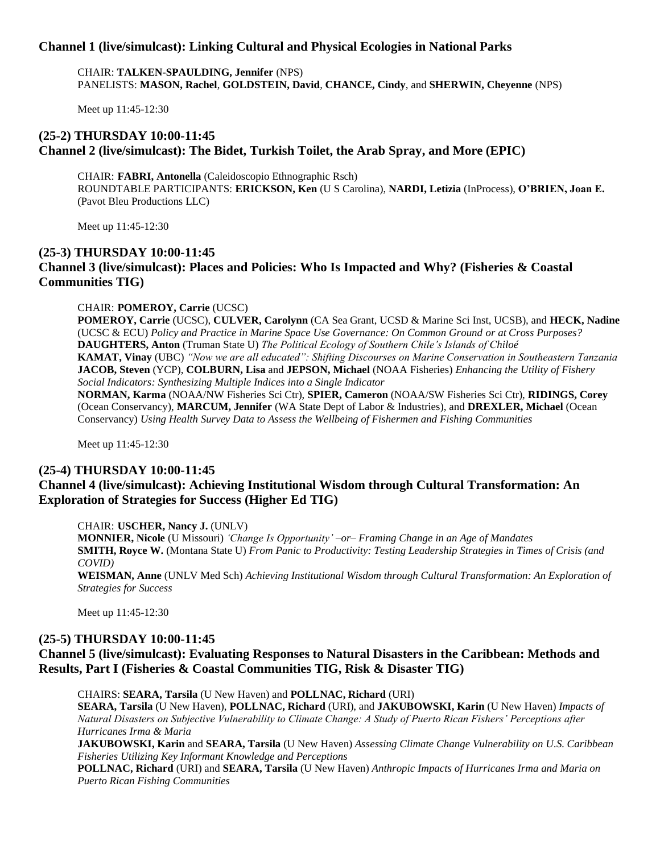## **Channel 1 (live/simulcast): Linking Cultural and Physical Ecologies in National Parks**

CHAIR: **TALKEN-SPAULDING, Jennifer** (NPS) PANELISTS: **MASON, Rachel**, **GOLDSTEIN, David**, **CHANCE, Cindy**, and **SHERWIN, Cheyenne** (NPS)

Meet up 11:45-12:30

# **(25-2) THURSDAY 10:00-11:45 Channel 2 (live/simulcast): The Bidet, Turkish Toilet, the Arab Spray, and More (EPIC)**

CHAIR: **FABRI, Antonella** (Caleidoscopio Ethnographic Rsch) ROUNDTABLE PARTICIPANTS: **ERICKSON, Ken** (U S Carolina), **NARDI, Letizia** (InProcess), **O'BRIEN, Joan E.** (Pavot Bleu Productions LLC)

Meet up 11:45-12:30

## **(25-3) THURSDAY 10:00-11:45 Channel 3 (live/simulcast): Places and Policies: Who Is Impacted and Why? (Fisheries & Coastal Communities TIG)**

#### CHAIR: **POMEROY, Carrie** (UCSC)

**POMEROY, Carrie** (UCSC), **CULVER, Carolynn** (CA Sea Grant, UCSD & Marine Sci Inst, UCSB), and **HECK, Nadine**  (UCSC & ECU) *Policy and Practice in Marine Space Use Governance: On Common Ground or at Cross Purposes?* **DAUGHTERS, Anton** (Truman State U) *The Political Ecology of Southern Chile's Islands of Chiloé* **KAMAT, Vinay** (UBC) *"Now we are all educated": Shifting Discourses on Marine Conservation in Southeastern Tanzania* **JACOB, Steven** (YCP), **COLBURN, Lisa** and **JEPSON, Michael** (NOAA Fisheries) *Enhancing the Utility of Fishery Social Indicators: Synthesizing Multiple Indices into a Single Indicator* **NORMAN, Karma** (NOAA/NW Fisheries Sci Ctr), **SPIER, Cameron** (NOAA/SW Fisheries Sci Ctr), **RIDINGS, Corey** (Ocean Conservancy), **MARCUM, Jennifer** (WA State Dept of Labor & Industries), and **DREXLER, Michael** (Ocean Conservancy) *Using Health Survey Data to Assess the Wellbeing of Fishermen and Fishing Communities*

Meet up 11:45-12:30

#### **(25-4) THURSDAY 10:00-11:45**

## **Channel 4 (live/simulcast): Achieving Institutional Wisdom through Cultural Transformation: An Exploration of Strategies for Success (Higher Ed TIG)**

CHAIR: **USCHER, Nancy J.** (UNLV)

**MONNIER, Nicole** (U Missouri) *'Change Is Opportunity' –or– Framing Change in an Age of Mandates* **SMITH, Royce W.** (Montana State U) *From Panic to Productivity: Testing Leadership Strategies in Times of Crisis (and COVID)*

**WEISMAN, Anne** (UNLV Med Sch) *Achieving Institutional Wisdom through Cultural Transformation: An Exploration of Strategies for Success*

Meet up 11:45-12:30

## **(25-5) THURSDAY 10:00-11:45**

# **Channel 5 (live/simulcast): Evaluating Responses to Natural Disasters in the Caribbean: Methods and Results, Part I (Fisheries & Coastal Communities TIG, Risk & Disaster TIG)**

CHAIRS: **SEARA, Tarsila** (U New Haven) and **POLLNAC, Richard** (URI) **SEARA, Tarsila** (U New Haven), **POLLNAC, Richard** (URI), and **JAKUBOWSKI, Karin** (U New Haven) *Impacts of* 

*Natural Disasters on Subjective Vulnerability to Climate Change: A Study of Puerto Rican Fishers' Perceptions after Hurricanes Irma & Maria*

**JAKUBOWSKI, Karin** and **SEARA, Tarsila** (U New Haven) *Assessing Climate Change Vulnerability on U.S. Caribbean Fisheries Utilizing Key Informant Knowledge and Perceptions*

**POLLNAC, Richard** (URI) and **SEARA, Tarsila** (U New Haven) *Anthropic Impacts of Hurricanes Irma and Maria on Puerto Rican Fishing Communities*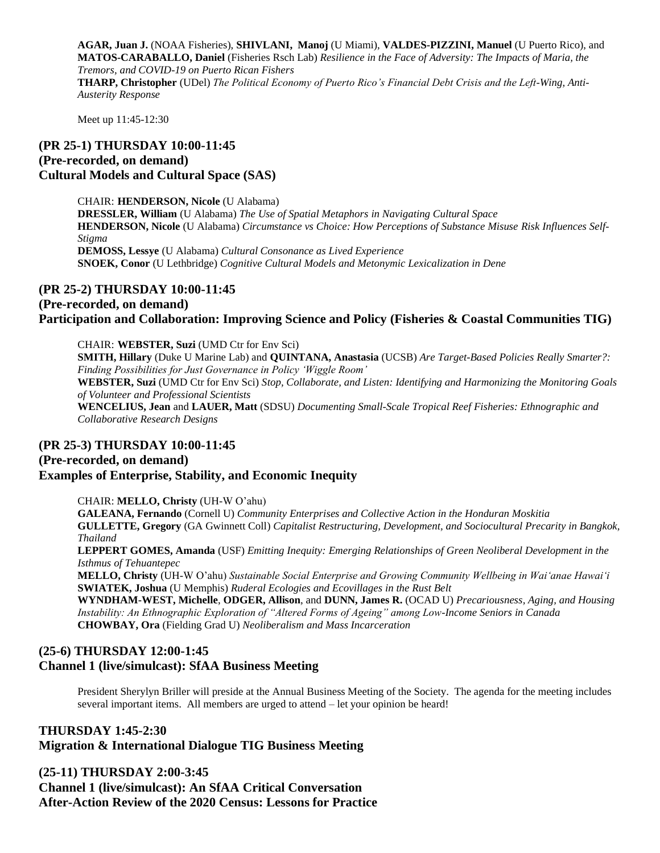**AGAR, Juan J.** (NOAA Fisheries), **SHIVLANI, Manoj** (U Miami), **VALDES-PIZZINI, Manuel** (U Puerto Rico), and **MATOS-CARABALLO, Daniel** (Fisheries Rsch Lab) *Resilience in the Face of Adversity: The Impacts of Maria, the Tremors, and COVID-19 on Puerto Rican Fishers* **THARP, Christopher** (UDel) *The Political Economy of Puerto Rico's Financial Debt Crisis and the Left-Wing, Anti-Austerity Response*

Meet up 11:45-12:30

# **(PR 25-1) THURSDAY 10:00-11:45 (Pre-recorded, on demand) Cultural Models and Cultural Space (SAS)**

CHAIR: **HENDERSON, Nicole** (U Alabama) **DRESSLER, William** (U Alabama) *The Use of Spatial Metaphors in Navigating Cultural Space* **HENDERSON, Nicole** (U Alabama) *Circumstance vs Choice: How Perceptions of Substance Misuse Risk Influences Self-Stigma* **DEMOSS, Lessye** (U Alabama) *Cultural Consonance as Lived Experience* **SNOEK, Conor** (U Lethbridge) *Cognitive Cultural Models and Metonymic Lexicalization in Dene*

#### **(PR 25-2) THURSDAY 10:00-11:45**

#### **(Pre-recorded, on demand) Participation and Collaboration: Improving Science and Policy (Fisheries & Coastal Communities TIG)**

CHAIR: **WEBSTER, Suzi** (UMD Ctr for Env Sci) **SMITH, Hillary** (Duke U Marine Lab) and **QUINTANA, Anastasia** (UCSB) *Are Target-Based Policies Really Smarter?: Finding Possibilities for Just Governance in Policy 'Wiggle Room'* **WEBSTER, Suzi** (UMD Ctr for Env Sci) *Stop, Collaborate, and Listen: Identifying and Harmonizing the Monitoring Goals of Volunteer and Professional Scientists* **WENCELIUS, Jean** and **LAUER, Matt** (SDSU) *Documenting Small-Scale Tropical Reef Fisheries: Ethnographic and Collaborative Research Designs*

## **(PR 25-3) THURSDAY 10:00-11:45**

## **(Pre-recorded, on demand)**

## **Examples of Enterprise, Stability, and Economic Inequity**

CHAIR: **MELLO, Christy** (UH-W O'ahu)

**GALEANA, Fernando** (Cornell U) *Community Enterprises and Collective Action in the Honduran Moskitia* **GULLETTE, Gregory** (GA Gwinnett Coll) *Capitalist Restructuring, Development, and Sociocultural Precarity in Bangkok, Thailand*

**LEPPERT GOMES, Amanda** (USF) *Emitting Inequity: Emerging Relationships of Green Neoliberal Development in the Isthmus of Tehuantepec*

**MELLO, Christy** (UH-W O'ahu) *Sustainable Social Enterprise and Growing Community Wellbeing in Wai'anae Hawai'i* **SWIATEK, Joshua** (U Memphis) *Ruderal Ecologies and Ecovillages in the Rust Belt*

**WYNDHAM-WEST, Michelle**, **ODGER, Allison**, and **DUNN, James R.** (OCAD U) *Precariousness, Aging, and Housing Instability: An Ethnographic Exploration of "Altered Forms of Ageing" among Low-Income Seniors in Canada* **CHOWBAY, Ora** (Fielding Grad U) *Neoliberalism and Mass Incarceration*

# **(25-6) THURSDAY 12:00-1:45 Channel 1 (live/simulcast): SfAA Business Meeting**

President Sherylyn Briller will preside at the Annual Business Meeting of the Society. The agenda for the meeting includes several important items. All members are urged to attend – let your opinion be heard!

# **THURSDAY 1:45-2:30 Migration & International Dialogue TIG Business Meeting**

**(25-11) THURSDAY 2:00-3:45 Channel 1 (live/simulcast): An SfAA Critical Conversation After-Action Review of the 2020 Census: Lessons for Practice**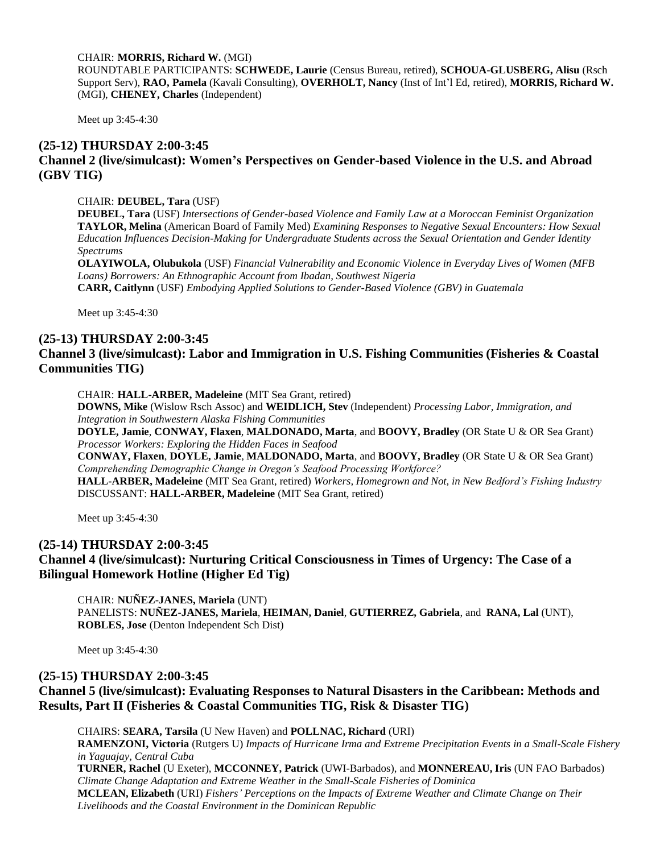CHAIR: **MORRIS, Richard W.** (MGI)

ROUNDTABLE PARTICIPANTS: **SCHWEDE, Laurie** (Census Bureau, retired), **SCHOUA-GLUSBERG, Alisu** (Rsch Support Serv), **RAO, Pamela** (Kavali Consulting), **OVERHOLT, Nancy** (Inst of Int'l Ed, retired), **MORRIS, Richard W.**  (MGI), **CHENEY, Charles** (Independent)

Meet up 3:45-4:30

## **(25-12) THURSDAY 2:00-3:45 Channel 2 (live/simulcast): Women's Perspectives on Gender-based Violence in the U.S. and Abroad (GBV TIG)**

CHAIR: **DEUBEL, Tara** (USF)

**DEUBEL, Tara** (USF) *Intersections of Gender-based Violence and Family Law at a Moroccan Feminist Organization* **TAYLOR, Melina** (American Board of Family Med) *Examining Responses to Negative Sexual Encounters: How Sexual Education Influences Decision-Making for Undergraduate Students across the Sexual Orientation and Gender Identity Spectrums*

**OLAYIWOLA, Olubukola** (USF) *Financial Vulnerability and Economic Violence in Everyday Lives of Women (MFB Loans) Borrowers: An Ethnographic Account from Ibadan, Southwest Nigeria* **CARR, Caitlynn** (USF) *Embodying Applied Solutions to Gender-Based Violence (GBV) in Guatemala*

Meet up 3:45-4:30

# **(25-13) THURSDAY 2:00-3:45**

# **Channel 3 (live/simulcast): Labor and Immigration in U.S. Fishing Communities (Fisheries & Coastal Communities TIG)**

CHAIR: **HALL-ARBER, Madeleine** (MIT Sea Grant, retired)

**DOWNS, Mike** (Wislow Rsch Assoc) and **WEIDLICH, Stev** (Independent) *Processing Labor, Immigration, and Integration in Southwestern Alaska Fishing Communities*

**DOYLE, Jamie**, **CONWAY, Flaxen**, **MALDONADO, Marta**, and **BOOVY, Bradley** (OR State U & OR Sea Grant) *Processor Workers: Exploring the Hidden Faces in Seafood*

**CONWAY, Flaxen**, **DOYLE, Jamie**, **MALDONADO, Marta**, and **BOOVY, Bradley** (OR State U & OR Sea Grant) *Comprehending Demographic Change in Oregon's Seafood Processing Workforce?*

**HALL-ARBER, Madeleine** (MIT Sea Grant, retired) *Workers, Homegrown and Not, in New Bedford's Fishing Industry* DISCUSSANT: **HALL-ARBER, Madeleine** (MIT Sea Grant, retired)

Meet up 3:45-4:30

#### **(25-14) THURSDAY 2:00-3:45**

**Channel 4 (live/simulcast): Nurturing Critical Consciousness in Times of Urgency: The Case of a Bilingual Homework Hotline (Higher Ed Tig)**

CHAIR: **NUÑEZ-JANES, Mariela** (UNT) PANELISTS: **NUÑEZ-JANES, Mariela**, **HEIMAN, Daniel**, **GUTIERREZ, Gabriela**, and **RANA, Lal** (UNT), **ROBLES, Jose** (Denton Independent Sch Dist)

Meet up 3:45-4:30

#### **(25-15) THURSDAY 2:00-3:45**

# **Channel 5 (live/simulcast): Evaluating Responses to Natural Disasters in the Caribbean: Methods and Results, Part II (Fisheries & Coastal Communities TIG, Risk & Disaster TIG)**

CHAIRS: **SEARA, Tarsila** (U New Haven) and **POLLNAC, Richard** (URI) **RAMENZONI, Victoria** (Rutgers U) *Impacts of Hurricane Irma and Extreme Precipitation Events in a Small-Scale Fishery in Yaguajay, Central Cuba* **TURNER, Rachel** (U Exeter), **MCCONNEY, Patrick** (UWI-Barbados), and **MONNEREAU, Iris** (UN FAO Barbados) *Climate Change Adaptation and Extreme Weather in the Small-Scale Fisheries of Dominica* **MCLEAN, Elizabeth** (URI) *Fishers' Perceptions on the Impacts of Extreme Weather and Climate Change on Their Livelihoods and the Coastal Environment in the Dominican Republic*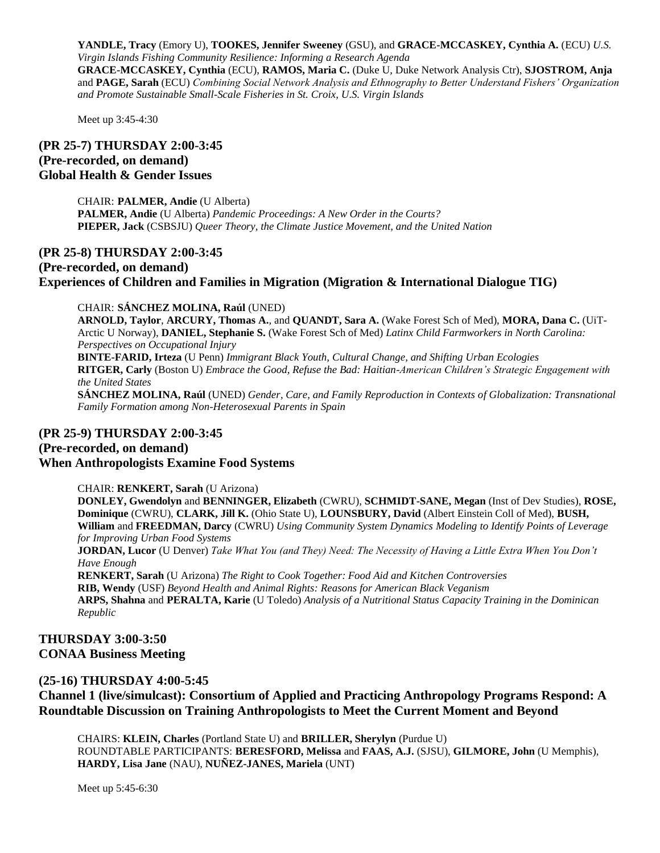**YANDLE, Tracy** (Emory U), **TOOKES, Jennifer Sweeney** (GSU), and **GRACE-MCCASKEY, Cynthia A.** (ECU) *U.S. Virgin Islands Fishing Community Resilience: Informing a Research Agenda* **GRACE-MCCASKEY, Cynthia** (ECU), **RAMOS, Maria C.** (Duke U, Duke Network Analysis Ctr), **SJOSTROM, Anja** and **PAGE, Sarah** (ECU) *Combining Social Network Analysis and Ethnography to Better Understand Fishers' Organization and Promote Sustainable Small-Scale Fisheries in St. Croix, U.S. Virgin Islands*

Meet up 3:45-4:30

## **(PR 25-7) THURSDAY 2:00-3:45 (Pre-recorded, on demand) Global Health & Gender Issues**

CHAIR: **PALMER, Andie** (U Alberta) **PALMER, Andie** (U Alberta) *Pandemic Proceedings: A New Order in the Courts?* **PIEPER, Jack** (CSBSJU) *Queer Theory, the Climate Justice Movement, and the United Nation*

# **(PR 25-8) THURSDAY 2:00-3:45 (Pre-recorded, on demand) Experiences of Children and Families in Migration (Migration & International Dialogue TIG)**

#### CHAIR: **SÁNCHEZ MOLINA, Raúl** (UNED)

**ARNOLD, Taylor**, **ARCURY, Thomas A.**, and **QUANDT, Sara A.** (Wake Forest Sch of Med), **MORA, Dana C.** (UiT-Arctic U Norway), **DANIEL, Stephanie S.** (Wake Forest Sch of Med) *Latinx Child Farmworkers in North Carolina: Perspectives on Occupational Injury* **BINTE-FARID, Irteza** (U Penn) *Immigrant Black Youth, Cultural Change, and Shifting Urban Ecologies* **RITGER, Carly** (Boston U) *Embrace the Good, Refuse the Bad: Haitian-American Children's Strategic Engagement with the United States* **SÁNCHEZ MOLINA, Raúl** (UNED) *Gender, Care, and Family Reproduction in Contexts of Globalization: Transnational Family Formation among Non-Heterosexual Parents in Spain*

#### **(PR 25-9) THURSDAY 2:00-3:45**

#### **(Pre-recorded, on demand) When Anthropologists Examine Food Systems**

CHAIR: **RENKERT, Sarah** (U Arizona)

**DONLEY, Gwendolyn** and **BENNINGER, Elizabeth** (CWRU), **SCHMIDT-SANE, Megan** (Inst of Dev Studies), **ROSE, Dominique** (CWRU), **CLARK, Jill K.** (Ohio State U), **LOUNSBURY, David** (Albert Einstein Coll of Med), **BUSH, William** and **FREEDMAN, Darcy** (CWRU) *Using Community System Dynamics Modeling to Identify Points of Leverage for Improving Urban Food Systems*

**JORDAN, Lucor** (U Denver) *Take What You (and They) Need: The Necessity of Having a Little Extra When You Don't Have Enough*

**RENKERT, Sarah** (U Arizona) *The Right to Cook Together: Food Aid and Kitchen Controversies* **RIB, Wendy** (USF) *Beyond Health and Animal Rights: Reasons for American Black Veganism* **ARPS, Shahna** and **PERALTA, Karie** (U Toledo) *Analysis of a Nutritional Status Capacity Training in the Dominican Republic*

#### **THURSDAY 3:00-3:50 CONAA Business Meeting**

#### **(25-16) THURSDAY 4:00-5:45**

**Channel 1 (live/simulcast): Consortium of Applied and Practicing Anthropology Programs Respond: A Roundtable Discussion on Training Anthropologists to Meet the Current Moment and Beyond**

CHAIRS: **KLEIN, Charles** (Portland State U) and **BRILLER, Sherylyn** (Purdue U) ROUNDTABLE PARTICIPANTS: **BERESFORD, Melissa** and **FAAS, A.J.** (SJSU), **GILMORE, John** (U Memphis), **HARDY, Lisa Jane** (NAU), **NUÑEZ-JANES, Mariela** (UNT)

Meet up 5:45-6:30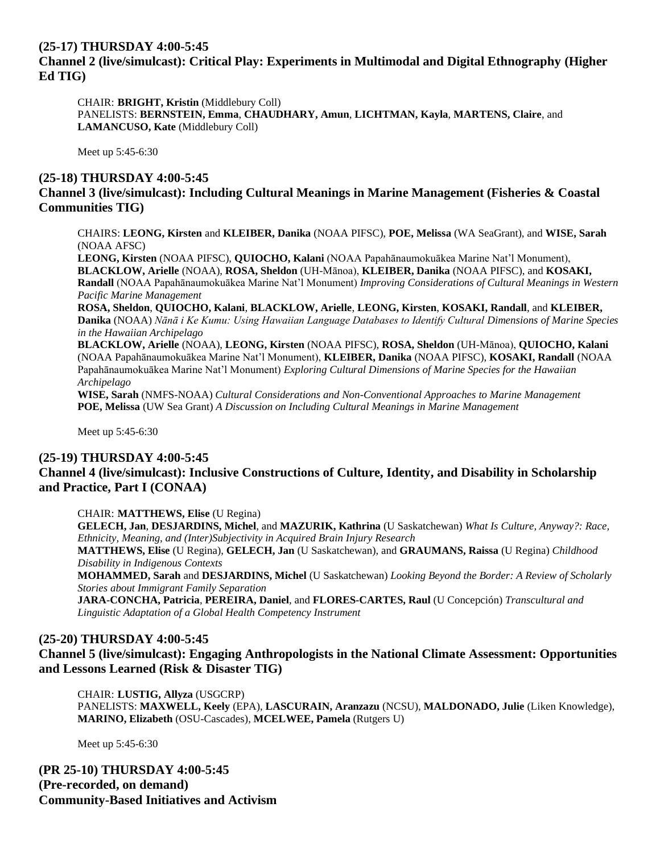# **(25-17) THURSDAY 4:00-5:45 Channel 2 (live/simulcast): Critical Play: Experiments in Multimodal and Digital Ethnography (Higher Ed TIG)**

CHAIR: **BRIGHT, Kristin** (Middlebury Coll) PANELISTS: **BERNSTEIN, Emma**, **CHAUDHARY, Amun**, **LICHTMAN, Kayla**, **MARTENS, Claire**, and **LAMANCUSO, Kate** (Middlebury Coll)

Meet up 5:45-6:30

#### **(25-18) THURSDAY 4:00-5:45**

# **Channel 3 (live/simulcast): Including Cultural Meanings in Marine Management (Fisheries & Coastal Communities TIG)**

CHAIRS: **LEONG, Kirsten** and **KLEIBER, Danika** (NOAA PIFSC), **POE, Melissa** (WA SeaGrant), and **WISE, Sarah** (NOAA AFSC)

**LEONG, Kirsten** (NOAA PIFSC), **QUIOCHO, Kalani** (NOAA Papahānaumokuākea Marine Nat'l Monument), **BLACKLOW, Arielle** (NOAA), **ROSA, Sheldon** (UH-Mānoa), **KLEIBER, Danika** (NOAA PIFSC), and **KOSAKI, Randall** (NOAA Papahānaumokuākea Marine Nat'l Monument) *Improving Considerations of Cultural Meanings in Western Pacific Marine Management*

**ROSA, Sheldon**, **QUIOCHO, Kalani**, **BLACKLOW, Arielle**, **LEONG, Kirsten**, **KOSAKI, Randall**, and **KLEIBER, Danika** (NOAA) *Nānā i Ke Kumu: Using Hawaiian Language Databases to Identify Cultural Dimensions of Marine Species in the Hawaiian Archipelago*

**BLACKLOW, Arielle** (NOAA), **LEONG, Kirsten** (NOAA PIFSC), **ROSA, Sheldon** (UH-Mānoa), **QUIOCHO, Kalani** (NOAA Papahānaumokuākea Marine Nat'l Monument), **KLEIBER, Danika** (NOAA PIFSC), **KOSAKI, Randall** (NOAA Papahānaumokuākea Marine Nat'l Monument) *Exploring Cultural Dimensions of Marine Species for the Hawaiian Archipelago*

**WISE, Sarah** (NMFS-NOAA) *Cultural Considerations and Non-Conventional Approaches to Marine Management*  **POE, Melissa** (UW Sea Grant) *A Discussion on Including Cultural Meanings in Marine Management*

Meet up 5:45-6:30

#### **(25-19) THURSDAY 4:00-5:45**

## **Channel 4 (live/simulcast): Inclusive Constructions of Culture, Identity, and Disability in Scholarship and Practice, Part I (CONAA)**

CHAIR: **MATTHEWS, Elise** (U Regina)

**GELECH, Jan**, **DESJARDINS, Michel**, and **MAZURIK, Kathrina** (U Saskatchewan) *What Is Culture, Anyway?: Race, Ethnicity, Meaning, and (Inter)Subjectivity in Acquired Brain Injury Research*

**MATTHEWS, Elise** (U Regina), **GELECH, Jan** (U Saskatchewan), and **GRAUMANS, Raissa** (U Regina) *Childhood Disability in Indigenous Contexts*

**MOHAMMED, Sarah** and **DESJARDINS, Michel** (U Saskatchewan) *Looking Beyond the Border: A Review of Scholarly Stories about Immigrant Family Separation*

**JARA-CONCHA, Patricia**, **PEREIRA, Daniel**, and **FLORES-CARTES, Raul** (U Concepción) *Transcultural and Linguistic Adaptation of a Global Health Competency Instrument*

#### **(25-20) THURSDAY 4:00-5:45**

**Channel 5 (live/simulcast): Engaging Anthropologists in the National Climate Assessment: Opportunities and Lessons Learned (Risk & Disaster TIG)**

CHAIR: **LUSTIG, Allyza** (USGCRP) PANELISTS: **MAXWELL, Keely** (EPA), **LASCURAIN, Aranzazu** (NCSU), **MALDONADO, Julie** (Liken Knowledge), **MARINO, Elizabeth** (OSU-Cascades), **MCELWEE, Pamela** (Rutgers U)

Meet up 5:45-6:30

**(PR 25-10) THURSDAY 4:00-5:45 (Pre-recorded, on demand) Community-Based Initiatives and Activism**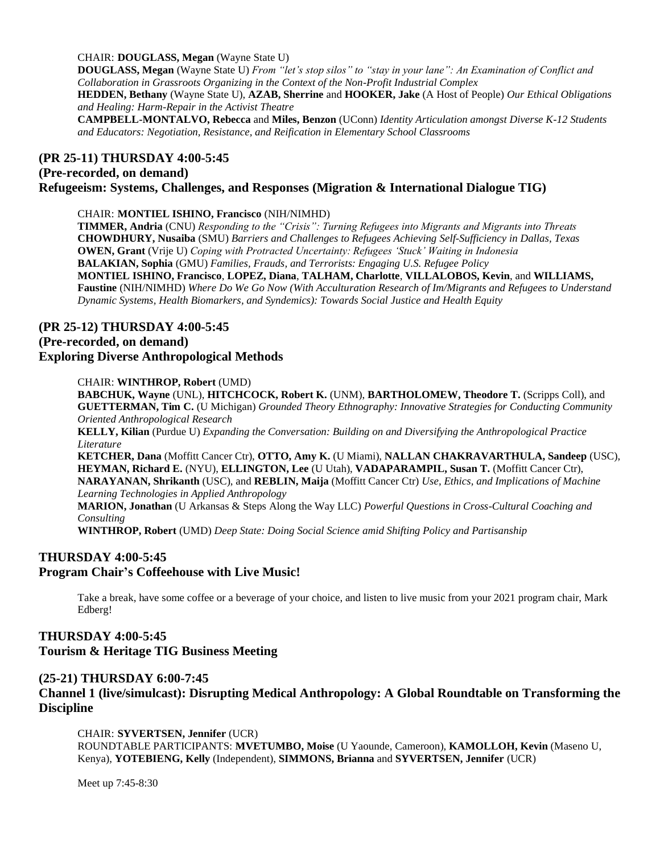CHAIR: **DOUGLASS, Megan** (Wayne State U)

**DOUGLASS, Megan** (Wayne State U) *From "let's stop silos" to "stay in your lane": An Examination of Conflict and Collaboration in Grassroots Organizing in the Context of the Non-Profit Industrial Complex* **HEDDEN, Bethany** (Wayne State U), **AZAB, Sherrine** and **HOOKER, Jake** (A Host of People) *Our Ethical Obligations and Healing: Harm-Repair in the Activist Theatre* **CAMPBELL-MONTALVO, Rebecca** and **Miles, Benzon** (UConn) *Identity Articulation amongst Diverse K-12 Students and Educators: Negotiation, Resistance, and Reification in Elementary School Classrooms*

# **(PR 25-11) THURSDAY 4:00-5:45 (Pre-recorded, on demand) Refugeeism: Systems, Challenges, and Responses (Migration & International Dialogue TIG)**

#### CHAIR: **MONTIEL ISHINO, Francisco** (NIH/NIMHD)

**TIMMER, Andria** (CNU) *Responding to the "Crisis": Turning Refugees into Migrants and Migrants into Threats* **CHOWDHURY, Nusaiba** (SMU) *Barriers and Challenges to Refugees Achieving Self-Sufficiency in Dallas, Texas* **OWEN, Grant** (Vrije U) *Coping with Protracted Uncertainty: Refugees 'Stuck' Waiting in Indonesia* **BALAKIAN, Sophia** (GMU) *Families, Frauds, and Terrorists: Engaging U.S. Refugee Policy* **MONTIEL ISHINO, Francisco**, **LOPEZ, Diana**, **TALHAM, Charlotte**, **VILLALOBOS, Kevin**, and **WILLIAMS, Faustine** (NIH/NIMHD) *Where Do We Go Now (With Acculturation Research of Im/Migrants and Refugees to Understand Dynamic Systems, Health Biomarkers, and Syndemics): Towards Social Justice and Health Equity*

# **(PR 25-12) THURSDAY 4:00-5:45**

#### **(Pre-recorded, on demand)**

#### **Exploring Diverse Anthropological Methods**

#### CHAIR: **WINTHROP, Robert** (UMD)

**BABCHUK, Wayne** (UNL), **HITCHCOCK, Robert K.** (UNM), **BARTHOLOMEW, Theodore T.** (Scripps Coll), and **GUETTERMAN, Tim C.** (U Michigan) *Grounded Theory Ethnography: Innovative Strategies for Conducting Community Oriented Anthropological Research*

**KELLY, Kilian** (Purdue U) *Expanding the Conversation: Building on and Diversifying the Anthropological Practice Literature*

**KETCHER, Dana** (Moffitt Cancer Ctr), **OTTO, Amy K.** (U Miami), **NALLAN CHAKRAVARTHULA, Sandeep** (USC), **HEYMAN, Richard E.** (NYU), **ELLINGTON, Lee** (U Utah), **VADAPARAMPIL, Susan T.** (Moffitt Cancer Ctr), **NARAYANAN, Shrikanth** (USC), and **REBLIN, Maija** (Moffitt Cancer Ctr) *Use, Ethics, and Implications of Machine Learning Technologies in Applied Anthropology*

**MARION, Jonathan** (U Arkansas & Steps Along the Way LLC) *Powerful Questions in Cross-Cultural Coaching and Consulting*

**WINTHROP, Robert** (UMD) *Deep State: Doing Social Science amid Shifting Policy and Partisanship*

## **THURSDAY 4:00-5:45**

#### **Program Chair's Coffeehouse with Live Music!**

Take a break, have some coffee or a beverage of your choice, and listen to live music from your 2021 program chair, Mark Edberg!

## **THURSDAY 4:00-5:45 Tourism & Heritage TIG Business Meeting**

#### **(25-21) THURSDAY 6:00-7:45**

**Channel 1 (live/simulcast): Disrupting Medical Anthropology: A Global Roundtable on Transforming the Discipline**

#### CHAIR: **SYVERTSEN, Jennifer** (UCR)

ROUNDTABLE PARTICIPANTS: **MVETUMBO, Moise** (U Yaounde, Cameroon), **KAMOLLOH, Kevin** (Maseno U, Kenya), **YOTEBIENG, Kelly** (Independent), **SIMMONS, Brianna** and **SYVERTSEN, Jennifer** (UCR)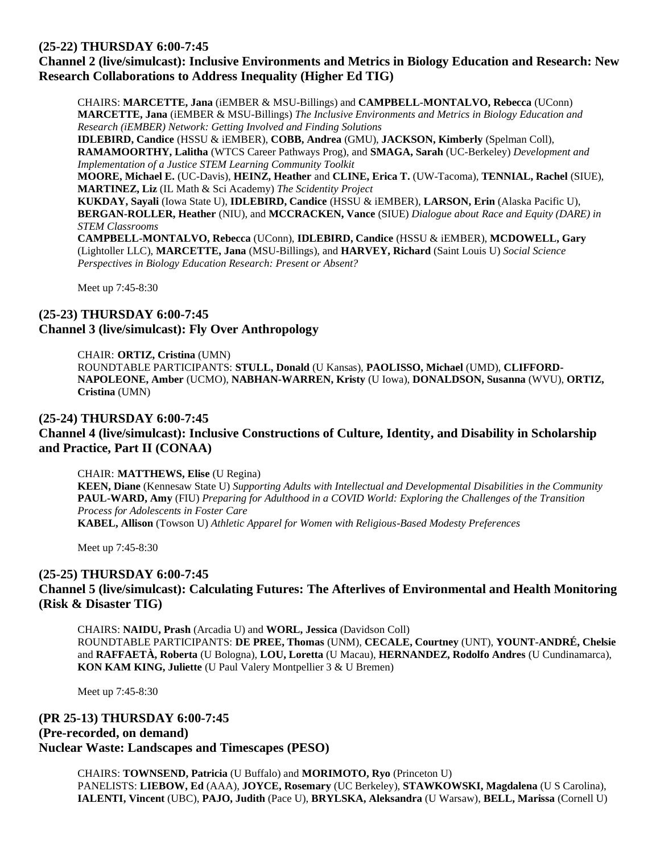## **(25-22) THURSDAY 6:00-7:45**

# **Channel 2 (live/simulcast): Inclusive Environments and Metrics in Biology Education and Research: New Research Collaborations to Address Inequality (Higher Ed TIG)**

CHAIRS: **MARCETTE, Jana** (iEMBER & MSU-Billings) and **CAMPBELL-MONTALVO, Rebecca** (UConn) **MARCETTE, Jana** (iEMBER & MSU-Billings) *The Inclusive Environments and Metrics in Biology Education and Research (iEMBER) Network: Getting Involved and Finding Solutions*

**IDLEBIRD, Candice** (HSSU & iEMBER), **COBB, Andrea** (GMU), **JACKSON, Kimberly** (Spelman Coll), **RAMAMOORTHY, Lalitha** (WTCS Career Pathways Prog), and **SMAGA, Sarah** (UC-Berkeley) *Development and Implementation of a Justice STEM Learning Community Toolkit*

**MOORE, Michael E.** (UC-Davis), **HEINZ, Heather** and **CLINE, Erica T.** (UW-Tacoma), **TENNIAL, Rachel** (SIUE), **MARTINEZ, Liz** (IL Math & Sci Academy) *The Scidentity Project*

**KUKDAY, Sayali** (Iowa State U), **IDLEBIRD, Candice** (HSSU & iEMBER), **LARSON, Erin** (Alaska Pacific U), **BERGAN-ROLLER, Heather** (NIU), and **MCCRACKEN, Vance** (SIUE) *Dialogue about Race and Equity (DARE) in STEM Classrooms*

**CAMPBELL-MONTALVO, Rebecca** (UConn), **IDLEBIRD, Candice** (HSSU & iEMBER), **MCDOWELL, Gary** (Lightoller LLC), **MARCETTE, Jana** (MSU-Billings), and **HARVEY, Richard** (Saint Louis U) *Social Science Perspectives in Biology Education Research: Present or Absent?*

Meet up 7:45-8:30

# **(25-23) THURSDAY 6:00-7:45 Channel 3 (live/simulcast): Fly Over Anthropology**

CHAIR: **ORTIZ, Cristina** (UMN) ROUNDTABLE PARTICIPANTS: **STULL, Donald** (U Kansas), **PAOLISSO, Michael** (UMD), **CLIFFORD-NAPOLEONE, Amber** (UCMO), **NABHAN-WARREN, Kristy** (U Iowa), **DONALDSON, Susanna** (WVU), **ORTIZ, Cristina** (UMN)

#### **(25-24) THURSDAY 6:00-7:45**

# **Channel 4 (live/simulcast): Inclusive Constructions of Culture, Identity, and Disability in Scholarship and Practice, Part II (CONAA)**

CHAIR: **MATTHEWS, Elise** (U Regina)

**KEEN, Diane** (Kennesaw State U) *Supporting Adults with Intellectual and Developmental Disabilities in the Community* **PAUL-WARD, Amy** (FIU) *Preparing for Adulthood in a COVID World: Exploring the Challenges of the Transition Process for Adolescents in Foster Care* **KABEL, Allison** (Towson U) *Athletic Apparel for Women with Religious-Based Modesty Preferences*

Meet up 7:45-8:30

#### **(25-25) THURSDAY 6:00-7:45**

#### **Channel 5 (live/simulcast): Calculating Futures: The Afterlives of Environmental and Health Monitoring (Risk & Disaster TIG)**

CHAIRS: **NAIDU, Prash** (Arcadia U) and **WORL, Jessica** (Davidson Coll) ROUNDTABLE PARTICIPANTS: **DE PREE, Thomas** (UNM), **CECALE, Courtney** (UNT), **YOUNT-ANDRÉ, Chelsie** and **RAFFAETÀ, Roberta** (U Bologna), **LOU, Loretta** (U Macau), **HERNANDEZ, Rodolfo Andres** (U Cundinamarca), **KON KAM KING, Juliette** (U Paul Valery Montpellier 3 & U Bremen)

Meet up 7:45-8:30

# **(PR 25-13) THURSDAY 6:00-7:45 (Pre-recorded, on demand) Nuclear Waste: Landscapes and Timescapes (PESO)**

CHAIRS: **TOWNSEND, Patricia** (U Buffalo) and **MORIMOTO, Ryo** (Princeton U) PANELISTS: **LIEBOW, Ed** (AAA), **JOYCE, Rosemary** (UC Berkeley), **STAWKOWSKI, Magdalena** (U S Carolina), **IALENTI, Vincent** (UBC), **PAJO, Judith** (Pace U), **BRYLSKA, Aleksandra** (U Warsaw), **BELL, Marissa** (Cornell U)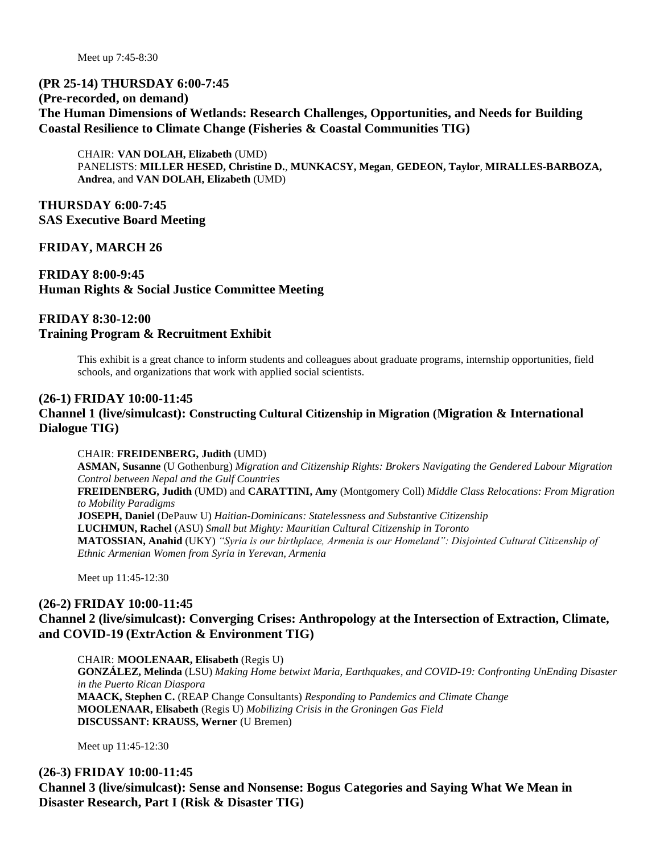Meet up 7:45-8:30

#### **(PR 25-14) THURSDAY 6:00-7:45**

#### **(Pre-recorded, on demand)**

**The Human Dimensions of Wetlands: Research Challenges, Opportunities, and Needs for Building Coastal Resilience to Climate Change (Fisheries & Coastal Communities TIG)**

CHAIR: **VAN DOLAH, Elizabeth** (UMD) PANELISTS: **MILLER HESED, Christine D.**, **MUNKACSY, Megan**, **GEDEON, Taylor**, **MIRALLES-BARBOZA, Andrea**, and **VAN DOLAH, Elizabeth** (UMD)

**THURSDAY 6:00-7:45 SAS Executive Board Meeting**

**FRIDAY, MARCH 26**

**FRIDAY 8:00-9:45 Human Rights & Social Justice Committee Meeting**

# **FRIDAY 8:30-12:00 Training Program & Recruitment Exhibit**

This exhibit is a great chance to inform students and colleagues about graduate programs, internship opportunities, field schools, and organizations that work with applied social scientists.

#### **(26-1) FRIDAY 10:00-11:45**

#### **Channel 1 (live/simulcast): Constructing Cultural Citizenship in Migration (Migration & International Dialogue TIG)**

#### CHAIR: **FREIDENBERG, Judith** (UMD)

**ASMAN, Susanne** (U Gothenburg) *Migration and Citizenship Rights: Brokers Navigating the Gendered Labour Migration Control between Nepal and the Gulf Countries* **FREIDENBERG, Judith** (UMD) and **CARATTINI, Amy** (Montgomery Coll) *Middle Class Relocations: From Migration to Mobility Paradigms* **JOSEPH, Daniel** (DePauw U) *Haitian-Dominicans: Statelessness and Substantive Citizenship* **LUCHMUN, Rachel** (ASU) *Small but Mighty: Mauritian Cultural Citizenship in Toronto* **MATOSSIAN, Anahid** (UKY) *"Syria is our birthplace, Armenia is our Homeland": Disjointed Cultural Citizenship of Ethnic Armenian Women from Syria in Yerevan, Armenia*

Meet up 11:45-12:30

#### **(26-2) FRIDAY 10:00-11:45**

## **Channel 2 (live/simulcast): Converging Crises: Anthropology at the Intersection of Extraction, Climate, and COVID-19 (ExtrAction & Environment TIG)**

CHAIR: **MOOLENAAR, Elisabeth** (Regis U) **GONZÁLEZ, Melinda** (LSU) *Making Home betwixt Maria, Earthquakes, and COVID-19: Confronting UnEnding Disaster in the Puerto Rican Diaspora* **MAACK, Stephen C.** (REAP Change Consultants) *Responding to Pandemics and Climate Change* **MOOLENAAR, Elisabeth** (Regis U) *Mobilizing Crisis in the Groningen Gas Field* **DISCUSSANT: KRAUSS, Werner** (U Bremen)

Meet up 11:45-12:30

**(26-3) FRIDAY 10:00-11:45 Channel 3 (live/simulcast): Sense and Nonsense: Bogus Categories and Saying What We Mean in Disaster Research, Part I (Risk & Disaster TIG)**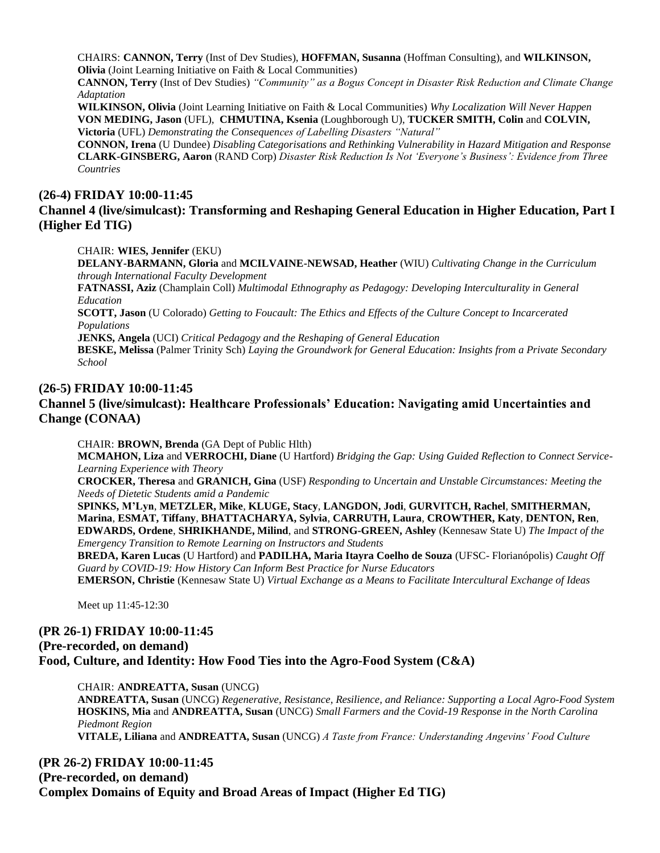CHAIRS: **CANNON, Terry** (Inst of Dev Studies), **HOFFMAN, Susanna** (Hoffman Consulting), and **WILKINSON, Olivia** (Joint Learning Initiative on Faith & Local Communities)

**CANNON, Terry** (Inst of Dev Studies) *"Community" as a Bogus Concept in Disaster Risk Reduction and Climate Change Adaptation*

**WILKINSON, Olivia** (Joint Learning Initiative on Faith & Local Communities) *Why Localization Will Never Happen* **VON MEDING, Jason** (UFL), **CHMUTINA, Ksenia** (Loughborough U), **TUCKER SMITH, Colin** and **COLVIN, Victoria** (UFL) *Demonstrating the Consequences of Labelling Disasters "Natural"*

**CONNON, Irena** (U Dundee) *Disabling Categorisations and Rethinking Vulnerability in Hazard Mitigation and Response* **CLARK-GINSBERG, Aaron** (RAND Corp) *Disaster Risk Reduction Is Not 'Everyone's Business': Evidence from Three Countries*

#### **(26-4) FRIDAY 10:00-11:45**

## **Channel 4 (live/simulcast): Transforming and Reshaping General Education in Higher Education, Part I (Higher Ed TIG)**

CHAIR: **WIES, Jennifer** (EKU)

**DELANY-BARMANN, Gloria** and **MCILVAINE-NEWSAD, Heather** (WIU) *Cultivating Change in the Curriculum through International Faculty Development*

**FATNASSI, Aziz** (Champlain Coll) *Multimodal Ethnography as Pedagogy: Developing Interculturality in General Education*

**SCOTT, Jason** (U Colorado) *Getting to Foucault: The Ethics and Effects of the Culture Concept to Incarcerated Populations*

**JENKS, Angela** (UCI) *Critical Pedagogy and the Reshaping of General Education*

**BESKE, Melissa** (Palmer Trinity Sch) *Laying the Groundwork for General Education: Insights from a Private Secondary School*

#### **(26-5) FRIDAY 10:00-11:45**

#### **Channel 5 (live/simulcast): Healthcare Professionals' Education: Navigating amid Uncertainties and Change (CONAA)**

CHAIR: **BROWN, Brenda** (GA Dept of Public Hlth)

**MCMAHON, Liza** and **VERROCHI, Diane** (U Hartford) *Bridging the Gap: Using Guided Reflection to Connect Service-Learning Experience with Theory*

**CROCKER, Theresa** and **GRANICH, Gina** (USF) *Responding to Uncertain and Unstable Circumstances: Meeting the Needs of Dietetic Students amid a Pandemic*

**SPINKS, M'Lyn**, **METZLER, Mike**, **KLUGE, Stacy**, **LANGDON, Jodi**, **GURVITCH, Rachel**, **SMITHERMAN, Marina**, **ESMAT, Tiffany**, **BHATTACHARYA, Sylvia**, **CARRUTH, Laura**, **CROWTHER, Katy**, **DENTON, Ren**, **EDWARDS, Ordene**, **SHRIKHANDE, Milind**, and **STRONG-GREEN, Ashley** (Kennesaw State U) *The Impact of the Emergency Transition to Remote Learning on Instructors and Students*

**BREDA, Karen Lucas** (U Hartford) and **PADILHA, Maria Itayra Coelho de Souza** (UFSC- Florianópolis) *Caught Off Guard by COVID-19: How History Can Inform Best Practice for Nurse Educators*

**EMERSON, Christie** (Kennesaw State U) *Virtual Exchange as a Means to Facilitate Intercultural Exchange of Ideas*

Meet up 11:45-12:30

# **(PR 26-1) FRIDAY 10:00-11:45 (Pre-recorded, on demand) Food, Culture, and Identity: How Food Ties into the Agro-Food System (C&A)**

CHAIR: **ANDREATTA, Susan** (UNCG)

**ANDREATTA, Susan** (UNCG) *Regenerative, Resistance, Resilience, and Reliance: Supporting a Local Agro-Food System* **HOSKINS, Mia** and **ANDREATTA, Susan** (UNCG) *Small Farmers and the Covid-19 Response in the North Carolina Piedmont Region*

**VITALE, Liliana** and **ANDREATTA, Susan** (UNCG) *A Taste from France: Understanding Angevins' Food Culture*

**(PR 26-2) FRIDAY 10:00-11:45 (Pre-recorded, on demand) Complex Domains of Equity and Broad Areas of Impact (Higher Ed TIG)**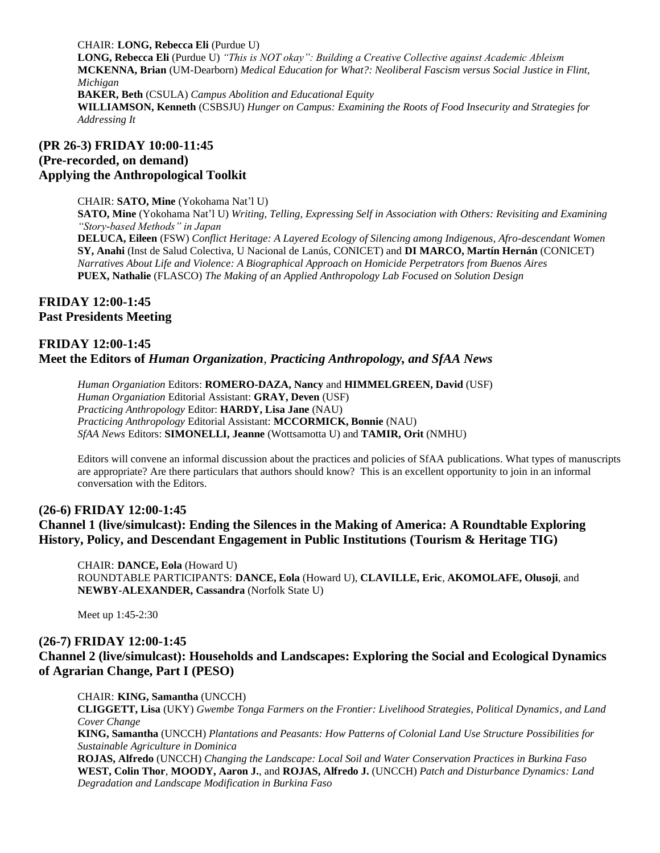CHAIR: **LONG, Rebecca Eli** (Purdue U)

**LONG, Rebecca Eli** (Purdue U) *"This is NOT okay": Building a Creative Collective against Academic Ableism* **MCKENNA, Brian** (UM-Dearborn) *Medical Education for What?: Neoliberal Fascism versus Social Justice in Flint, Michigan*

**BAKER, Beth** (CSULA) *Campus Abolition and Educational Equity* **WILLIAMSON, Kenneth** (CSBSJU) *Hunger on Campus: Examining the Roots of Food Insecurity and Strategies for Addressing It*

#### **(PR 26-3) FRIDAY 10:00-11:45 (Pre-recorded, on demand) Applying the Anthropological Toolkit**

CHAIR: **SATO, Mine** (Yokohama Nat'l U)

**SATO, Mine** (Yokohama Nat'l U) *Writing, Telling, Expressing Self in Association with Others: Revisiting and Examining "Story-based Methods" in Japan* **DELUCA, Eileen** (FSW) *Conflict Heritage: A Layered Ecology of Silencing among Indigenous, Afro-descendant Women* **SY, Anahi** (Inst de Salud Colectiva, U Nacional de Lanús, CONICET) and **DI MARCO, Martín Hernán** (CONICET) *Narratives About Life and Violence: A Biographical Approach on Homicide Perpetrators from Buenos Aires*

**PUEX, Nathalie** (FLASCO) *The Making of an Applied Anthropology Lab Focused on Solution Design*

# **FRIDAY 12:00-1:45 Past Presidents Meeting**

## **FRIDAY 12:00-1:45 Meet the Editors of** *Human Organization*, *Practicing Anthropology, and SfAA News*

*Human Organiation* Editors: **ROMERO-DAZA, Nancy** and **HIMMELGREEN, David** (USF) *Human Organiation* Editorial Assistant: **GRAY, Deven** (USF) *Practicing Anthropology* Editor: **HARDY, Lisa Jane** (NAU) *Practicing Anthropology* Editorial Assistant: **MCCORMICK, Bonnie** (NAU) *SfAA News* Editors: **SIMONELLI, Jeanne** (Wottsamotta U) and **TAMIR, Orit** (NMHU)

Editors will convene an informal discussion about the practices and policies of SfAA publications. What types of manuscripts are appropriate? Are there particulars that authors should know? This is an excellent opportunity to join in an informal conversation with the Editors.

# **(26-6) FRIDAY 12:00-1:45 Channel 1 (live/simulcast): Ending the Silences in the Making of America: A Roundtable Exploring History, Policy, and Descendant Engagement in Public Institutions (Tourism & Heritage TIG)**

CHAIR: **DANCE, Eola** (Howard U) ROUNDTABLE PARTICIPANTS: **DANCE, Eola** (Howard U), **CLAVILLE, Eric**, **AKOMOLAFE, Olusoji**, and **NEWBY-ALEXANDER, Cassandra** (Norfolk State U)

Meet up 1:45-2:30

## **(26-7) FRIDAY 12:00-1:45**

## **Channel 2 (live/simulcast): Households and Landscapes: Exploring the Social and Ecological Dynamics of Agrarian Change, Part I (PESO)**

CHAIR: **KING, Samantha** (UNCCH)

**CLIGGETT, Lisa** (UKY) *Gwembe Tonga Farmers on the Frontier: Livelihood Strategies, Political Dynamics, and Land Cover Change*

**KING, Samantha** (UNCCH) *Plantations and Peasants: How Patterns of Colonial Land Use Structure Possibilities for Sustainable Agriculture in Dominica*

**ROJAS, Alfredo** (UNCCH) *Changing the Landscape: Local Soil and Water Conservation Practices in Burkina Faso* **WEST, Colin Thor**, **MOODY, Aaron J.**, and **ROJAS, Alfredo J.** (UNCCH) *Patch and Disturbance Dynamics: Land Degradation and Landscape Modification in Burkina Faso*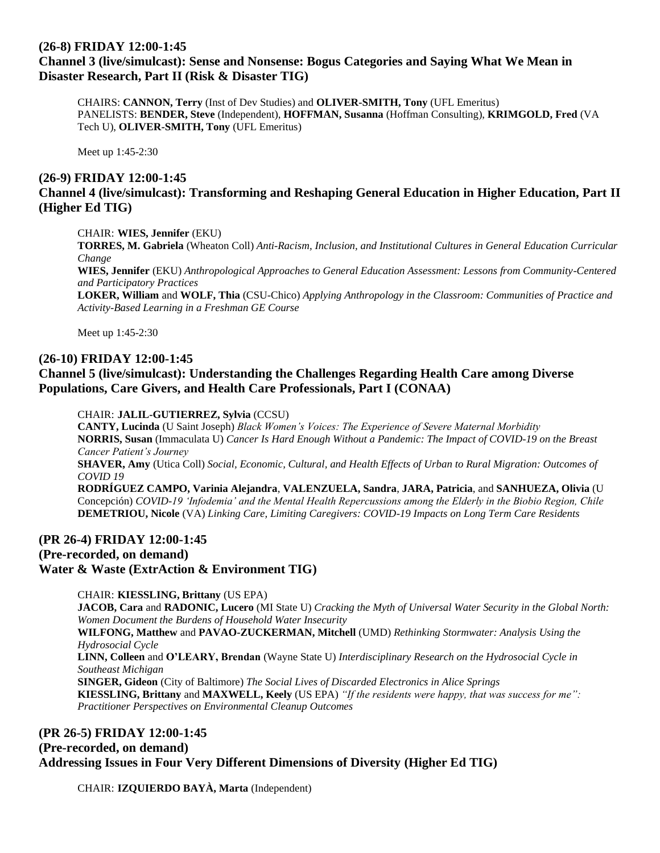# **(26-8) FRIDAY 12:00-1:45**

# **Channel 3 (live/simulcast): Sense and Nonsense: Bogus Categories and Saying What We Mean in Disaster Research, Part II (Risk & Disaster TIG)**

CHAIRS: **CANNON, Terry** (Inst of Dev Studies) and **OLIVER-SMITH, Tony** (UFL Emeritus) PANELISTS: **BENDER, Steve** (Independent), **HOFFMAN, Susanna** (Hoffman Consulting), **KRIMGOLD, Fred** (VA Tech U), **OLIVER-SMITH, Tony** (UFL Emeritus)

Meet up 1:45-2:30

# **(26-9) FRIDAY 12:00-1:45**

# **Channel 4 (live/simulcast): Transforming and Reshaping General Education in Higher Education, Part II (Higher Ed TIG)**

#### CHAIR: **WIES, Jennifer** (EKU)

**TORRES, M. Gabriela** (Wheaton Coll) *Anti-Racism, Inclusion, and Institutional Cultures in General Education Curricular Change*

**WIES, Jennifer** (EKU) *Anthropological Approaches to General Education Assessment: Lessons from Community-Centered and Participatory Practices*

**LOKER, William** and **WOLF, Thia** (CSU-Chico) *Applying Anthropology in the Classroom: Communities of Practice and Activity-Based Learning in a Freshman GE Course*

Meet up 1:45-2:30

#### **(26-10) FRIDAY 12:00-1:45**

## **Channel 5 (live/simulcast): Understanding the Challenges Regarding Health Care among Diverse Populations, Care Givers, and Health Care Professionals, Part I (CONAA)**

#### CHAIR: **JALIL-GUTIERREZ, Sylvia** (CCSU)

**CANTY, Lucinda** (U Saint Joseph) *Black Women's Voices: The Experience of Severe Maternal Morbidity* **NORRIS, Susan** (Immaculata U) *Cancer Is Hard Enough Without a Pandemic: The Impact of COVID-19 on the Breast Cancer Patient's Journey* **SHAVER, Amy** (Utica Coll) *Social, Economic, Cultural, and Health Effects of Urban to Rural Migration: Outcomes of COVID 19*

**RODRÍGUEZ CAMPO, Varinia Alejandra**, **VALENZUELA, Sandra**, **JARA, Patricia**, and **SANHUEZA, Olivia** (U Concepción) *COVID-19 'Infodemia' and the Mental Health Repercussions among the Elderly in the Biobio Region, Chile* **DEMETRIOU, Nicole** (VA) *Linking Care, Limiting Caregivers: COVID-19 Impacts on Long Term Care Residents*

# **(PR 26-4) FRIDAY 12:00-1:45 (Pre-recorded, on demand) Water & Waste (ExtrAction & Environment TIG)**

#### CHAIR: **KIESSLING, Brittany** (US EPA)

**JACOB, Cara** and **RADONIC, Lucero** (MI State U) *Cracking the Myth of Universal Water Security in the Global North: Women Document the Burdens of Household Water Insecurity* **WILFONG, Matthew** and **PAVAO-ZUCKERMAN, Mitchell** (UMD) *Rethinking Stormwater: Analysis Using the Hydrosocial Cycle* **LINN, Colleen** and **O'LEARY, Brendan** (Wayne State U) *Interdisciplinary Research on the Hydrosocial Cycle in Southeast Michigan* **SINGER, Gideon** (City of Baltimore) *The Social Lives of Discarded Electronics in Alice Springs* **KIESSLING, Brittany** and **MAXWELL, Keely** (US EPA) *"If the residents were happy, that was success for me": Practitioner Perspectives on Environmental Cleanup Outcomes*

# **(PR 26-5) FRIDAY 12:00-1:45 (Pre-recorded, on demand) Addressing Issues in Four Very Different Dimensions of Diversity (Higher Ed TIG)**

CHAIR: **IZQUIERDO BAYÀ, Marta** (Independent)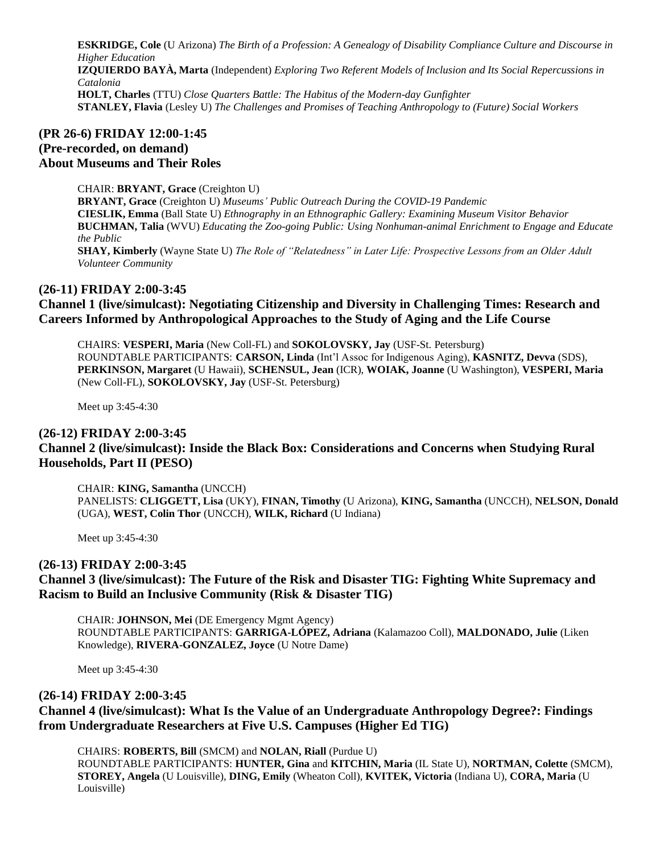**ESKRIDGE, Cole** (U Arizona) *The Birth of a Profession: A Genealogy of Disability Compliance Culture and Discourse in Higher Education* **IZQUIERDO BAYÀ, Marta** (Independent) *Exploring Two Referent Models of Inclusion and Its Social Repercussions in Catalonia* **HOLT, Charles** (TTU) *Close Quarters Battle: The Habitus of the Modern-day Gunfighter* **STANLEY, Flavia** (Lesley U) *The Challenges and Promises of Teaching Anthropology to (Future) Social Workers*

# **(PR 26-6) FRIDAY 12:00-1:45 (Pre-recorded, on demand) About Museums and Their Roles**

CHAIR: **BRYANT, Grace** (Creighton U) **BRYANT, Grace** (Creighton U) *Museums' Public Outreach During the COVID-19 Pandemic* **CIESLIK, Emma** (Ball State U) *Ethnography in an Ethnographic Gallery: Examining Museum Visitor Behavior* **BUCHMAN, Talia** (WVU) *Educating the Zoo-going Public: Using Nonhuman-animal Enrichment to Engage and Educate the Public* **SHAY, Kimberly** (Wayne State U) *The Role of "Relatedness" in Later Life: Prospective Lessons from an Older Adult Volunteer Community*

## **(26-11) FRIDAY 2:00-3:45**

**Channel 1 (live/simulcast): Negotiating Citizenship and Diversity in Challenging Times: Research and Careers Informed by Anthropological Approaches to the Study of Aging and the Life Course**

CHAIRS: **VESPERI, Maria** (New Coll-FL) and **SOKOLOVSKY, Jay** (USF-St. Petersburg) ROUNDTABLE PARTICIPANTS: **CARSON, Linda** (Int'l Assoc for Indigenous Aging), **KASNITZ, Devva** (SDS), **PERKINSON, Margaret** (U Hawaii), **SCHENSUL, Jean** (ICR), **WOIAK, Joanne** (U Washington), **VESPERI, Maria** (New Coll-FL), **SOKOLOVSKY, Jay** (USF-St. Petersburg)

Meet up 3:45-4:30

#### **(26-12) FRIDAY 2:00-3:45**

**Channel 2 (live/simulcast): Inside the Black Box: Considerations and Concerns when Studying Rural Households, Part II (PESO)**

CHAIR: **KING, Samantha** (UNCCH)

PANELISTS: **CLIGGETT, Lisa** (UKY), **FINAN, Timothy** (U Arizona), **KING, Samantha** (UNCCH), **NELSON, Donald** (UGA), **WEST, Colin Thor** (UNCCH), **WILK, Richard** (U Indiana)

Meet up 3:45-4:30

#### **(26-13) FRIDAY 2:00-3:45**

#### **Channel 3 (live/simulcast): The Future of the Risk and Disaster TIG: Fighting White Supremacy and Racism to Build an Inclusive Community (Risk & Disaster TIG)**

CHAIR: **JOHNSON, Mei** (DE Emergency Mgmt Agency) ROUNDTABLE PARTICIPANTS: **GARRIGA-LÓPEZ, Adriana** (Kalamazoo Coll), **MALDONADO, Julie** (Liken Knowledge), **RIVERA-GONZALEZ, Joyce** (U Notre Dame)

Meet up 3:45-4:30

#### **(26-14) FRIDAY 2:00-3:45**

**Channel 4 (live/simulcast): What Is the Value of an Undergraduate Anthropology Degree?: Findings from Undergraduate Researchers at Five U.S. Campuses (Higher Ed TIG)**

CHAIRS: **ROBERTS, Bill** (SMCM) and **NOLAN, Riall** (Purdue U)

ROUNDTABLE PARTICIPANTS: **HUNTER, Gina** and **KITCHIN, Maria** (IL State U), **NORTMAN, Colette** (SMCM), **STOREY, Angela** (U Louisville), **DING, Emily** (Wheaton Coll), **KVITEK, Victoria** (Indiana U), **CORA, Maria** (U Louisville)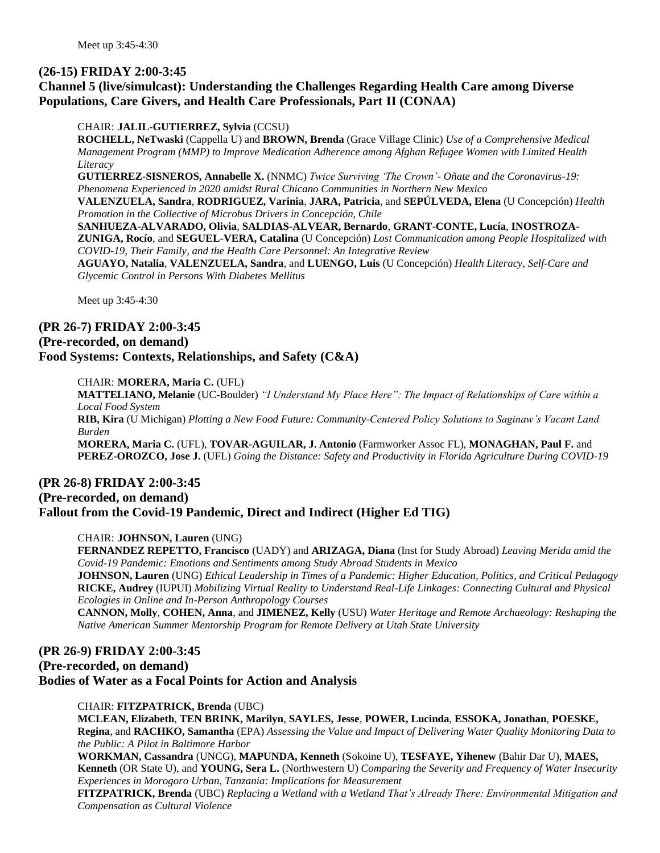# **(26-15) FRIDAY 2:00-3:45**

# **Channel 5 (live/simulcast): Understanding the Challenges Regarding Health Care among Diverse Populations, Care Givers, and Health Care Professionals, Part II (CONAA)**

#### CHAIR: **JALIL-GUTIERREZ, Sylvia** (CCSU)

**ROCHELL, NeTwaski** (Cappella U) and **BROWN, Brenda** (Grace Village Clinic) *Use of a Comprehensive Medical Management Program (MMP) to Improve Medication Adherence among Afghan Refugee Women with Limited Health Literacy*

**GUTIERREZ-SISNEROS, Annabelle X.** (NNMC) *Twice Surviving 'The Crown'- Oñate and the Coronavirus-19: Phenomena Experienced in 2020 amidst Rural Chicano Communities in Northern New Mexico*

**VALENZUELA, Sandra**, **RODRIGUEZ, Varinia**, **JARA, Patricia**, and **SEPÚLVEDA, Elena** (U Concepción) *Health Promotion in the Collective of Microbus Drivers in Concepción, Chile*

**SANHUEZA-ALVARADO, Olivia**, **SALDIAS-ALVEAR, Bernardo**, **GRANT-CONTE, Lucía**, **INOSTROZA-ZUNIGA, Rocío**, and **SEGUEL-VERA, Catalina** (U Concepción) *Lost Communication among People Hospitalized with* 

*COVID-19, Their Family, and the Health Care Personnel: An Integrative Review*

**AGUAYO, Natalia**, **VALENZUELA, Sandra**, and **LUENGO, Luis** (U Concepción) *Health Literacy, Self-Care and Glycemic Control in Persons With Diabetes Mellitus*

Meet up 3:45-4:30

#### **(PR 26-7) FRIDAY 2:00-3:45**

#### **(Pre-recorded, on demand)**

**Food Systems: Contexts, Relationships, and Safety (C&A)**

#### CHAIR: **MORERA, Maria C.** (UFL)

**MATTELIANO, Melanie** (UC-Boulder) *"I Understand My Place Here": The Impact of Relationships of Care within a Local Food System* **RIB, Kira** (U Michigan) *Plotting a New Food Future: Community-Centered Policy Solutions to Saginaw's Vacant Land Burden*

**MORERA, Maria C.** (UFL), **TOVAR-AGUILAR, J. Antonio** (Farmworker Assoc FL), **MONAGHAN, Paul F.** and **PEREZ-OROZCO, Jose J.** (UFL) *Going the Distance: Safety and Productivity in Florida Agriculture During COVID-19*

# **(PR 26-8) FRIDAY 2:00-3:45 (Pre-recorded, on demand) Fallout from the Covid-19 Pandemic, Direct and Indirect (Higher Ed TIG)**

#### CHAIR: **JOHNSON, Lauren** (UNG)

**FERNANDEZ REPETTO, Francisco** (UADY) and **ARIZAGA, Diana** (Inst for Study Abroad) *Leaving Merida amid the Covid-19 Pandemic: Emotions and Sentiments among Study Abroad Students in Mexico*

**JOHNSON, Lauren** (UNG) *Ethical Leadership in Times of a Pandemic: Higher Education, Politics, and Critical Pedagogy* **RICKE, Audrey** (IUPUI) *Mobilizing Virtual Reality to Understand Real-Life Linkages: Connecting Cultural and Physical Ecologies in Online and In-Person Anthropology Courses*

**CANNON, Molly**, **COHEN, Anna**, and **JIMENEZ, Kelly** (USU) *Water Heritage and Remote Archaeology: Reshaping the Native American Summer Mentorship Program for Remote Delivery at Utah State University*

# **(PR 26-9) FRIDAY 2:00-3:45 (Pre-recorded, on demand) Bodies of Water as a Focal Points for Action and Analysis**

#### CHAIR: **FITZPATRICK, Brenda** (UBC)

**MCLEAN, Elizabeth**, **TEN BRINK, Marilyn**, **SAYLES, Jesse**, **POWER, Lucinda**, **ESSOKA, Jonathan**, **POESKE, Regina**, and **RACHKO, Samantha** (EPA) *Assessing the Value and Impact of Delivering Water Quality Monitoring Data to the Public: A Pilot in Baltimore Harbor*

**WORKMAN, Cassandra** (UNCG), **MAPUNDA, Kenneth** (Sokoine U), **TESFAYE, Yihenew** (Bahir Dar U), **MAES, Kenneth** (OR State U), and **YOUNG, Sera L.** (Northwestern U) *Comparing the Severity and Frequency of Water Insecurity Experiences in Morogoro Urban, Tanzania: Implications for Measurement*

**FITZPATRICK, Brenda** (UBC) *Replacing a Wetland with a Wetland That's Already There: Environmental Mitigation and Compensation as Cultural Violence*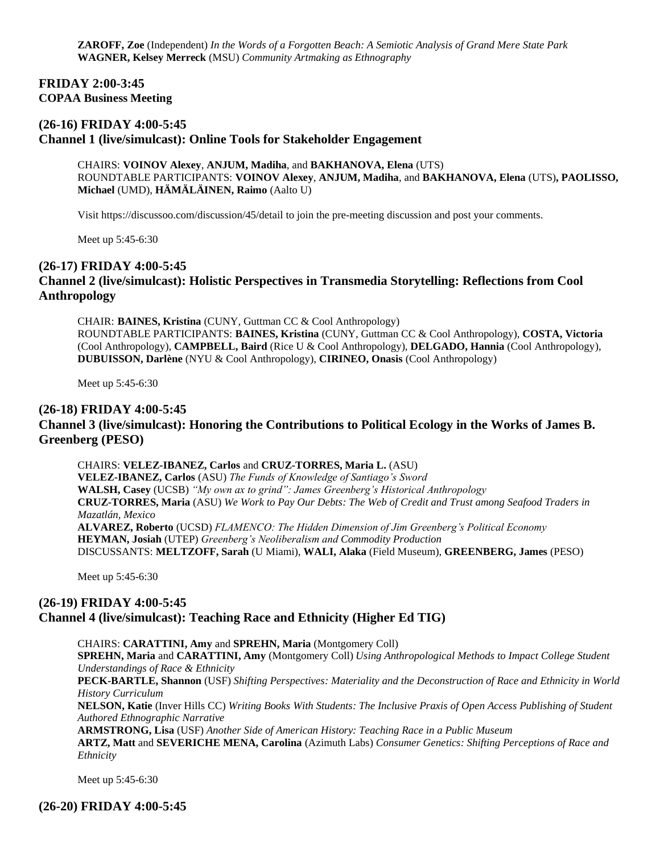**ZAROFF, Zoe** (Independent) *In the Words of a Forgotten Beach: A Semiotic Analysis of Grand Mere State Park* **WAGNER, Kelsey Merreck** (MSU) *Community Artmaking as Ethnography*

#### **FRIDAY 2:00-3:45 COPAA Business Meeting**

## **(26-16) FRIDAY 4:00-5:45 Channel 1 (live/simulcast): Online Tools for Stakeholder Engagement**

CHAIRS: **VOINOV Alexey**, **ANJUM, Madiha**, and **BAKHANOVA, Elena** (UTS) ROUNDTABLE PARTICIPANTS: **VOINOV Alexey**, **ANJUM, Madiha**, and **BAKHANOVA, Elena** (UTS)**, PAOLISSO, Michael** (UMD), **HÄMÄLÄINEN, Raimo** (Aalto U)

Visit https://discussoo.com/discussion/45/detail to join the pre-meeting discussion and post your comments.

Meet up 5:45-6:30

#### **(26-17) FRIDAY 4:00-5:45**

#### **Channel 2 (live/simulcast): Holistic Perspectives in Transmedia Storytelling: Reflections from Cool Anthropology**

CHAIR: **BAINES, Kristina** (CUNY, Guttman CC & Cool Anthropology) ROUNDTABLE PARTICIPANTS: **BAINES, Kristina** (CUNY, Guttman CC & Cool Anthropology), **COSTA, Victoria** (Cool Anthropology), **CAMPBELL, Baird** (Rice U & Cool Anthropology), **DELGADO, Hannia** (Cool Anthropology), **DUBUISSON, Darlène** (NYU & Cool Anthropology), **CIRINEO, Onasis** (Cool Anthropology)

Meet up 5:45-6:30

#### **(26-18) FRIDAY 4:00-5:45**

## **Channel 3 (live/simulcast): Honoring the Contributions to Political Ecology in the Works of James B. Greenberg (PESO)**

CHAIRS: **VELEZ-IBANEZ, Carlos** and **CRUZ-TORRES, Maria L.** (ASU) **VELEZ-IBANEZ, Carlos** (ASU) *The Funds of Knowledge of Santiago's Sword* **WALSH, Casey** (UCSB) *"My own ax to grind": James Greenberg's Historical Anthropology* **CRUZ-TORRES, Maria** (ASU) *We Work to Pay Our Debts: The Web of Credit and Trust among Seafood Traders in Mazatlán, Mexico* **ALVAREZ, Roberto** (UCSD) *FLAMENCO: The Hidden Dimension of Jim Greenberg's Political Economy* **HEYMAN, Josiah** (UTEP) *Greenberg's Neoliberalism and Commodity Production* DISCUSSANTS: **MELTZOFF, Sarah** (U Miami), **WALI, Alaka** (Field Museum), **GREENBERG, James** (PESO)

Meet up 5:45-6:30

#### **(26-19) FRIDAY 4:00-5:45 Channel 4 (live/simulcast): Teaching Race and Ethnicity (Higher Ed TIG)**

CHAIRS: **CARATTINI, Amy** and **SPREHN, Maria** (Montgomery Coll)

**SPREHN, Maria** and **CARATTINI, Amy** (Montgomery Coll) *Using Anthropological Methods to Impact College Student Understandings of Race & Ethnicity*

**PECK-BARTLE, Shannon** (USF) *Shifting Perspectives: Materiality and the Deconstruction of Race and Ethnicity in World History Curriculum*

**NELSON, Katie** (Inver Hills CC) *Writing Books With Students: The Inclusive Praxis of Open Access Publishing of Student Authored Ethnographic Narrative*

**ARMSTRONG, Lisa** (USF) *Another Side of American History: Teaching Race in a Public Museum* **ARTZ, Matt** and **SEVERICHE MENA, Carolina** (Azimuth Labs) *Consumer Genetics: Shifting Perceptions of Race and Ethnicity*

Meet up 5:45-6:30

## **(26-20) FRIDAY 4:00-5:45**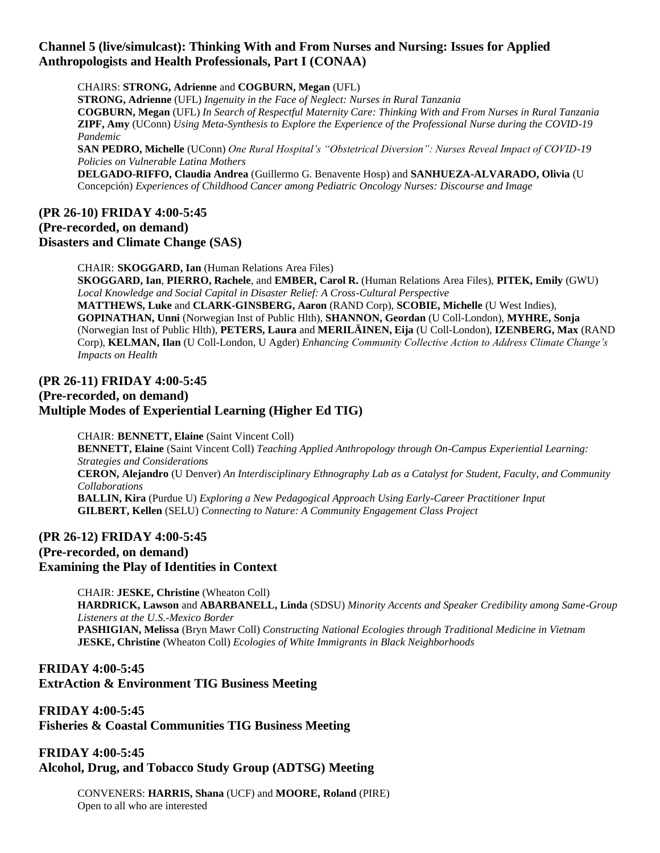# **Channel 5 (live/simulcast): Thinking With and From Nurses and Nursing: Issues for Applied Anthropologists and Health Professionals, Part I (CONAA)**

CHAIRS: **STRONG, Adrienne** and **COGBURN, Megan** (UFL) **STRONG, Adrienne** (UFL) *Ingenuity in the Face of Neglect: Nurses in Rural Tanzania* **COGBURN, Megan** (UFL) *In Search of Respectful Maternity Care: Thinking With and From Nurses in Rural Tanzania* **ZIPF, Amy** (UConn) *Using Meta-Synthesis to Explore the Experience of the Professional Nurse during the COVID-19 Pandemic* **SAN PEDRO, Michelle** (UConn) *One Rural Hospital's "Obstetrical Diversion": Nurses Reveal Impact of COVID-19 Policies on Vulnerable Latina Mothers*

**DELGADO-RIFFO, Claudia Andrea** (Guillermo G. Benavente Hosp) and **SANHUEZA-ALVARADO, Olivia** (U Concepción) *Experiences of Childhood Cancer among Pediatric Oncology Nurses: Discourse and Image*

# **(PR 26-10) FRIDAY 4:00-5:45 (Pre-recorded, on demand) Disasters and Climate Change (SAS)**

CHAIR: **SKOGGARD, Ian** (Human Relations Area Files) **SKOGGARD, Ian**, **PIERRO, Rachele**, and **EMBER, Carol R.** (Human Relations Area Files), **PITEK, Emily** (GWU) *Local Knowledge and Social Capital in Disaster Relief: A Cross-Cultural Perspective* **MATTHEWS, Luke** and **CLARK-GINSBERG, Aaron** (RAND Corp), **SCOBIE, Michelle** (U West Indies), **GOPINATHAN, Unni** (Norwegian Inst of Public Hlth), **SHANNON, Geordan** (U Coll-London), **MYHRE, Sonja** (Norwegian Inst of Public Hlth), **PETERS, Laura** and **MERILÄINEN, Eija** (U Coll-London), **IZENBERG, Max** (RAND Corp), **KELMAN, Ilan** (U Coll-London, U Agder) *Enhancing Community Collective Action to Address Climate Change's Impacts on Health*

# **(PR 26-11) FRIDAY 4:00-5:45 (Pre-recorded, on demand) Multiple Modes of Experiential Learning (Higher Ed TIG)**

CHAIR: **BENNETT, Elaine** (Saint Vincent Coll) **BENNETT, Elaine** (Saint Vincent Coll) *Teaching Applied Anthropology through On-Campus Experiential Learning: Strategies and Considerations* **CERON, Alejandro** (U Denver) *An Interdisciplinary Ethnography Lab as a Catalyst for Student, Faculty, and Community Collaborations* **BALLIN, Kira** (Purdue U) *Exploring a New Pedagogical Approach Using Early-Career Practitioner Input* **GILBERT, Kellen** (SELU) *Connecting to Nature: A Community Engagement Class Project*

# **(PR 26-12) FRIDAY 4:00-5:45**

**(Pre-recorded, on demand) Examining the Play of Identities in Context**

> CHAIR: **JESKE, Christine** (Wheaton Coll) **HARDRICK, Lawson** and **ABARBANELL, Linda** (SDSU) *Minority Accents and Speaker Credibility among Same-Group Listeners at the U.S.-Mexico Border* **PASHIGIAN, Melissa** (Bryn Mawr Coll) *Constructing National Ecologies through Traditional Medicine in Vietnam* **JESKE, Christine** (Wheaton Coll) *Ecologies of White Immigrants in Black Neighborhoods*

# **FRIDAY 4:00-5:45 ExtrAction & Environment TIG Business Meeting**

**FRIDAY 4:00-5:45 Fisheries & Coastal Communities TIG Business Meeting**

**FRIDAY 4:00-5:45 Alcohol, Drug, and Tobacco Study Group (ADTSG) Meeting**

> CONVENERS: **HARRIS, Shana** (UCF) and **MOORE, Roland** (PIRE) Open to all who are interested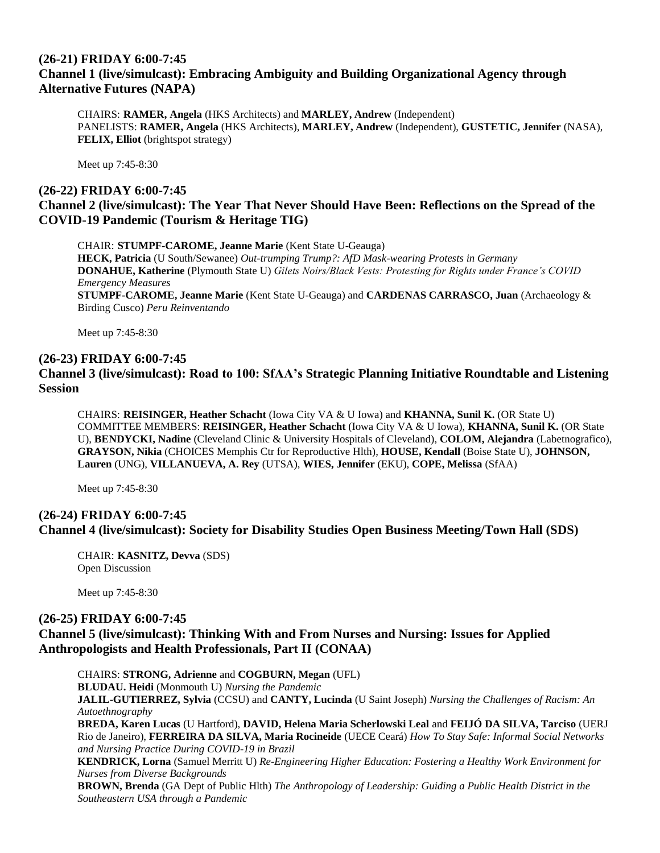## **(26-21) FRIDAY 6:00-7:45 Channel 1 (live/simulcast): Embracing Ambiguity and Building Organizational Agency through Alternative Futures (NAPA)**

CHAIRS: **RAMER, Angela** (HKS Architects) and **MARLEY, Andrew** (Independent) PANELISTS: **RAMER, Angela** (HKS Architects), **MARLEY, Andrew** (Independent), **GUSTETIC, Jennifer** (NASA), **FELIX, Elliot** (brightspot strategy)

Meet up 7:45-8:30

# **(26-22) FRIDAY 6:00-7:45 Channel 2 (live/simulcast): The Year That Never Should Have Been: Reflections on the Spread of the COVID-19 Pandemic (Tourism & Heritage TIG)**

CHAIR: **STUMPF-CAROME, Jeanne Marie** (Kent State U-Geauga) **HECK, Patricia** (U South/Sewanee) *Out-trumping Trump?: AfD Mask-wearing Protests in Germany* **DONAHUE, Katherine** (Plymouth State U) *Gilets Noirs/Black Vests: Protesting for Rights under France's COVID Emergency Measures* **STUMPF-CAROME, Jeanne Marie** (Kent State U-Geauga) and **CARDENAS CARRASCO, Juan** (Archaeology & Birding Cusco) *Peru Reinventando*

Meet up 7:45-8:30

#### **(26-23) FRIDAY 6:00-7:45**

# **Channel 3 (live/simulcast): Road to 100: SfAA's Strategic Planning Initiative Roundtable and Listening Session**

CHAIRS: **REISINGER, Heather Schacht** (Iowa City VA & U Iowa) and **KHANNA, Sunil K.** (OR State U) COMMITTEE MEMBERS: **REISINGER, Heather Schacht** (Iowa City VA & U Iowa), **KHANNA, Sunil K.** (OR State U), **BENDYCKI, Nadine** (Cleveland Clinic & University Hospitals of Cleveland), **COLOM, Alejandra** (Labetnografico), **GRAYSON, Nikia** (CHOICES Memphis Ctr for Reproductive Hlth), **HOUSE, Kendall** (Boise State U), **JOHNSON, Lauren** (UNG), **VILLANUEVA, A. Rey** (UTSA), **WIES, Jennifer** (EKU), **COPE, Melissa** (SfAA)

Meet up 7:45-8:30

## **(26-24) FRIDAY 6:00-7:45 Channel 4 (live/simulcast): Society for Disability Studies Open Business Meeting/Town Hall (SDS)**

CHAIR: **KASNITZ, Devva** (SDS) Open Discussion

*Southeastern USA through a Pandemic*

Meet up 7:45-8:30

#### **(26-25) FRIDAY 6:00-7:45**

## **Channel 5 (live/simulcast): Thinking With and From Nurses and Nursing: Issues for Applied Anthropologists and Health Professionals, Part II (CONAA)**

CHAIRS: **STRONG, Adrienne** and **COGBURN, Megan** (UFL) **BLUDAU. Heidi** (Monmouth U) *Nursing the Pandemic* **JALIL-GUTIERREZ, Sylvia** (CCSU) and **CANTY, Lucinda** (U Saint Joseph) *Nursing the Challenges of Racism: An Autoethnography* **BREDA, Karen Lucas** (U Hartford), **DAVID, Helena Maria Scherlowski Leal** and **FEIJÓ DA SILVA, Tarciso** (UERJ Rio de Janeiro), **FERREIRA DA SILVA, Maria Rocineide** (UECE Ceará) *How To Stay Safe: Informal Social Networks and Nursing Practice During COVID-19 in Brazil* **KENDRICK, Lorna** (Samuel Merritt U) *Re-Engineering Higher Education: Fostering a Healthy Work Environment for Nurses from Diverse Backgrounds* **BROWN, Brenda** (GA Dept of Public Hlth) *The Anthropology of Leadership: Guiding a Public Health District in the*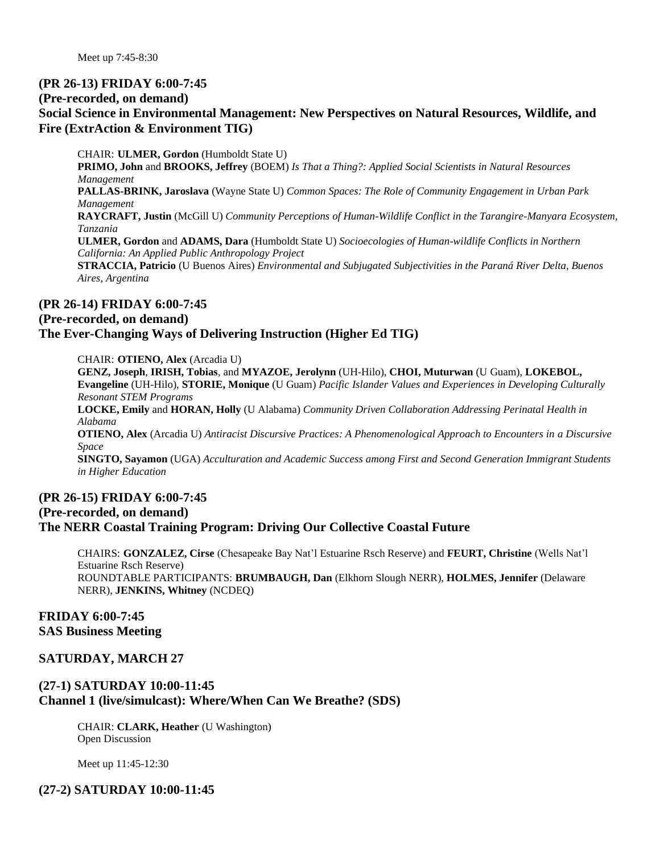Meet up 7:45-8:30

#### **(PR 26-13) FRIDAY 6:00-7:45**

#### **(Pre-recorded, on demand)**

# **Social Science in Environmental Management: New Perspectives on Natural Resources, Wildlife, and Fire (ExtrAction & Environment TIG)**

CHAIR: **ULMER, Gordon** (Humboldt State U) **PRIMO, John** and **BROOKS, Jeffrey** (BOEM) *Is That a Thing?: Applied Social Scientists in Natural Resources Management* **PALLAS-BRINK, Jaroslava** (Wayne State U) *Common Spaces: The Role of Community Engagement in Urban Park Management* **RAYCRAFT, Justin** (McGill U) *Community Perceptions of Human-Wildlife Conflict in the Tarangire-Manyara Ecosystem, Tanzania* **ULMER, Gordon** and **ADAMS, Dara** (Humboldt State U) *Socioecologies of Human-wildlife Conflicts in Northern California: An Applied Public Anthropology Project* **STRACCIA, Patricio** (U Buenos Aires) *Environmental and Subjugated Subjectivities in the Paraná River Delta, Buenos Aires, Argentina*

#### **(PR 26-14) FRIDAY 6:00-7:45**

#### **(Pre-recorded, on demand)**

## **The Ever-Changing Ways of Delivering Instruction (Higher Ed TIG)**

CHAIR: **OTIENO, Alex** (Arcadia U)

**GENZ, Joseph**, **IRISH, Tobias**, and **MYAZOE, Jerolynn** (UH-Hilo), **CHOI, Muturwan** (U Guam), **LOKEBOL, Evangeline** (UH-Hilo), **STORIE, Monique** (U Guam) *Pacific Islander Values and Experiences in Developing Culturally Resonant STEM Programs* **LOCKE, Emily** and **HORAN, Holly** (U Alabama) *Community Driven Collaboration Addressing Perinatal Health in Alabama* **OTIENO, Alex** (Arcadia U) *Antiracist Discursive Practices: A Phenomenological Approach to Encounters in a Discursive Space*

**SINGTO, Sayamon** (UGA) *Acculturation and Academic Success among First and Second Generation Immigrant Students in Higher Education*

# **(PR 26-15) FRIDAY 6:00-7:45 (Pre-recorded, on demand) The NERR Coastal Training Program: Driving Our Collective Coastal Future**

CHAIRS: **GONZALEZ, Cirse** (Chesapeake Bay Nat'l Estuarine Rsch Reserve) and **FEURT, Christine** (Wells Nat'l Estuarine Rsch Reserve) ROUNDTABLE PARTICIPANTS: **BRUMBAUGH, Dan** (Elkhorn Slough NERR), **HOLMES, Jennifer** (Delaware NERR), **JENKINS, Whitney** (NCDEQ)

#### **FRIDAY 6:00-7:45 SAS Business Meeting**

## **SATURDAY, MARCH 27**

# **(27-1) SATURDAY 10:00-11:45 Channel 1 (live/simulcast): Where/When Can We Breathe? (SDS)**

CHAIR: **CLARK, Heather** (U Washington) Open Discussion

Meet up 11:45-12:30

## **(27-2) SATURDAY 10:00-11:45**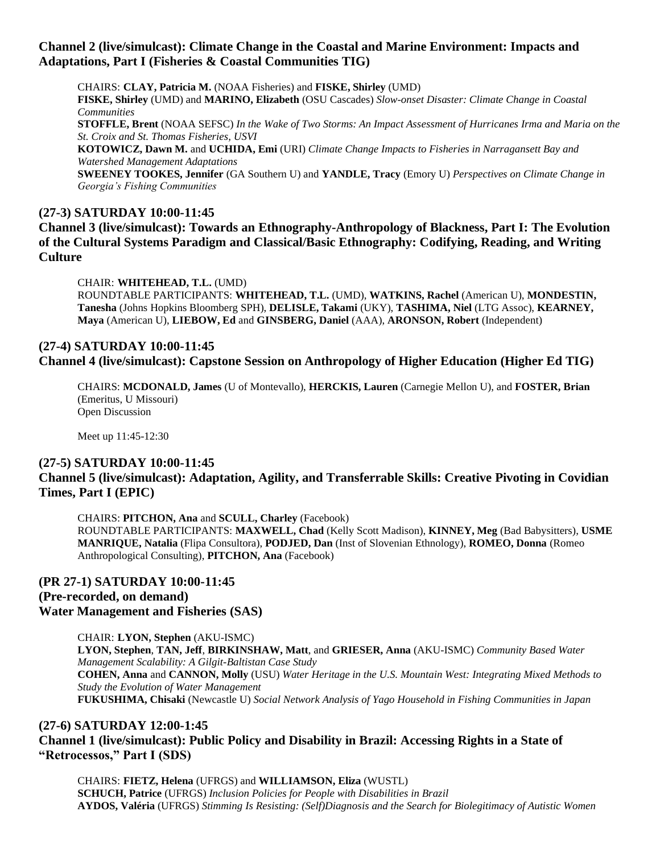# **Channel 2 (live/simulcast): Climate Change in the Coastal and Marine Environment: Impacts and Adaptations, Part I (Fisheries & Coastal Communities TIG)**

CHAIRS: **CLAY, Patricia M.** (NOAA Fisheries) and **FISKE, Shirley** (UMD) **FISKE, Shirley** (UMD) and **MARINO, Elizabeth** (OSU Cascades) *Slow-onset Disaster: Climate Change in Coastal Communities* **STOFFLE, Brent** (NOAA SEFSC) *In the Wake of Two Storms: An Impact Assessment of Hurricanes Irma and Maria on the St. Croix and St. Thomas Fisheries, USVI* **KOTOWICZ, Dawn M.** and **UCHIDA, Emi** (URI) *Climate Change Impacts to Fisheries in Narragansett Bay and Watershed Management Adaptations* **SWEENEY TOOKES, Jennifer** (GA Southern U) and **YANDLE, Tracy** (Emory U) *Perspectives on Climate Change in* 

*Georgia's Fishing Communities*

## **(27-3) SATURDAY 10:00-11:45**

**Channel 3 (live/simulcast): Towards an Ethnography-Anthropology of Blackness, Part I: The Evolution of the Cultural Systems Paradigm and Classical/Basic Ethnography: Codifying, Reading, and Writing Culture**

CHAIR: **WHITEHEAD, T.L.** (UMD)

ROUNDTABLE PARTICIPANTS: **WHITEHEAD, T.L.** (UMD), **WATKINS, Rachel** (American U), **MONDESTIN, Tanesha** (Johns Hopkins Bloomberg SPH), **DELISLE, Takami** (UKY), **TASHIMA, Niel** (LTG Assoc), **KEARNEY, Maya** (American U), **LIEBOW, Ed** and **GINSBERG, Daniel** (AAA), **ARONSON, Robert** (Independent)

# **(27-4) SATURDAY 10:00-11:45 Channel 4 (live/simulcast): Capstone Session on Anthropology of Higher Education (Higher Ed TIG)**

CHAIRS: **MCDONALD, James** (U of Montevallo), **HERCKIS, Lauren** (Carnegie Mellon U), and **FOSTER, Brian** (Emeritus, U Missouri) Open Discussion

Meet up 11:45-12:30

#### **(27-5) SATURDAY 10:00-11:45**

## **Channel 5 (live/simulcast): Adaptation, Agility, and Transferrable Skills: Creative Pivoting in Covidian Times, Part I (EPIC)**

CHAIRS: **PITCHON, Ana** and **SCULL, Charley** (Facebook) ROUNDTABLE PARTICIPANTS: **MAXWELL, Chad** (Kelly Scott Madison), **KINNEY, Meg** (Bad Babysitters), **USME MANRIQUE, Natalia** (Flipa Consultora), **PODJED, Dan** (Inst of Slovenian Ethnology), **ROMEO, Donna** (Romeo Anthropological Consulting), **PITCHON, Ana** (Facebook)

#### **(PR 27-1) SATURDAY 10:00-11:45 (Pre-recorded, on demand) Water Management and Fisheries (SAS)**

CHAIR: **LYON, Stephen** (AKU-ISMC) **LYON, Stephen**, **TAN, Jeff**, **BIRKINSHAW, Matt**, and **GRIESER, Anna** (AKU-ISMC) *Community Based Water Management Scalability: A Gilgit-Baltistan Case Study* **COHEN, Anna** and **CANNON, Molly** (USU) *Water Heritage in the U.S. Mountain West: Integrating Mixed Methods to Study the Evolution of Water Management* **FUKUSHIMA, Chisaki** (Newcastle U) *Social Network Analysis of Yago Household in Fishing Communities in Japan*

# **(27-6) SATURDAY 12:00-1:45 Channel 1 (live/simulcast): Public Policy and Disability in Brazil: Accessing Rights in a State of "Retrocessos," Part I (SDS)**

CHAIRS: **FIETZ, Helena** (UFRGS) and **WILLIAMSON, Eliza** (WUSTL) **SCHUCH, Patrice** (UFRGS) *Inclusion Policies for People with Disabilities in Brazil* **AYDOS, Valéria** (UFRGS) *Stimming Is Resisting: (Self)Diagnosis and the Search for Biolegitimacy of Autistic Women*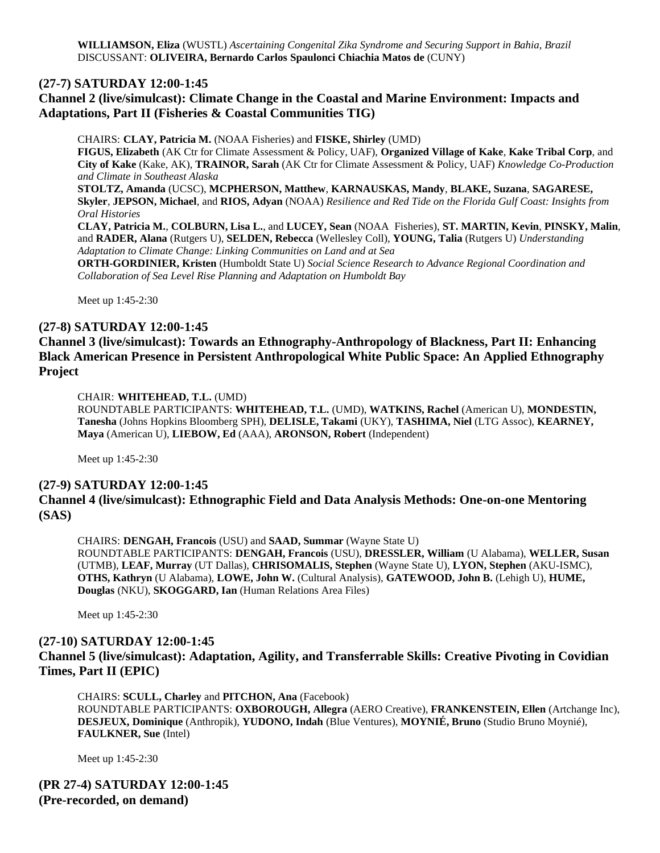#### **(27-7) SATURDAY 12:00-1:45**

# **Channel 2 (live/simulcast): Climate Change in the Coastal and Marine Environment: Impacts and Adaptations, Part II (Fisheries & Coastal Communities TIG)**

CHAIRS: **CLAY, Patricia M.** (NOAA Fisheries) and **FISKE, Shirley** (UMD) **FIGUS, Elizabeth** (AK Ctr for Climate Assessment & Policy, UAF), **Organized Village of Kake**, **Kake Tribal Corp**, and **City of Kake** (Kake, AK), **TRAINOR, Sarah** (AK Ctr for Climate Assessment & Policy, UAF) *Knowledge Co-Production and Climate in Southeast Alaska* **STOLTZ, Amanda** (UCSC), **MCPHERSON, Matthew**, **KARNAUSKAS, Mandy**, **BLAKE, Suzana**, **SAGARESE, Skyler**, **JEPSON, Michael**, and **RIOS, Adyan** (NOAA) *Resilience and Red Tide on the Florida Gulf Coast: Insights from Oral Histories* **CLAY, Patricia M.**, **COLBURN, Lisa L.**, and **LUCEY, Sean** (NOAA Fisheries), **ST. MARTIN, Kevin**, **PINSKY, Malin**, and **RADER, Alana** (Rutgers U), **SELDEN, Rebecca** (Wellesley Coll), **YOUNG, Talia** (Rutgers U) *Understanding Adaptation to Climate Change: Linking Communities on Land and at Sea* **ORTH-GORDINIER, Kristen** (Humboldt State U) *Social Science Research to Advance Regional Coordination and Collaboration of Sea Level Rise Planning and Adaptation on Humboldt Bay*

Meet up 1:45-2:30

#### **(27-8) SATURDAY 12:00-1:45**

**Channel 3 (live/simulcast): Towards an Ethnography-Anthropology of Blackness, Part II: Enhancing Black American Presence in Persistent Anthropological White Public Space: An Applied Ethnography Project**

#### CHAIR: **WHITEHEAD, T.L.** (UMD)

ROUNDTABLE PARTICIPANTS: **WHITEHEAD, T.L.** (UMD), **WATKINS, Rachel** (American U), **MONDESTIN, Tanesha** (Johns Hopkins Bloomberg SPH), **DELISLE, Takami** (UKY), **TASHIMA, Niel** (LTG Assoc), **KEARNEY, Maya** (American U), **LIEBOW, Ed** (AAA), **ARONSON, Robert** (Independent)

Meet up 1:45-2:30

#### **(27-9) SATURDAY 12:00-1:45 Channel 4 (live/simulcast): Ethnographic Field and Data Analysis Methods: One-on-one Mentoring (SAS)**

CHAIRS: **DENGAH, Francois** (USU) and **SAAD, Summar** (Wayne State U) ROUNDTABLE PARTICIPANTS: **DENGAH, Francois** (USU), **DRESSLER, William** (U Alabama), **WELLER, Susan** (UTMB), **LEAF, Murray** (UT Dallas), **CHRISOMALIS, Stephen** (Wayne State U), **LYON, Stephen** (AKU-ISMC), **OTHS, Kathryn** (U Alabama), **LOWE, John W.** (Cultural Analysis), **GATEWOOD, John B.** (Lehigh U), **HUME, Douglas** (NKU), **SKOGGARD, Ian** (Human Relations Area Files)

Meet up 1:45-2:30

#### **(27-10) SATURDAY 12:00-1:45**

## **Channel 5 (live/simulcast): Adaptation, Agility, and Transferrable Skills: Creative Pivoting in Covidian Times, Part II (EPIC)**

CHAIRS: **SCULL, Charley** and **PITCHON, Ana** (Facebook) ROUNDTABLE PARTICIPANTS: **OXBOROUGH, Allegra** (AERO Creative), **FRANKENSTEIN, Ellen** (Artchange Inc), **DESJEUX, Dominique** (Anthropik), **YUDONO, Indah** (Blue Ventures), **MOYNIÉ, Bruno** (Studio Bruno Moynié), **FAULKNER, Sue** (Intel)

Meet up 1:45-2:30

**(PR 27-4) SATURDAY 12:00-1:45 (Pre-recorded, on demand)**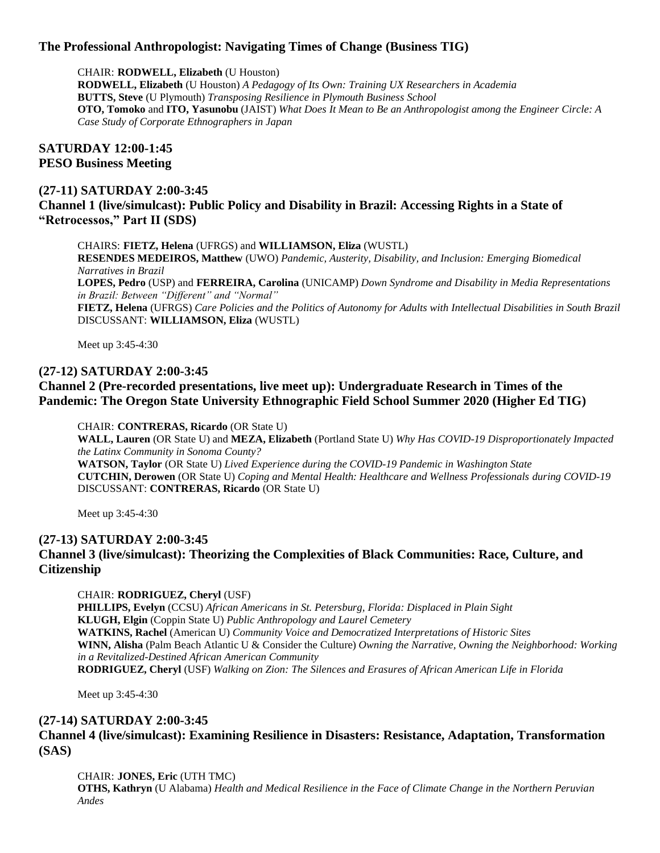# **The Professional Anthropologist: Navigating Times of Change (Business TIG)**

CHAIR: **RODWELL, Elizabeth** (U Houston)

**RODWELL, Elizabeth** (U Houston) *A Pedagogy of Its Own: Training UX Researchers in Academia* **BUTTS, Steve** (U Plymouth) *Transposing Resilience in Plymouth Business School* **OTO, Tomoko** and **ITO, Yasunobu** (JAIST) *What Does It Mean to Be an Anthropologist among the Engineer Circle: A Case Study of Corporate Ethnographers in Japan*

#### **SATURDAY 12:00-1:45 PESO Business Meeting**

## **(27-11) SATURDAY 2:00-3:45**

**Channel 1 (live/simulcast): Public Policy and Disability in Brazil: Accessing Rights in a State of "Retrocessos," Part II (SDS)**

CHAIRS: **FIETZ, Helena** (UFRGS) and **WILLIAMSON, Eliza** (WUSTL) **RESENDES MEDEIROS, Matthew** (UWO) *Pandemic, Austerity, Disability, and Inclusion: Emerging Biomedical Narratives in Brazil* **LOPES, Pedro** (USP) and **FERREIRA, Carolina** (UNICAMP) *Down Syndrome and Disability in Media Representations in Brazil: Between "Different" and "Normal"* **FIETZ, Helena** (UFRGS) *Care Policies and the Politics of Autonomy for Adults with Intellectual Disabilities in South Brazil* DISCUSSANT: **WILLIAMSON, Eliza** (WUSTL)

Meet up 3:45-4:30

## **(27-12) SATURDAY 2:00-3:45**

# **Channel 2 (Pre-recorded presentations, live meet up): Undergraduate Research in Times of the Pandemic: The Oregon State University Ethnographic Field School Summer 2020 (Higher Ed TIG)**

CHAIR: **CONTRERAS, Ricardo** (OR State U)

**WALL, Lauren** (OR State U) and **MEZA, Elizabeth** (Portland State U) *Why Has COVID-19 Disproportionately Impacted the Latinx Community in Sonoma County?* **WATSON, Taylor** (OR State U) *Lived Experience during the COVID-19 Pandemic in Washington State* **CUTCHIN, Derowen** (OR State U) *Coping and Mental Health: Healthcare and Wellness Professionals during COVID-19* DISCUSSANT: **CONTRERAS, Ricardo** (OR State U)

Meet up 3:45-4:30

# **(27-13) SATURDAY 2:00-3:45**

## **Channel 3 (live/simulcast): Theorizing the Complexities of Black Communities: Race, Culture, and Citizenship**

CHAIR: **RODRIGUEZ, Cheryl** (USF)

**PHILLIPS, Evelyn** (CCSU) *African Americans in St. Petersburg, Florida: Displaced in Plain Sight* **KLUGH, Elgin** (Coppin State U) *Public Anthropology and Laurel Cemetery* **WATKINS, Rachel** (American U) *Community Voice and Democratized Interpretations of Historic Sites* **WINN, Alisha** (Palm Beach Atlantic U & Consider the Culture) *Owning the Narrative, Owning the Neighborhood: Working in a Revitalized-Destined African American Community* **RODRIGUEZ, Cheryl** (USF) *Walking on Zion: The Silences and Erasures of African American Life in Florida*

Meet up 3:45-4:30

## **(27-14) SATURDAY 2:00-3:45**

## **Channel 4 (live/simulcast): Examining Resilience in Disasters: Resistance, Adaptation, Transformation (SAS)**

CHAIR: **JONES, Eric** (UTH TMC)

**OTHS, Kathryn** (U Alabama) *Health and Medical Resilience in the Face of Climate Change in the Northern Peruvian Andes*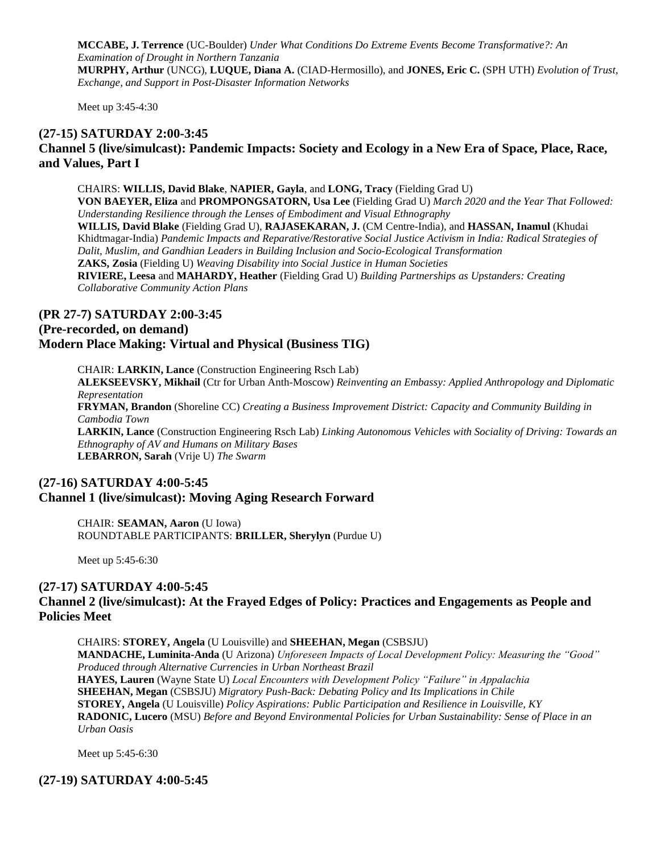**MCCABE, J. Terrence** (UC-Boulder) *Under What Conditions Do Extreme Events Become Transformative?: An Examination of Drought in Northern Tanzania* **MURPHY, Arthur** (UNCG), **LUQUE, Diana A.** (CIAD-Hermosillo), and **JONES, Eric C.** (SPH UTH) *Evolution of Trust, Exchange, and Support in Post-Disaster Information Networks*

Meet up 3:45-4:30

#### **(27-15) SATURDAY 2:00-3:45**

# **Channel 5 (live/simulcast): Pandemic Impacts: Society and Ecology in a New Era of Space, Place, Race, and Values, Part I**

CHAIRS: **WILLIS, David Blake**, **NAPIER, Gayla**, and **LONG, Tracy** (Fielding Grad U) **VON BAEYER, Eliza** and **PROMPONGSATORN, Usa Lee** (Fielding Grad U) *March 2020 and the Year That Followed: Understanding Resilience through the Lenses of Embodiment and Visual Ethnography* **WILLIS, David Blake** (Fielding Grad U), **RAJASEKARAN, J.** (CM Centre-India), and **HASSAN, Inamul** (Khudai Khidtmagar-India) *Pandemic Impacts and Reparative/Restorative Social Justice Activism in India: Radical Strategies of Dalit, Muslim, and Gandhian Leaders in Building Inclusion and Socio-Ecological Transformation* **ZAKS, Zosia** (Fielding U) *Weaving Disability into Social Justice in Human Societies* **RIVIERE, Leesa** and **MAHARDY, Heather** (Fielding Grad U) *Building Partnerships as Upstanders: Creating Collaborative Community Action Plans*

#### **(PR 27-7) SATURDAY 2:00-3:45**

# **(Pre-recorded, on demand)**

#### **Modern Place Making: Virtual and Physical (Business TIG)**

CHAIR: **LARKIN, Lance** (Construction Engineering Rsch Lab) **ALEKSEEVSKY, Mikhail** (Ctr for Urban Anth-Moscow) *Reinventing an Embassy: Applied Anthropology and Diplomatic Representation* **FRYMAN, Brandon** (Shoreline CC) *Creating a Business Improvement District: Capacity and Community Building in Cambodia Town* **LARKIN, Lance** (Construction Engineering Rsch Lab) *Linking Autonomous Vehicles with Sociality of Driving: Towards an Ethnography of AV and Humans on Military Bases*

**LEBARRON, Sarah** (Vrije U) *The Swarm*

# **(27-16) SATURDAY 4:00-5:45 Channel 1 (live/simulcast): Moving Aging Research Forward**

CHAIR: **SEAMAN, Aaron** (U Iowa) ROUNDTABLE PARTICIPANTS: **BRILLER, Sherylyn** (Purdue U)

Meet up 5:45-6:30

#### **(27-17) SATURDAY 4:00-5:45 Channel 2 (live/simulcast): At the Frayed Edges of Policy: Practices and Engagements as People and Policies Meet**

CHAIRS: **STOREY, Angela** (U Louisville) and **SHEEHAN, Megan** (CSBSJU) **MANDACHE, Luminita-Anda** (U Arizona) *Unforeseen Impacts of Local Development Policy: Measuring the "Good" Produced through Alternative Currencies in Urban Northeast Brazil* **HAYES, Lauren** (Wayne State U) *Local Encounters with Development Policy "Failure" in Appalachia* **SHEEHAN, Megan** (CSBSJU) *Migratory Push-Back: Debating Policy and Its Implications in Chile* **STOREY, Angela** (U Louisville) *Policy Aspirations: Public Participation and Resilience in Louisville, KY* **RADONIC, Lucero** (MSU) *Before and Beyond Environmental Policies for Urban Sustainability: Sense of Place in an Urban Oasis*

Meet up 5:45-6:30

## **(27-19) SATURDAY 4:00-5:45**